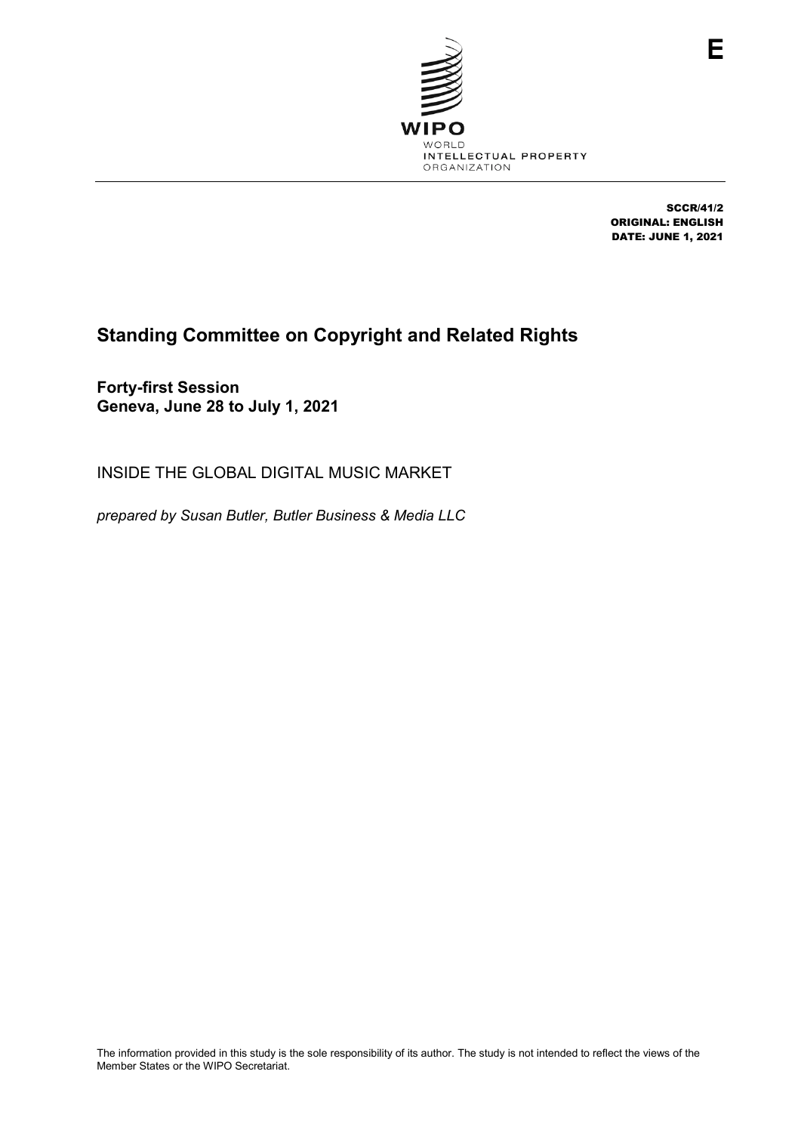

SCCR/41/2 ORIGINAL: ENGLISH DATE: JUNE 1, 2021

# **Standing Committee on Copyright and Related Rights**

**Forty-first Session Geneva, June 28 to July 1, 2021**

INSIDE THE GLOBAL DIGITAL MUSIC MARKET

*prepared by Susan Butler, Butler Business & Media LLC*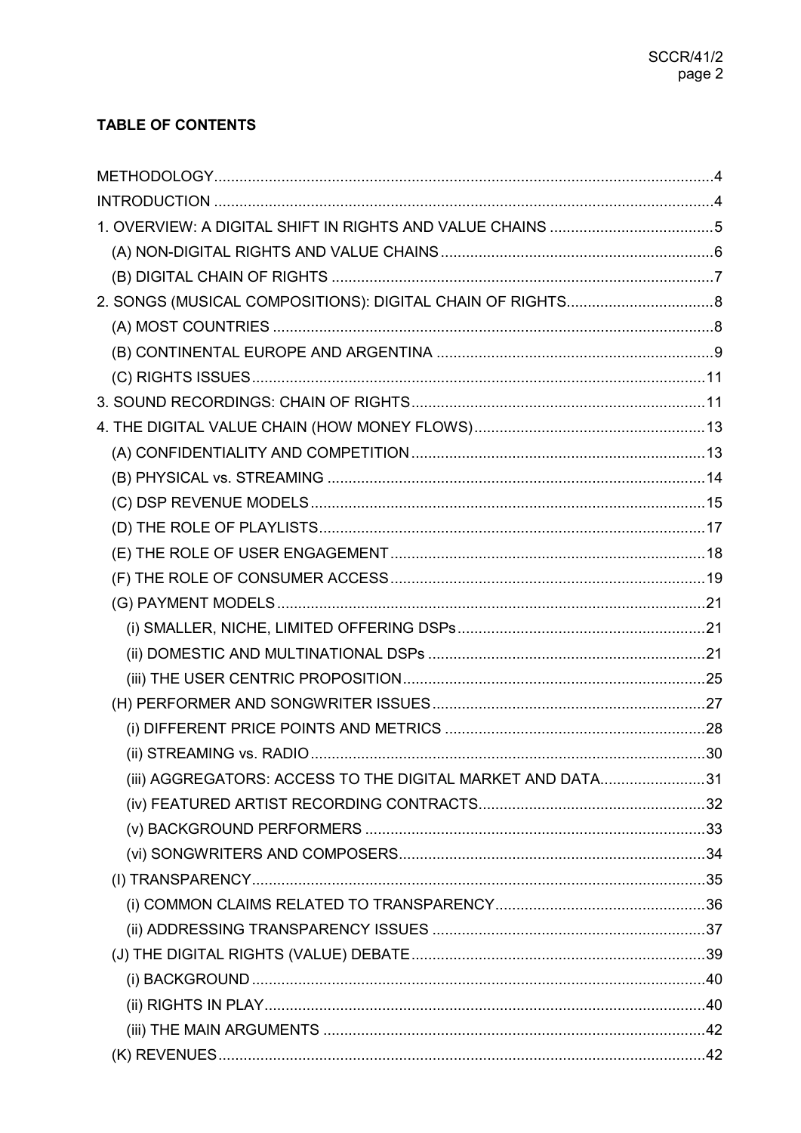## **TABLE OF CONTENTS**

| (iii) AGGREGATORS: ACCESS TO THE DIGITAL MARKET AND DATA31 |  |
|------------------------------------------------------------|--|
|                                                            |  |
|                                                            |  |
|                                                            |  |
|                                                            |  |
|                                                            |  |
|                                                            |  |
|                                                            |  |
|                                                            |  |
|                                                            |  |
|                                                            |  |
|                                                            |  |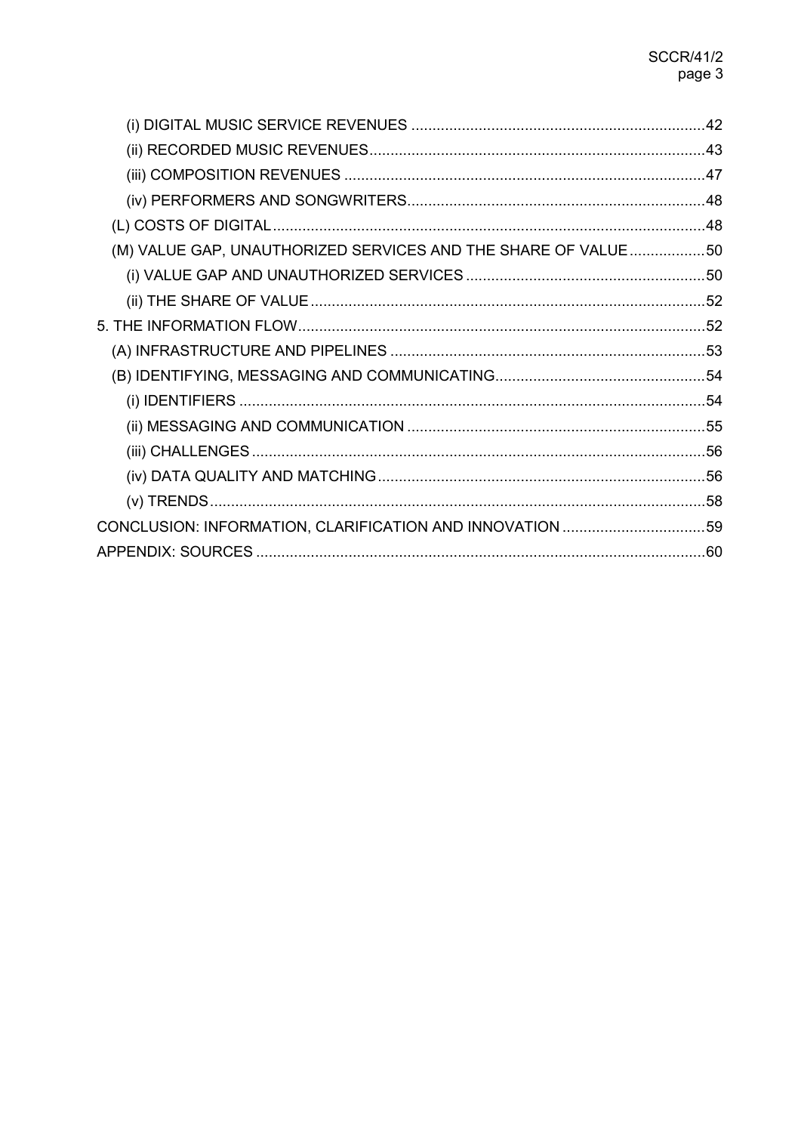| (M) VALUE GAP, UNAUTHORIZED SERVICES AND THE SHARE OF VALUE50 |  |
|---------------------------------------------------------------|--|
|                                                               |  |
|                                                               |  |
|                                                               |  |
|                                                               |  |
|                                                               |  |
|                                                               |  |
|                                                               |  |
|                                                               |  |
|                                                               |  |
|                                                               |  |
|                                                               |  |
|                                                               |  |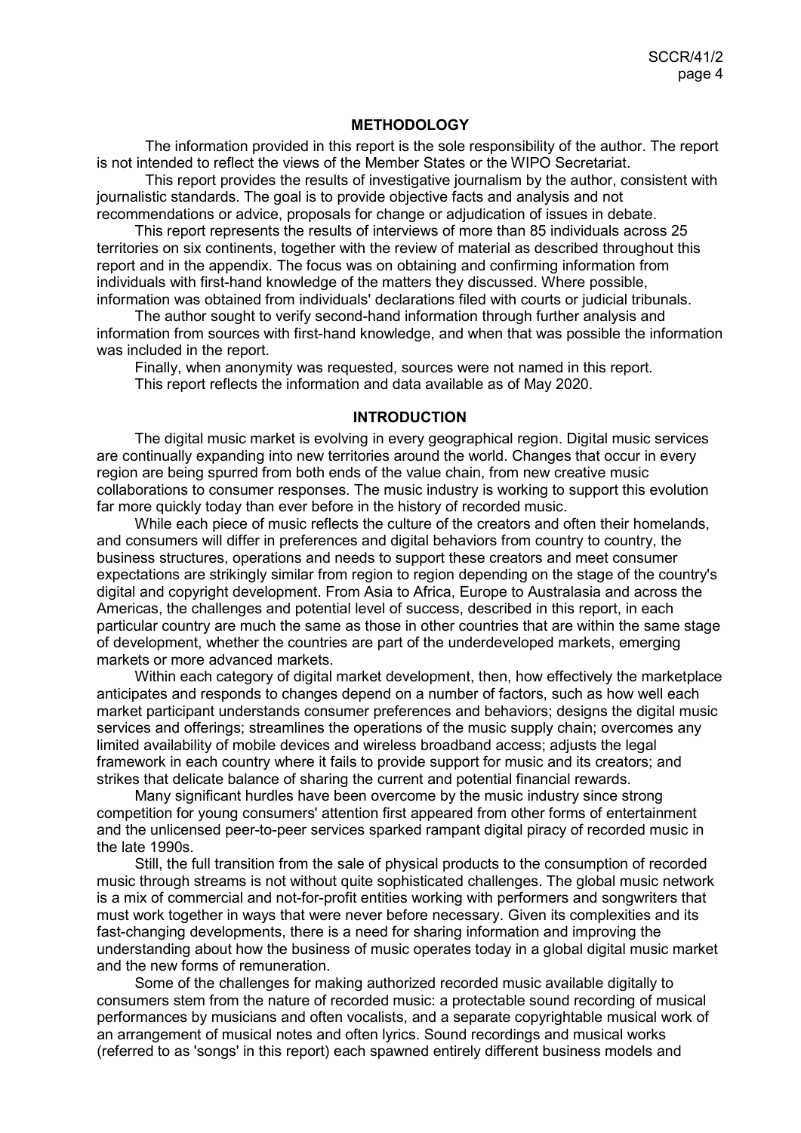#### **METHODOLOGY**

<span id="page-3-0"></span>The information provided in this report is the sole responsibility of the author. The report is not intended to reflect the views of the Member States or the WIPO Secretariat.

This report provides the results of investigative journalism by the author, consistent with journalistic standards. The goal is to provide objective facts and analysis and not recommendations or advice, proposals for change or adjudication of issues in debate.

This report represents the results of interviews of more than 85 individuals across 25 territories on six continents, together with the review of material as described throughout this report and in the appendix. The focus was on obtaining and confirming information from individuals with first-hand knowledge of the matters they discussed. Where possible, information was obtained from individuals' declarations filed with courts or judicial tribunals.

The author sought to verify second-hand information through further analysis and information from sources with first-hand knowledge, and when that was possible the information was included in the report.

Finally, when anonymity was requested, sources were not named in this report. This report reflects the information and data available as of May 2020.

#### **INTRODUCTION**

<span id="page-3-1"></span>The digital music market is evolving in every geographical region. Digital music services are continually expanding into new territories around the world. Changes that occur in every region are being spurred from both ends of the value chain, from new creative music collaborations to consumer responses. The music industry is working to support this evolution far more quickly today than ever before in the history of recorded music.

While each piece of music reflects the culture of the creators and often their homelands, and consumers will differ in preferences and digital behaviors from country to country, the business structures, operations and needs to support these creators and meet consumer expectations are strikingly similar from region to region depending on the stage of the country's digital and copyright development. From Asia to Africa, Europe to Australasia and across the Americas, the challenges and potential level of success, described in this report, in each particular country are much the same as those in other countries that are within the same stage of development, whether the countries are part of the underdeveloped markets, emerging markets or more advanced markets.

Within each category of digital market development, then, how effectively the marketplace anticipates and responds to changes depend on a number of factors, such as how well each market participant understands consumer preferences and behaviors; designs the digital music services and offerings; streamlines the operations of the music supply chain; overcomes any limited availability of mobile devices and wireless broadband access; adjusts the legal framework in each country where it fails to provide support for music and its creators; and strikes that delicate balance of sharing the current and potential financial rewards.

Many significant hurdles have been overcome by the music industry since strong competition for young consumers' attention first appeared from other forms of entertainment and the unlicensed peer-to-peer services sparked rampant digital piracy of recorded music in the late 1990s.

Still, the full transition from the sale of physical products to the consumption of recorded music through streams is not without quite sophisticated challenges. The global music network is a mix of commercial and not-for-profit entities working with performers and songwriters that must work together in ways that were never before necessary. Given its complexities and its fast-changing developments, there is a need for sharing information and improving the understanding about how the business of music operates today in a global digital music market and the new forms of remuneration.

Some of the challenges for making authorized recorded music available digitally to consumers stem from the nature of recorded music: a protectable sound recording of musical performances by musicians and often vocalists, and a separate copyrightable musical work of an arrangement of musical notes and often lyrics. Sound recordings and musical works (referred to as 'songs' in this report) each spawned entirely different business models and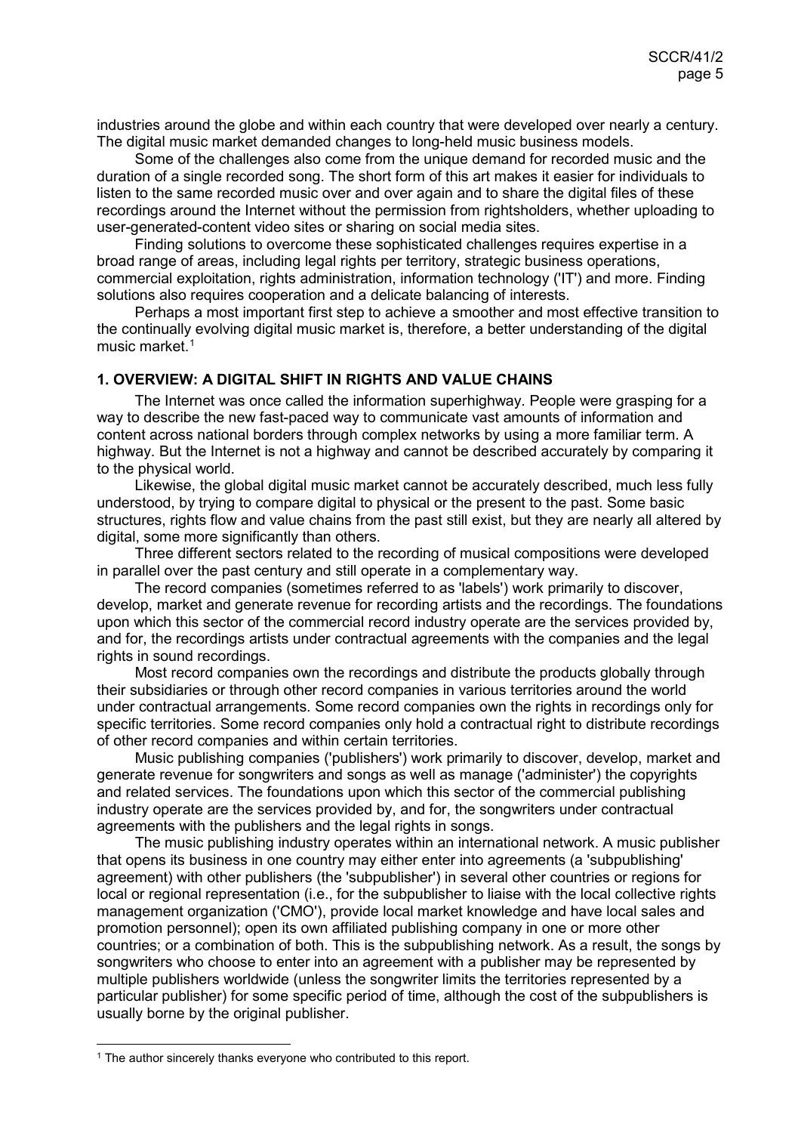industries around the globe and within each country that were developed over nearly a century. The digital music market demanded changes to long-held music business models.

Some of the challenges also come from the unique demand for recorded music and the duration of a single recorded song. The short form of this art makes it easier for individuals to listen to the same recorded music over and over again and to share the digital files of these recordings around the Internet without the permission from rightsholders, whether uploading to user-generated-content video sites or sharing on social media sites.

Finding solutions to overcome these sophisticated challenges requires expertise in a broad range of areas, including legal rights per territory, strategic business operations, commercial exploitation, rights administration, information technology ('IT') and more. Finding solutions also requires cooperation and a delicate balancing of interests.

Perhaps a most important first step to achieve a smoother and most effective transition to the continually evolving digital music market is, therefore, a better understanding of the digital music market. [1](#page-4-1)

## <span id="page-4-0"></span>**1. OVERVIEW: A DIGITAL SHIFT IN RIGHTS AND VALUE CHAINS**

The Internet was once called the information superhighway. People were grasping for a way to describe the new fast-paced way to communicate vast amounts of information and content across national borders through complex networks by using a more familiar term. A highway. But the Internet is not a highway and cannot be described accurately by comparing it to the physical world.

Likewise, the global digital music market cannot be accurately described, much less fully understood, by trying to compare digital to physical or the present to the past. Some basic structures, rights flow and value chains from the past still exist, but they are nearly all altered by digital, some more significantly than others.

Three different sectors related to the recording of musical compositions were developed in parallel over the past century and still operate in a complementary way.

The record companies (sometimes referred to as 'labels') work primarily to discover, develop, market and generate revenue for recording artists and the recordings. The foundations upon which this sector of the commercial record industry operate are the services provided by, and for, the recordings artists under contractual agreements with the companies and the legal rights in sound recordings.

Most record companies own the recordings and distribute the products globally through their subsidiaries or through other record companies in various territories around the world under contractual arrangements. Some record companies own the rights in recordings only for specific territories. Some record companies only hold a contractual right to distribute recordings of other record companies and within certain territories.

Music publishing companies ('publishers') work primarily to discover, develop, market and generate revenue for songwriters and songs as well as manage ('administer') the copyrights and related services. The foundations upon which this sector of the commercial publishing industry operate are the services provided by, and for, the songwriters under contractual agreements with the publishers and the legal rights in songs.

The music publishing industry operates within an international network. A music publisher that opens its business in one country may either enter into agreements (a 'subpublishing' agreement) with other publishers (the 'subpublisher') in several other countries or regions for local or regional representation (i.e., for the subpublisher to liaise with the local collective rights management organization ('CMO'), provide local market knowledge and have local sales and promotion personnel); open its own affiliated publishing company in one or more other countries; or a combination of both. This is the subpublishing network. As a result, the songs by songwriters who choose to enter into an agreement with a publisher may be represented by multiple publishers worldwide (unless the songwriter limits the territories represented by a particular publisher) for some specific period of time, although the cost of the subpublishers is usually borne by the original publisher.

<span id="page-4-1"></span> $1$  The author sincerely thanks everyone who contributed to this report.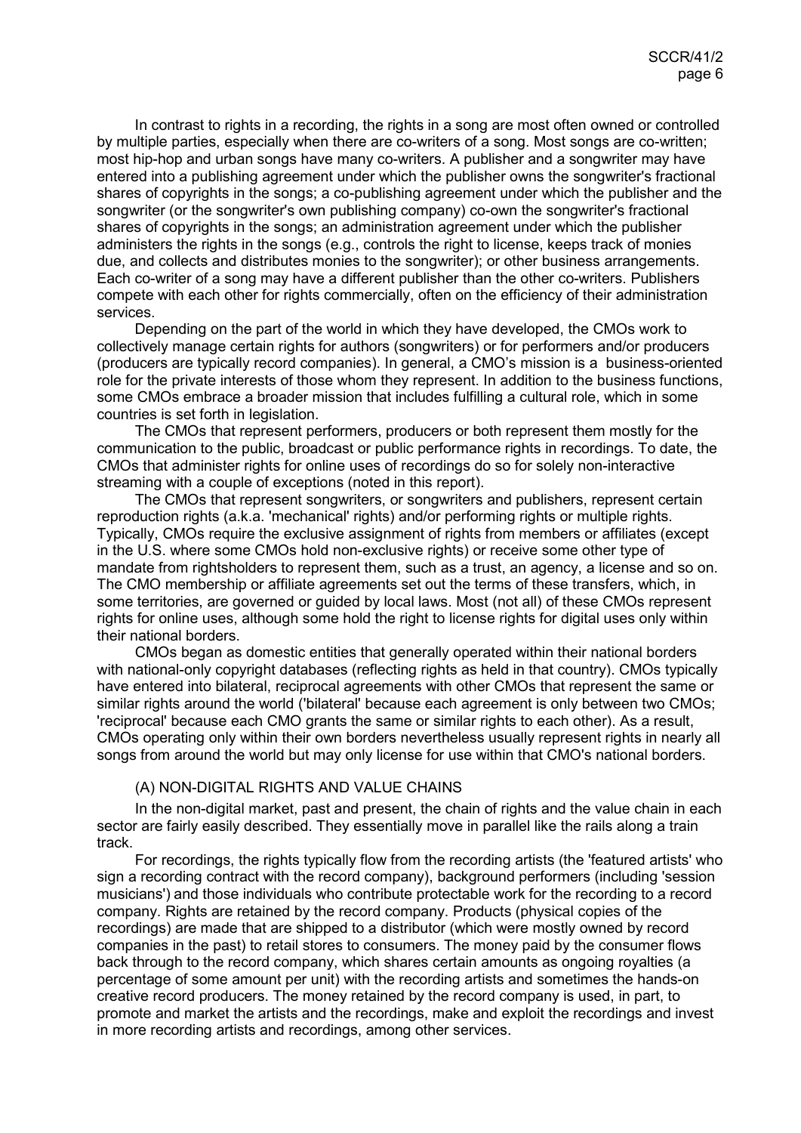In contrast to rights in a recording, the rights in a song are most often owned or controlled by multiple parties, especially when there are co-writers of a song. Most songs are co-written; most hip-hop and urban songs have many co-writers. A publisher and a songwriter may have entered into a publishing agreement under which the publisher owns the songwriter's fractional shares of copyrights in the songs; a co-publishing agreement under which the publisher and the songwriter (or the songwriter's own publishing company) co-own the songwriter's fractional shares of copyrights in the songs; an administration agreement under which the publisher administers the rights in the songs (e.g., controls the right to license, keeps track of monies due, and collects and distributes monies to the songwriter); or other business arrangements. Each co-writer of a song may have a different publisher than the other co-writers. Publishers compete with each other for rights commercially, often on the efficiency of their administration services.

Depending on the part of the world in which they have developed, the CMOs work to collectively manage certain rights for authors (songwriters) or for performers and/or producers (producers are typically record companies). In general, a CMO's mission is a business-oriented role for the private interests of those whom they represent. In addition to the business functions, some CMOs embrace a broader mission that includes fulfilling a cultural role, which in some countries is set forth in legislation.

The CMOs that represent performers, producers or both represent them mostly for the communication to the public, broadcast or public performance rights in recordings. To date, the CMOs that administer rights for online uses of recordings do so for solely non-interactive streaming with a couple of exceptions (noted in this report).

The CMOs that represent songwriters, or songwriters and publishers, represent certain reproduction rights (a.k.a. 'mechanical' rights) and/or performing rights or multiple rights. Typically, CMOs require the exclusive assignment of rights from members or affiliates (except in the U.S. where some CMOs hold non-exclusive rights) or receive some other type of mandate from rightsholders to represent them, such as a trust, an agency, a license and so on. The CMO membership or affiliate agreements set out the terms of these transfers, which, in some territories, are governed or guided by local laws. Most (not all) of these CMOs represent rights for online uses, although some hold the right to license rights for digital uses only within their national borders.

CMOs began as domestic entities that generally operated within their national borders with national-only copyright databases (reflecting rights as held in that country). CMOs typically have entered into bilateral, reciprocal agreements with other CMOs that represent the same or similar rights around the world ('bilateral' because each agreement is only between two CMOs; 'reciprocal' because each CMO grants the same or similar rights to each other). As a result, CMOs operating only within their own borders nevertheless usually represent rights in nearly all songs from around the world but may only license for use within that CMO's national borders.

#### <span id="page-5-0"></span>(A) NON-DIGITAL RIGHTS AND VALUE CHAINS

In the non-digital market, past and present, the chain of rights and the value chain in each sector are fairly easily described. They essentially move in parallel like the rails along a train track.

For recordings, the rights typically flow from the recording artists (the 'featured artists' who sign a recording contract with the record company), background performers (including 'session musicians') and those individuals who contribute protectable work for the recording to a record company. Rights are retained by the record company. Products (physical copies of the recordings) are made that are shipped to a distributor (which were mostly owned by record companies in the past) to retail stores to consumers. The money paid by the consumer flows back through to the record company, which shares certain amounts as ongoing royalties (a percentage of some amount per unit) with the recording artists and sometimes the hands-on creative record producers. The money retained by the record company is used, in part, to promote and market the artists and the recordings, make and exploit the recordings and invest in more recording artists and recordings, among other services.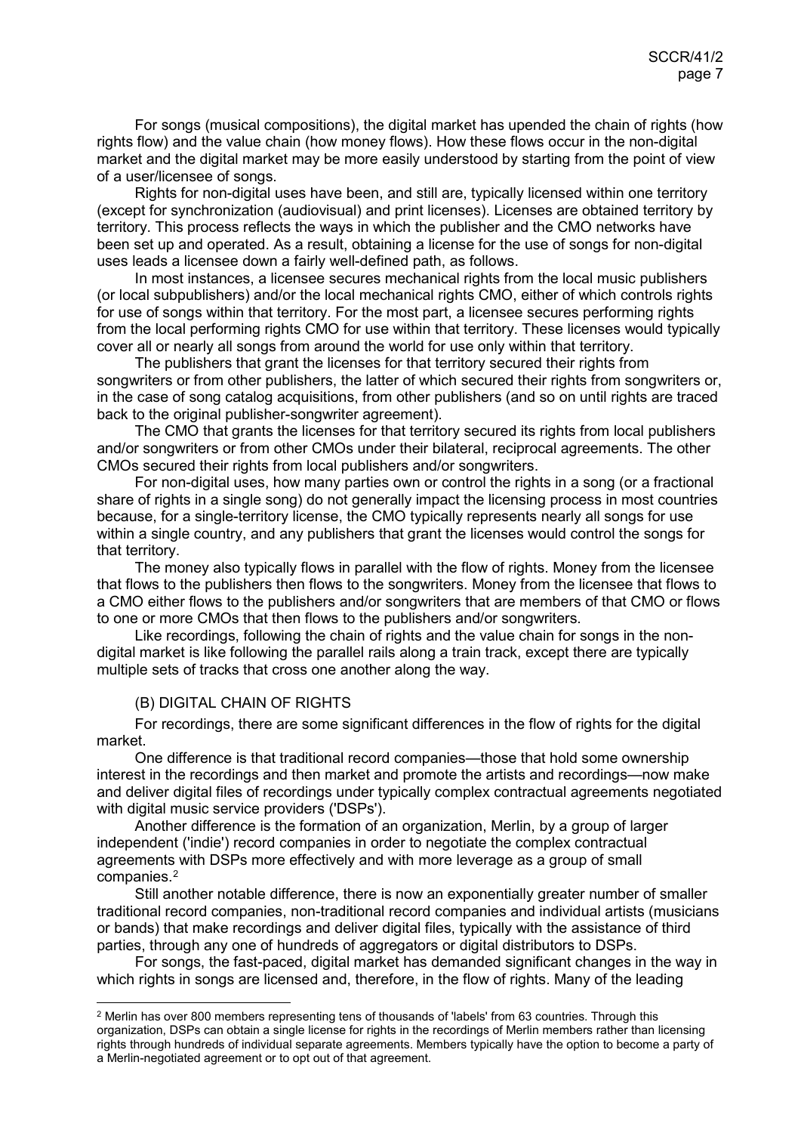For songs (musical compositions), the digital market has upended the chain of rights (how rights flow) and the value chain (how money flows). How these flows occur in the non-digital market and the digital market may be more easily understood by starting from the point of view of a user/licensee of songs.

Rights for non-digital uses have been, and still are, typically licensed within one territory (except for synchronization (audiovisual) and print licenses). Licenses are obtained territory by territory. This process reflects the ways in which the publisher and the CMO networks have been set up and operated. As a result, obtaining a license for the use of songs for non-digital uses leads a licensee down a fairly well-defined path, as follows.

In most instances, a licensee secures mechanical rights from the local music publishers (or local subpublishers) and/or the local mechanical rights CMO, either of which controls rights for use of songs within that territory. For the most part, a licensee secures performing rights from the local performing rights CMO for use within that territory. These licenses would typically cover all or nearly all songs from around the world for use only within that territory.

The publishers that grant the licenses for that territory secured their rights from songwriters or from other publishers, the latter of which secured their rights from songwriters or, in the case of song catalog acquisitions, from other publishers (and so on until rights are traced back to the original publisher-songwriter agreement).

The CMO that grants the licenses for that territory secured its rights from local publishers and/or songwriters or from other CMOs under their bilateral, reciprocal agreements. The other CMOs secured their rights from local publishers and/or songwriters.

For non-digital uses, how many parties own or control the rights in a song (or a fractional share of rights in a single song) do not generally impact the licensing process in most countries because, for a single-territory license, the CMO typically represents nearly all songs for use within a single country, and any publishers that grant the licenses would control the songs for that territory.

The money also typically flows in parallel with the flow of rights. Money from the licensee that flows to the publishers then flows to the songwriters. Money from the licensee that flows to a CMO either flows to the publishers and/or songwriters that are members of that CMO or flows to one or more CMOs that then flows to the publishers and/or songwriters.

Like recordings, following the chain of rights and the value chain for songs in the nondigital market is like following the parallel rails along a train track, except there are typically multiple sets of tracks that cross one another along the way.

#### <span id="page-6-0"></span>(B) DIGITAL CHAIN OF RIGHTS

For recordings, there are some significant differences in the flow of rights for the digital market.

One difference is that traditional record companies—those that hold some ownership interest in the recordings and then market and promote the artists and recordings—now make and deliver digital files of recordings under typically complex contractual agreements negotiated with digital music service providers ('DSPs').

Another difference is the formation of an organization, Merlin, by a group of larger independent ('indie') record companies in order to negotiate the complex contractual agreements with DSPs more effectively and with more leverage as a group of small companies.[2](#page-6-1)

Still another notable difference, there is now an exponentially greater number of smaller traditional record companies, non-traditional record companies and individual artists (musicians or bands) that make recordings and deliver digital files, typically with the assistance of third parties, through any one of hundreds of aggregators or digital distributors to DSPs.

For songs, the fast-paced, digital market has demanded significant changes in the way in which rights in songs are licensed and, therefore, in the flow of rights. Many of the leading

<span id="page-6-1"></span><sup>&</sup>lt;sup>2</sup> Merlin has over 800 members representing tens of thousands of 'labels' from 63 countries. Through this organization, DSPs can obtain a single license for rights in the recordings of Merlin members rather than licensing rights through hundreds of individual separate agreements. Members typically have the option to become a party of a Merlin-negotiated agreement or to opt out of that agreement.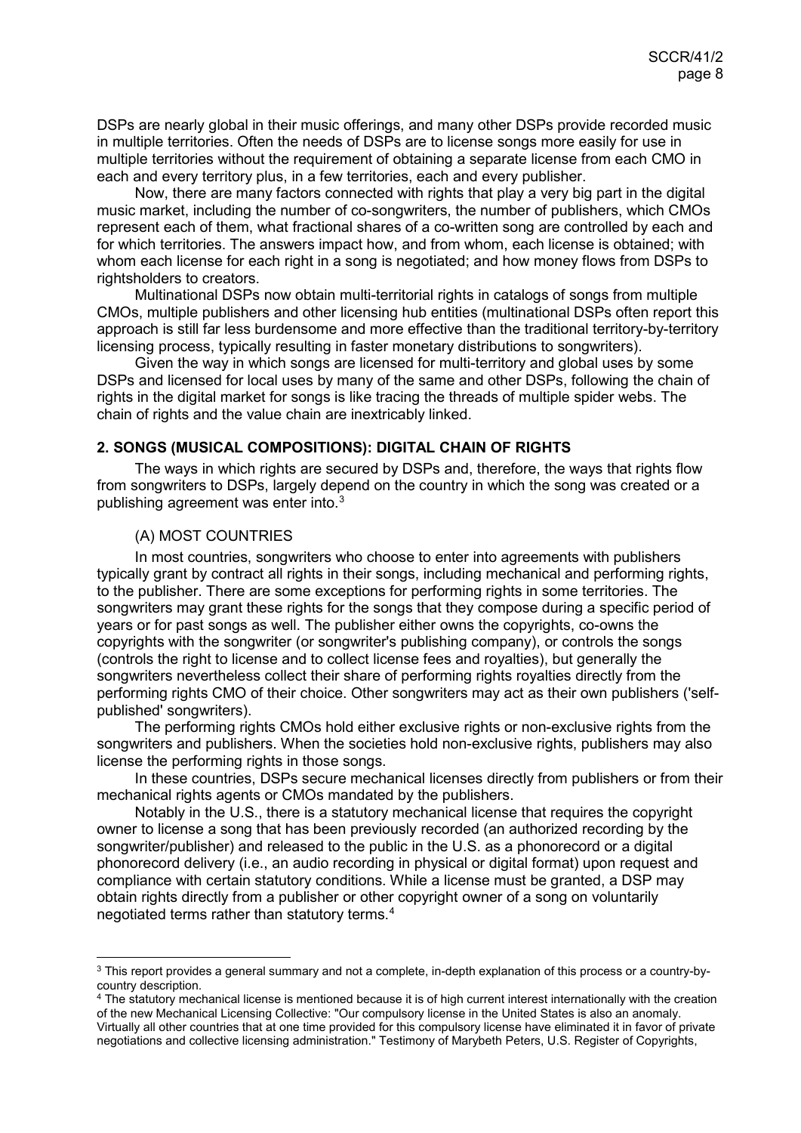DSPs are nearly global in their music offerings, and many other DSPs provide recorded music in multiple territories. Often the needs of DSPs are to license songs more easily for use in multiple territories without the requirement of obtaining a separate license from each CMO in each and every territory plus, in a few territories, each and every publisher.

Now, there are many factors connected with rights that play a very big part in the digital music market, including the number of co-songwriters, the number of publishers, which CMOs represent each of them, what fractional shares of a co-written song are controlled by each and for which territories. The answers impact how, and from whom, each license is obtained; with whom each license for each right in a song is negotiated; and how money flows from DSPs to rightsholders to creators.

Multinational DSPs now obtain multi-territorial rights in catalogs of songs from multiple CMOs, multiple publishers and other licensing hub entities (multinational DSPs often report this approach is still far less burdensome and more effective than the traditional territory-by-territory licensing process, typically resulting in faster monetary distributions to songwriters).

Given the way in which songs are licensed for multi-territory and global uses by some DSPs and licensed for local uses by many of the same and other DSPs, following the chain of rights in the digital market for songs is like tracing the threads of multiple spider webs. The chain of rights and the value chain are inextricably linked.

#### <span id="page-7-0"></span>**2. SONGS (MUSICAL COMPOSITIONS): DIGITAL CHAIN OF RIGHTS**

The ways in which rights are secured by DSPs and, therefore, the ways that rights flow from songwriters to DSPs, largely depend on the country in which the song was created or a publishing agreement was enter into.[3](#page-7-2)

#### <span id="page-7-1"></span>(A) MOST COUNTRIES

In most countries, songwriters who choose to enter into agreements with publishers typically grant by contract all rights in their songs, including mechanical and performing rights, to the publisher. There are some exceptions for performing rights in some territories. The songwriters may grant these rights for the songs that they compose during a specific period of years or for past songs as well. The publisher either owns the copyrights, co-owns the copyrights with the songwriter (or songwriter's publishing company), or controls the songs (controls the right to license and to collect license fees and royalties), but generally the songwriters nevertheless collect their share of performing rights royalties directly from the performing rights CMO of their choice. Other songwriters may act as their own publishers ('selfpublished' songwriters).

The performing rights CMOs hold either exclusive rights or non-exclusive rights from the songwriters and publishers. When the societies hold non-exclusive rights, publishers may also license the performing rights in those songs.

In these countries, DSPs secure mechanical licenses directly from publishers or from their mechanical rights agents or CMOs mandated by the publishers.

Notably in the U.S., there is a statutory mechanical license that requires the copyright owner to license a song that has been previously recorded (an authorized recording by the songwriter/publisher) and released to the public in the U.S. as a phonorecord or a digital phonorecord delivery (i.e., an audio recording in physical or digital format) upon request and compliance with certain statutory conditions. While a license must be granted, a DSP may obtain rights directly from a publisher or other copyright owner of a song on voluntarily negotiated terms rather than statutory terms. [4](#page-7-3)

<span id="page-7-2"></span> <sup>3</sup> This report provides a general summary and not a complete, in-depth explanation of this process or a country-bycountry description.

<span id="page-7-3"></span><sup>&</sup>lt;sup>4</sup> The statutory mechanical license is mentioned because it is of high current interest internationally with the creation of the new Mechanical Licensing Collective: "Our compulsory license in the United States is also an anomaly. Virtually all other countries that at one time provided for this compulsory license have eliminated it in favor of private negotiations and collective licensing administration." Testimony of Marybeth Peters, U.S. Register of Copyrights,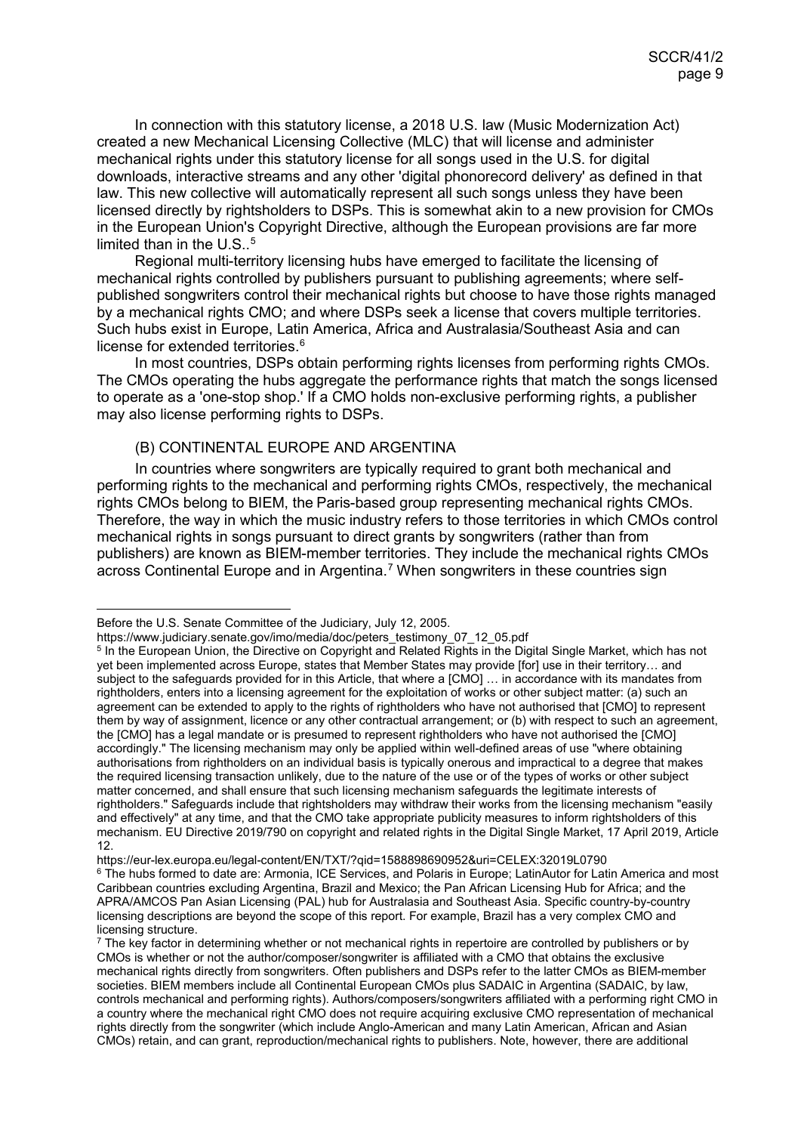In connection with this statutory license, a 2018 U.S. law (Music Modernization Act) created a new Mechanical Licensing Collective (MLC) that will license and administer mechanical rights under this statutory license for all songs used in the U.S. for digital downloads, interactive streams and any other 'digital phonorecord delivery' as defined in that law. This new collective will automatically represent all such songs unless they have been licensed directly by rightsholders to DSPs. This is somewhat akin to a new provision for CMOs in the European Union's Copyright Directive, although the European provisions are far more limited than in the  $U.S.^5$  $U.S.^5$ 

Regional multi-territory licensing hubs have emerged to facilitate the licensing of mechanical rights controlled by publishers pursuant to publishing agreements; where selfpublished songwriters control their mechanical rights but choose to have those rights managed by a mechanical rights CMO; and where DSPs seek a license that covers multiple territories. Such hubs exist in Europe, Latin America, Africa and Australasia/Southeast Asia and can license for extended territories. [6](#page-8-2)

In most countries, DSPs obtain performing rights licenses from performing rights CMOs. The CMOs operating the hubs aggregate the performance rights that match the songs licensed to operate as a 'one-stop shop.' If a CMO holds non-exclusive performing rights, a publisher may also license performing rights to DSPs.

## <span id="page-8-0"></span>(B) CONTINENTAL EUROPE AND ARGENTINA

In countries where songwriters are typically required to grant both mechanical and performing rights to the mechanical and performing rights CMOs, respectively, the mechanical rights CMOs belong to BIEM, the Paris-based group representing mechanical rights CMOs. Therefore, the way in which the music industry refers to those territories in which CMOs control mechanical rights in songs pursuant to direct grants by songwriters (rather than from publishers) are known as BIEM-member territories. They include the mechanical rights CMOs across Continental Europe and in Argentina.<sup>[7](#page-8-3)</sup> When songwriters in these countries sign

https://eur-lex.europa.eu/legal-content/EN/TXT/?qid=1588898690952&uri=CELEX:32019L0790

Before the U.S. Senate Committee of the Judiciary, July 12, 2005.

https://www.judiciary.senate.gov/imo/media/doc/peters\_testimony\_07\_12\_05.pdf

<span id="page-8-1"></span><sup>5</sup> In the European Union, the Directive on Copyright and Related Rights in the Digital Single Market, which has not yet been implemented across Europe, states that Member States may provide [for] use in their territory… and subject to the safeguards provided for in this Article, that where a [CMO] … in accordance with its mandates from rightholders, enters into a licensing agreement for the exploitation of works or other subject matter: (a) such an agreement can be extended to apply to the rights of rightholders who have not authorised that [CMO] to represent them by way of assignment, licence or any other contractual arrangement; or (b) with respect to such an agreement, the [CMO] has a legal mandate or is presumed to represent rightholders who have not authorised the [CMO] accordingly." The licensing mechanism may only be applied within well-defined areas of use "where obtaining authorisations from rightholders on an individual basis is typically onerous and impractical to a degree that makes the required licensing transaction unlikely, due to the nature of the use or of the types of works or other subject matter concerned, and shall ensure that such licensing mechanism safeguards the legitimate interests of rightholders." Safeguards include that rightsholders may withdraw their works from the licensing mechanism "easily and effectively" at any time, and that the CMO take appropriate publicity measures to inform rightsholders of this mechanism. EU Directive 2019/790 on copyright and related rights in the Digital Single Market, 17 April 2019, Article 12.

<span id="page-8-2"></span><sup>&</sup>lt;sup>6</sup> The hubs formed to date are: Armonia, ICE Services, and Polaris in Europe; LatinAutor for Latin America and most Caribbean countries excluding Argentina, Brazil and Mexico; the Pan African Licensing Hub for Africa; and the APRA/AMCOS Pan Asian Licensing (PAL) hub for Australasia and Southeast Asia. Specific country-by-country licensing descriptions are beyond the scope of this report. For example, Brazil has a very complex CMO and licensing structure.

<span id="page-8-3"></span><sup>7</sup> The key factor in determining whether or not mechanical rights in repertoire are controlled by publishers or by CMOs is whether or not the author/composer/songwriter is affiliated with a CMO that obtains the exclusive mechanical rights directly from songwriters. Often publishers and DSPs refer to the latter CMOs as BIEM-member societies. BIEM members include all Continental European CMOs plus SADAIC in Argentina (SADAIC, by law, controls mechanical and performing rights). Authors/composers/songwriters affiliated with a performing right CMO in a country where the mechanical right CMO does not require acquiring exclusive CMO representation of mechanical rights directly from the songwriter (which include Anglo-American and many Latin American, African and Asian CMOs) retain, and can grant, reproduction/mechanical rights to publishers. Note, however, there are additional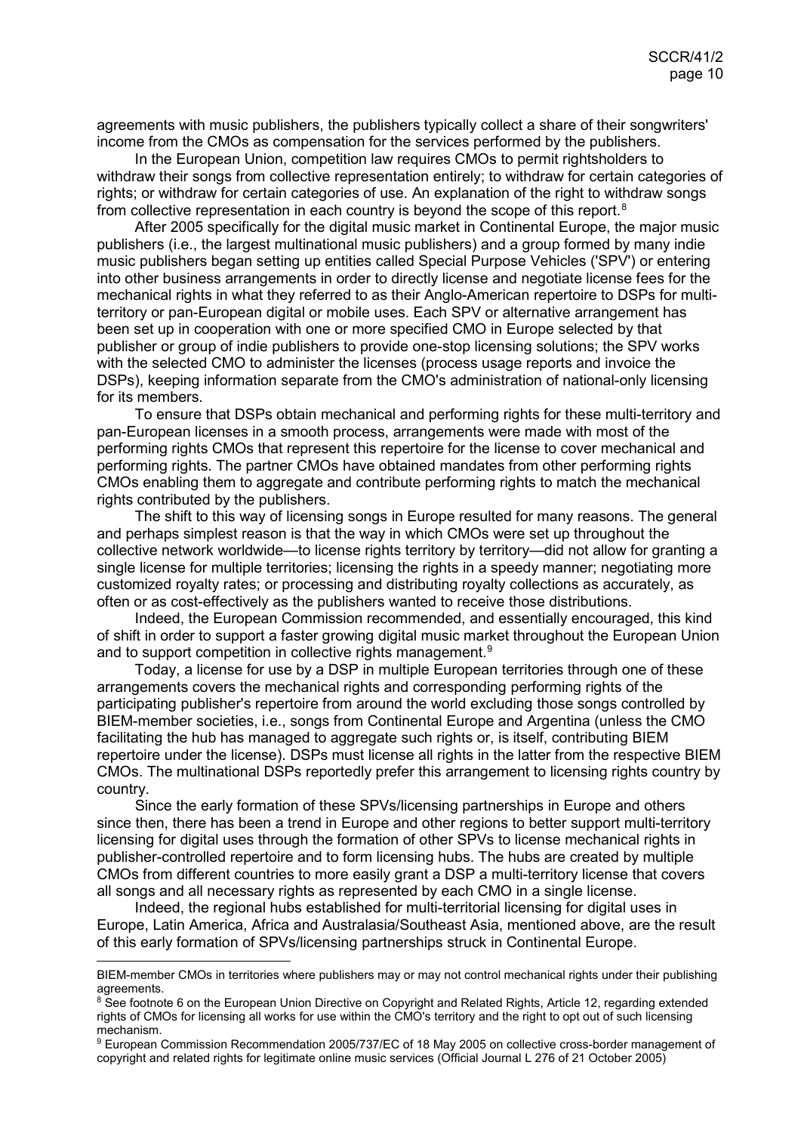agreements with music publishers, the publishers typically collect a share of their songwriters' income from the CMOs as compensation for the services performed by the publishers.

In the European Union, competition law requires CMOs to permit rightsholders to withdraw their songs from collective representation entirely; to withdraw for certain categories of rights; or withdraw for certain categories of use. An explanation of the right to withdraw songs from collective representation in each country is beyond the scope of this report.<sup>[8](#page-9-0)</sup>

After 2005 specifically for the digital music market in Continental Europe, the major music publishers (i.e., the largest multinational music publishers) and a group formed by many indie music publishers began setting up entities called Special Purpose Vehicles ('SPV') or entering into other business arrangements in order to directly license and negotiate license fees for the mechanical rights in what they referred to as their Anglo-American repertoire to DSPs for multiterritory or pan-European digital or mobile uses. Each SPV or alternative arrangement has been set up in cooperation with one or more specified CMO in Europe selected by that publisher or group of indie publishers to provide one-stop licensing solutions; the SPV works with the selected CMO to administer the licenses (process usage reports and invoice the DSPs), keeping information separate from the CMO's administration of national-only licensing for its members.

To ensure that DSPs obtain mechanical and performing rights for these multi-territory and pan-European licenses in a smooth process, arrangements were made with most of the performing rights CMOs that represent this repertoire for the license to cover mechanical and performing rights. The partner CMOs have obtained mandates from other performing rights CMOs enabling them to aggregate and contribute performing rights to match the mechanical rights contributed by the publishers.

The shift to this way of licensing songs in Europe resulted for many reasons. The general and perhaps simplest reason is that the way in which CMOs were set up throughout the collective network worldwide—to license rights territory by territory—did not allow for granting a single license for multiple territories; licensing the rights in a speedy manner; negotiating more customized royalty rates; or processing and distributing royalty collections as accurately, as often or as cost-effectively as the publishers wanted to receive those distributions.

Indeed, the European Commission recommended, and essentially encouraged, this kind of shift in order to support a faster growing digital music market throughout the European Union and to support competition in collective rights management.<sup>[9](#page-9-1)</sup>

Today, a license for use by a DSP in multiple European territories through one of these arrangements covers the mechanical rights and corresponding performing rights of the participating publisher's repertoire from around the world excluding those songs controlled by BIEM-member societies, i.e., songs from Continental Europe and Argentina (unless the CMO facilitating the hub has managed to aggregate such rights or, is itself, contributing BIEM repertoire under the license). DSPs must license all rights in the latter from the respective BIEM CMOs. The multinational DSPs reportedly prefer this arrangement to licensing rights country by country.

Since the early formation of these SPVs/licensing partnerships in Europe and others since then, there has been a trend in Europe and other regions to better support multi-territory licensing for digital uses through the formation of other SPVs to license mechanical rights in publisher-controlled repertoire and to form licensing hubs. The hubs are created by multiple CMOs from different countries to more easily grant a DSP a multi-territory license that covers all songs and all necessary rights as represented by each CMO in a single license.

Indeed, the regional hubs established for multi-territorial licensing for digital uses in Europe, Latin America, Africa and Australasia/Southeast Asia, mentioned above, are the result of this early formation of SPVs/licensing partnerships struck in Continental Europe.

<span id="page-9-1"></span><sup>9</sup> European Commission Recommendation 2005/737/EC of 18 May 2005 on collective cross-border management of copyright and related rights for legitimate online music services (Official Journal L 276 of 21 October 2005)

BIEM-member CMOs in territories where publishers may or may not control mechanical rights under their publishing agreements.

<span id="page-9-0"></span><sup>&</sup>lt;sup>8</sup> See footnote 6 on the European Union Directive on Copyright and Related Rights, Article 12, regarding extended rights of CMOs for licensing all works for use within the CMO's territory and the right to opt out of such licensing mechanism.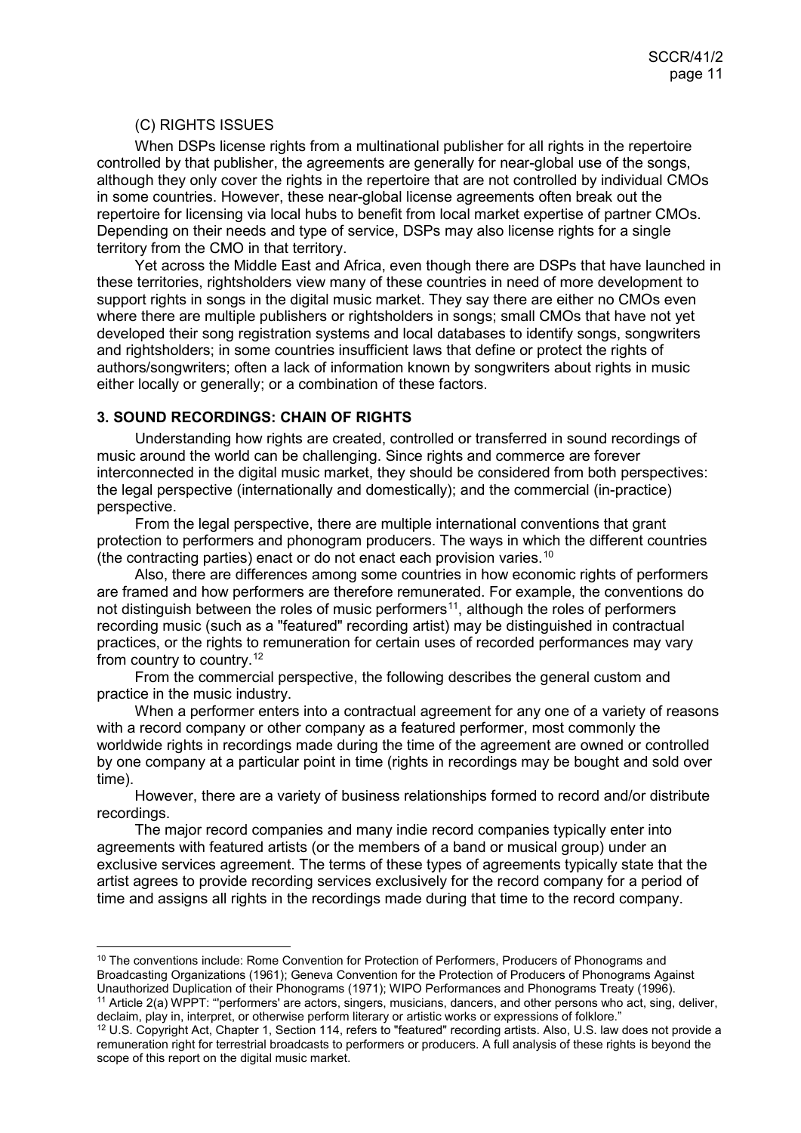#### <span id="page-10-0"></span>(C) RIGHTS ISSUES

When DSPs license rights from a multinational publisher for all rights in the repertoire controlled by that publisher, the agreements are generally for near-global use of the songs, although they only cover the rights in the repertoire that are not controlled by individual CMOs in some countries. However, these near-global license agreements often break out the repertoire for licensing via local hubs to benefit from local market expertise of partner CMOs. Depending on their needs and type of service, DSPs may also license rights for a single territory from the CMO in that territory.

Yet across the Middle East and Africa, even though there are DSPs that have launched in these territories, rightsholders view many of these countries in need of more development to support rights in songs in the digital music market. They say there are either no CMOs even where there are multiple publishers or rightsholders in songs; small CMOs that have not yet developed their song registration systems and local databases to identify songs, songwriters and rightsholders; in some countries insufficient laws that define or protect the rights of authors/songwriters; often a lack of information known by songwriters about rights in music either locally or generally; or a combination of these factors.

#### <span id="page-10-1"></span>**3. SOUND RECORDINGS: CHAIN OF RIGHTS**

Understanding how rights are created, controlled or transferred in sound recordings of music around the world can be challenging. Since rights and commerce are forever interconnected in the digital music market, they should be considered from both perspectives: the legal perspective (internationally and domestically); and the commercial (in-practice) perspective.

From the legal perspective, there are multiple international conventions that grant protection to performers and phonogram producers. The ways in which the different countries (the contracting parties) enact or do not enact each provision varies.<sup>[10](#page-10-2)</sup>

Also, there are differences among some countries in how economic rights of performers are framed and how performers are therefore remunerated. For example, the conventions do not distinguish between the roles of music performers<sup>11</sup>, although the roles of performers recording music (such as a "featured" recording artist) may be distinguished in contractual practices, or the rights to remuneration for certain uses of recorded performances may vary from country to country.<sup>[12](#page-10-4)</sup>

From the commercial perspective, the following describes the general custom and practice in the music industry.

When a performer enters into a contractual agreement for any one of a variety of reasons with a record company or other company as a featured performer, most commonly the worldwide rights in recordings made during the time of the agreement are owned or controlled by one company at a particular point in time (rights in recordings may be bought and sold over time).

However, there are a variety of business relationships formed to record and/or distribute recordings.

The major record companies and many indie record companies typically enter into agreements with featured artists (or the members of a band or musical group) under an exclusive services agreement. The terms of these types of agreements typically state that the artist agrees to provide recording services exclusively for the record company for a period of time and assigns all rights in the recordings made during that time to the record company.

<span id="page-10-2"></span><sup>&</sup>lt;sup>10</sup> The conventions include: Rome Convention for Protection of Performers, Producers of Phonograms and Broadcasting Organizations (1961); Geneva Convention for the Protection of Producers of Phonograms Against Unauthorized Duplication of their Phonograms (1971); WIPO Performances and Phonograms Treaty (1996).

<span id="page-10-3"></span><sup>&</sup>lt;sup>11</sup> Article 2(a) WPPT: "'performers' are actors, singers, musicians, dancers, and other persons who act, sing, deliver, declaim, play in, interpret, or otherwise perform literary or artistic works or expressions of folkl

<span id="page-10-4"></span><sup>&</sup>lt;sup>12</sup> U.S. Copyright Act, Chapter 1, Section 114, refers to "featured" recording artists. Also, U.S. law does not provide a remuneration right for terrestrial broadcasts to performers or producers. A full analysis of these rights is beyond the scope of this report on the digital music market.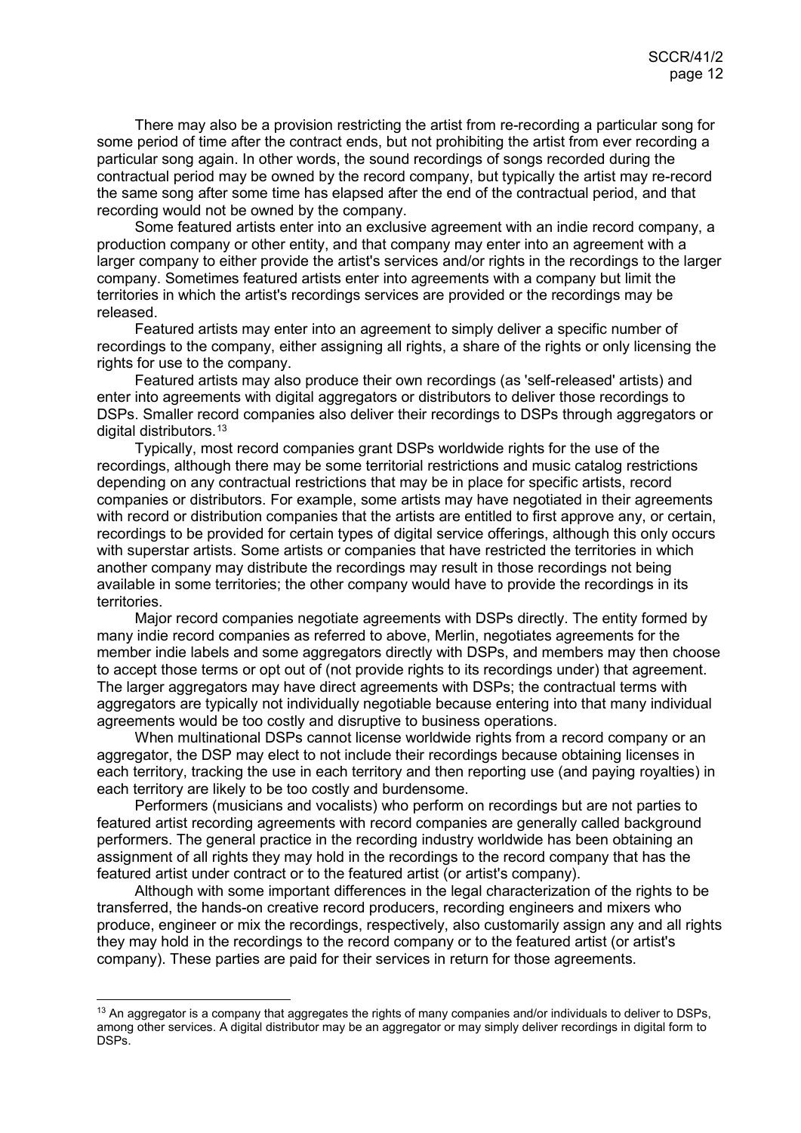There may also be a provision restricting the artist from re-recording a particular song for some period of time after the contract ends, but not prohibiting the artist from ever recording a particular song again. In other words, the sound recordings of songs recorded during the contractual period may be owned by the record company, but typically the artist may re-record the same song after some time has elapsed after the end of the contractual period, and that recording would not be owned by the company.

Some featured artists enter into an exclusive agreement with an indie record company, a production company or other entity, and that company may enter into an agreement with a larger company to either provide the artist's services and/or rights in the recordings to the larger company. Sometimes featured artists enter into agreements with a company but limit the territories in which the artist's recordings services are provided or the recordings may be released.

Featured artists may enter into an agreement to simply deliver a specific number of recordings to the company, either assigning all rights, a share of the rights or only licensing the rights for use to the company.

Featured artists may also produce their own recordings (as 'self-released' artists) and enter into agreements with digital aggregators or distributors to deliver those recordings to DSPs. Smaller record companies also deliver their recordings to DSPs through aggregators or digital distributors.<sup>[13](#page-11-0)</sup>

Typically, most record companies grant DSPs worldwide rights for the use of the recordings, although there may be some territorial restrictions and music catalog restrictions depending on any contractual restrictions that may be in place for specific artists, record companies or distributors. For example, some artists may have negotiated in their agreements with record or distribution companies that the artists are entitled to first approve any, or certain, recordings to be provided for certain types of digital service offerings, although this only occurs with superstar artists. Some artists or companies that have restricted the territories in which another company may distribute the recordings may result in those recordings not being available in some territories; the other company would have to provide the recordings in its territories.

Major record companies negotiate agreements with DSPs directly. The entity formed by many indie record companies as referred to above, Merlin, negotiates agreements for the member indie labels and some aggregators directly with DSPs, and members may then choose to accept those terms or opt out of (not provide rights to its recordings under) that agreement. The larger aggregators may have direct agreements with DSPs; the contractual terms with aggregators are typically not individually negotiable because entering into that many individual agreements would be too costly and disruptive to business operations.

When multinational DSPs cannot license worldwide rights from a record company or an aggregator, the DSP may elect to not include their recordings because obtaining licenses in each territory, tracking the use in each territory and then reporting use (and paying royalties) in each territory are likely to be too costly and burdensome.

Performers (musicians and vocalists) who perform on recordings but are not parties to featured artist recording agreements with record companies are generally called background performers. The general practice in the recording industry worldwide has been obtaining an assignment of all rights they may hold in the recordings to the record company that has the featured artist under contract or to the featured artist (or artist's company).

Although with some important differences in the legal characterization of the rights to be transferred, the hands-on creative record producers, recording engineers and mixers who produce, engineer or mix the recordings, respectively, also customarily assign any and all rights they may hold in the recordings to the record company or to the featured artist (or artist's company). These parties are paid for their services in return for those agreements.

<span id="page-11-0"></span><sup>&</sup>lt;sup>13</sup> An aggregator is a company that aggregates the rights of many companies and/or individuals to deliver to DSPs, among other services. A digital distributor may be an aggregator or may simply deliver recordings in digital form to DSPs.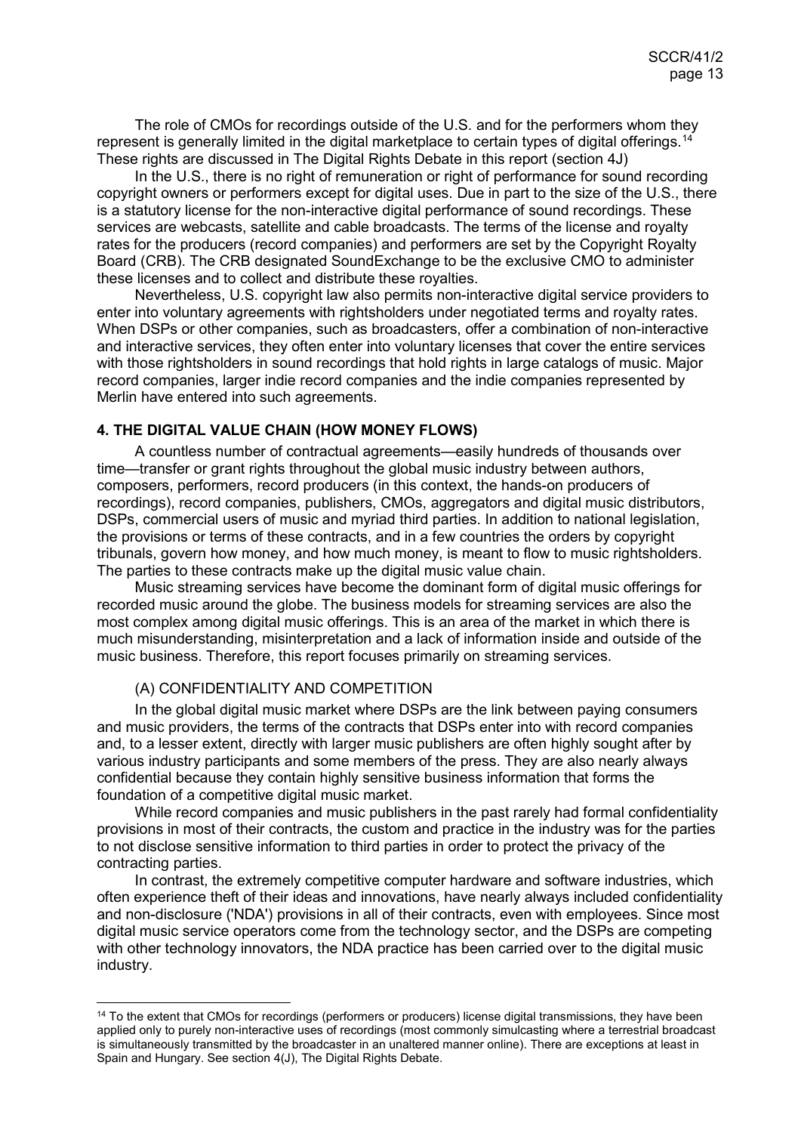The role of CMOs for recordings outside of the U.S. and for the performers whom they represent is generally limited in the digital marketplace to certain types of digital offerings.<sup>[14](#page-12-2)</sup> These rights are discussed in The Digital Rights Debate in this report (section 4J)

In the U.S., there is no right of remuneration or right of performance for sound recording copyright owners or performers except for digital uses. Due in part to the size of the U.S., there is a statutory license for the non-interactive digital performance of sound recordings. These services are webcasts, satellite and cable broadcasts. The terms of the license and royalty rates for the producers (record companies) and performers are set by the Copyright Royalty Board (CRB). The CRB designated SoundExchange to be the exclusive CMO to administer these licenses and to collect and distribute these royalties.

Nevertheless, U.S. copyright law also permits non-interactive digital service providers to enter into voluntary agreements with rightsholders under negotiated terms and royalty rates. When DSPs or other companies, such as broadcasters, offer a combination of non-interactive and interactive services, they often enter into voluntary licenses that cover the entire services with those rightsholders in sound recordings that hold rights in large catalogs of music. Major record companies, larger indie record companies and the indie companies represented by Merlin have entered into such agreements.

#### <span id="page-12-0"></span>**4. THE DIGITAL VALUE CHAIN (HOW MONEY FLOWS)**

A countless number of contractual agreements—easily hundreds of thousands over time—transfer or grant rights throughout the global music industry between authors, composers, performers, record producers (in this context, the hands-on producers of recordings), record companies, publishers, CMOs, aggregators and digital music distributors, DSPs, commercial users of music and myriad third parties. In addition to national legislation, the provisions or terms of these contracts, and in a few countries the orders by copyright tribunals, govern how money, and how much money, is meant to flow to music rightsholders. The parties to these contracts make up the digital music value chain.

Music streaming services have become the dominant form of digital music offerings for recorded music around the globe. The business models for streaming services are also the most complex among digital music offerings. This is an area of the market in which there is much misunderstanding, misinterpretation and a lack of information inside and outside of the music business. Therefore, this report focuses primarily on streaming services.

## <span id="page-12-1"></span>(A) CONFIDENTIALITY AND COMPETITION

In the global digital music market where DSPs are the link between paying consumers and music providers, the terms of the contracts that DSPs enter into with record companies and, to a lesser extent, directly with larger music publishers are often highly sought after by various industry participants and some members of the press. They are also nearly always confidential because they contain highly sensitive business information that forms the foundation of a competitive digital music market.

While record companies and music publishers in the past rarely had formal confidentiality provisions in most of their contracts, the custom and practice in the industry was for the parties to not disclose sensitive information to third parties in order to protect the privacy of the contracting parties.

In contrast, the extremely competitive computer hardware and software industries, which often experience theft of their ideas and innovations, have nearly always included confidentiality and non-disclosure ('NDA') provisions in all of their contracts, even with employees. Since most digital music service operators come from the technology sector, and the DSPs are competing with other technology innovators, the NDA practice has been carried over to the digital music industry.

<span id="page-12-2"></span><sup>&</sup>lt;sup>14</sup> To the extent that CMOs for recordings (performers or producers) license digital transmissions, they have been applied only to purely non-interactive uses of recordings (most commonly simulcasting where a terrestrial broadcast is simultaneously transmitted by the broadcaster in an unaltered manner online). There are exceptions at least in Spain and Hungary. See section 4(J), The Digital Rights Debate.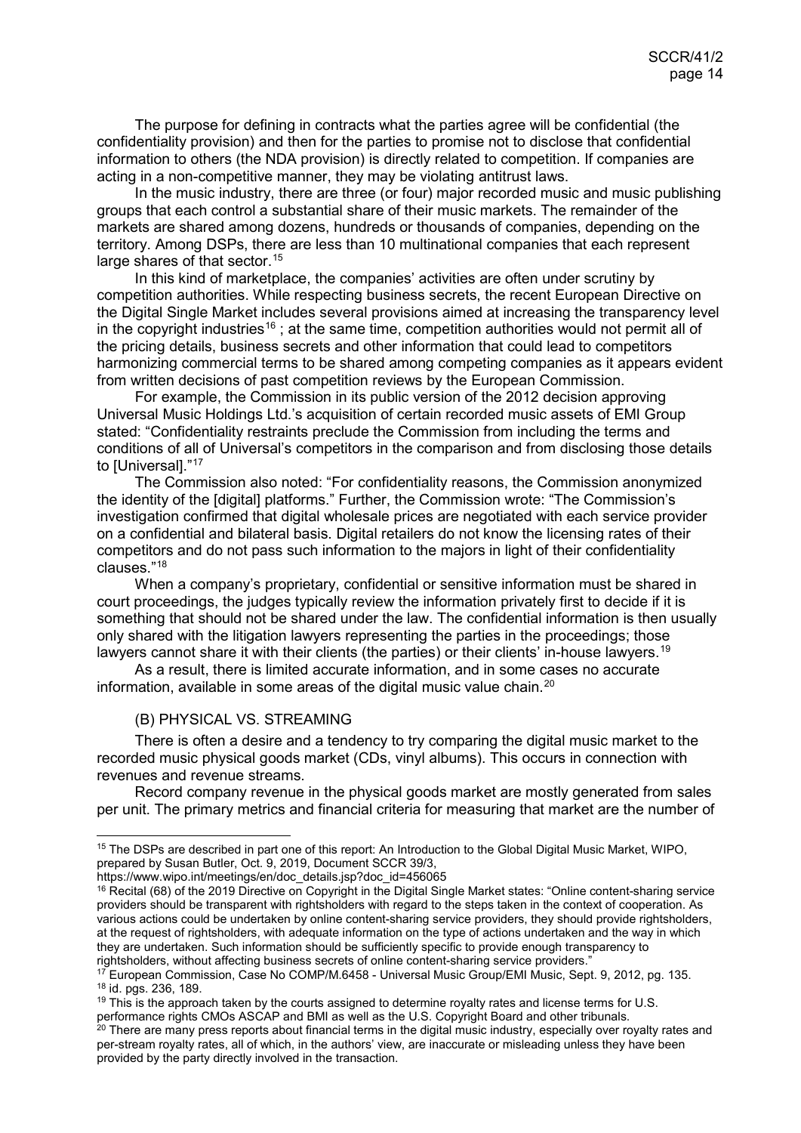The purpose for defining in contracts what the parties agree will be confidential (the confidentiality provision) and then for the parties to promise not to disclose that confidential information to others (the NDA provision) is directly related to competition. If companies are acting in a non-competitive manner, they may be violating antitrust laws.

In the music industry, there are three (or four) major recorded music and music publishing groups that each control a substantial share of their music markets. The remainder of the markets are shared among dozens, hundreds or thousands of companies, depending on the territory. Among DSPs, there are less than 10 multinational companies that each represent large shares of that sector.<sup>[15](#page-13-1)</sup>

In this kind of marketplace, the companies' activities are often under scrutiny by competition authorities. While respecting business secrets, the recent European Directive on the Digital Single Market includes several provisions aimed at increasing the transparency level in the copyright industries<sup>[16](#page-13-2)</sup>; at the same time, competition authorities would not permit all of the pricing details, business secrets and other information that could lead to competitors harmonizing commercial terms to be shared among competing companies as it appears evident from written decisions of past competition reviews by the European Commission.

For example, the Commission in its public version of the 2012 decision approving Universal Music Holdings Ltd.'s acquisition of certain recorded music assets of EMI Group stated: "Confidentiality restraints preclude the Commission from including the terms and conditions of all of Universal's competitors in the comparison and from disclosing those details to [Universal]."<sup>17</sup>

The Commission also noted: "For confidentiality reasons, the Commission anonymized the identity of the [digital] platforms." Further, the Commission wrote: "The Commission's investigation confirmed that digital wholesale prices are negotiated with each service provider on a confidential and bilateral basis. Digital retailers do not know the licensing rates of their competitors and do not pass such information to the majors in light of their confidentiality clauses."[18](#page-13-4)

When a company's proprietary, confidential or sensitive information must be shared in court proceedings, the judges typically review the information privately first to decide if it is something that should not be shared under the law. The confidential information is then usually only shared with the litigation lawyers representing the parties in the proceedings; those lawyers cannot share it with their clients (the parties) or their clients' in-house lawyers.<sup>[19](#page-13-5)</sup>

As a result, there is limited accurate information, and in some cases no accurate information, available in some areas of the digital music value chain. $^{20}$  $^{20}$  $^{20}$ 

#### <span id="page-13-0"></span>(B) PHYSICAL VS. STREAMING

There is often a desire and a tendency to try comparing the digital music market to the recorded music physical goods market (CDs, vinyl albums). This occurs in connection with revenues and revenue streams.

Record company revenue in the physical goods market are mostly generated from sales per unit. The primary metrics and financial criteria for measuring that market are the number of

https://www.wipo.int/meetings/en/doc\_details.jsp?doc\_id=456065

<span id="page-13-1"></span> <sup>15</sup> The DSPs are described in part one of this report: An Introduction to the Global Digital Music Market, WIPO, prepared by Susan Butler, Oct. 9, 2019, Document SCCR 39/3,

<span id="page-13-2"></span> $16$  Recital (68) of the 2019 Directive on Copyright in the Digital Single Market states: "Online content-sharing service providers should be transparent with rightsholders with regard to the steps taken in the context of cooperation. As various actions could be undertaken by online content-sharing service providers, they should provide rightsholders, at the request of rightsholders, with adequate information on the type of actions undertaken and the way in which they are undertaken. Such information should be sufficiently specific to provide enough transparency to rightsholders, without affecting business secrets of online content-sharing service providers."

<span id="page-13-4"></span><span id="page-13-3"></span><sup>17</sup> European Commission, Case No COMP/M.6458 - Universal Music Group/EMI Music, Sept. 9, 2012, pg. 135. <sup>18</sup> id. pgs. 236, 189.

<span id="page-13-5"></span> $19$  This is the approach taken by the courts assigned to determine royalty rates and license terms for U.S. performance rights CMOs ASCAP and BMI as well as the U.S. Copyright Board and other tribunals.

<span id="page-13-6"></span> $^{\rm 20}$  There are many press reports about financial terms in the digital music industry, especially over royalty rates and per-stream royalty rates, all of which, in the authors' view, are inaccurate or misleading unless they have been provided by the party directly involved in the transaction.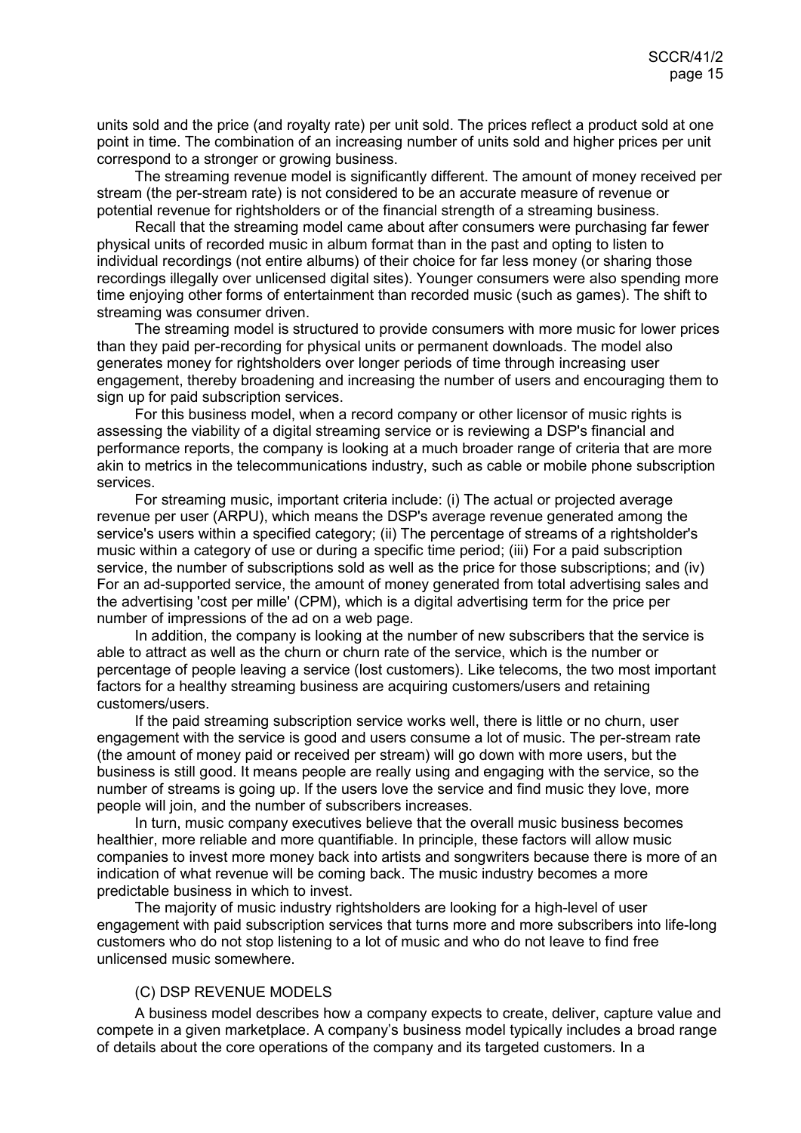units sold and the price (and royalty rate) per unit sold. The prices reflect a product sold at one point in time. The combination of an increasing number of units sold and higher prices per unit correspond to a stronger or growing business.

The streaming revenue model is significantly different. The amount of money received per stream (the per-stream rate) is not considered to be an accurate measure of revenue or potential revenue for rightsholders or of the financial strength of a streaming business.

Recall that the streaming model came about after consumers were purchasing far fewer physical units of recorded music in album format than in the past and opting to listen to individual recordings (not entire albums) of their choice for far less money (or sharing those recordings illegally over unlicensed digital sites). Younger consumers were also spending more time enjoying other forms of entertainment than recorded music (such as games). The shift to streaming was consumer driven.

The streaming model is structured to provide consumers with more music for lower prices than they paid per-recording for physical units or permanent downloads. The model also generates money for rightsholders over longer periods of time through increasing user engagement, thereby broadening and increasing the number of users and encouraging them to sign up for paid subscription services.

For this business model, when a record company or other licensor of music rights is assessing the viability of a digital streaming service or is reviewing a DSP's financial and performance reports, the company is looking at a much broader range of criteria that are more akin to metrics in the telecommunications industry, such as cable or mobile phone subscription services.

For streaming music, important criteria include: (i) The actual or projected average revenue per user (ARPU), which means the DSP's average revenue generated among the service's users within a specified category; (ii) The percentage of streams of a rightsholder's music within a category of use or during a specific time period; (iii) For a paid subscription service, the number of subscriptions sold as well as the price for those subscriptions; and (iv) For an ad-supported service, the amount of money generated from total advertising sales and the advertising 'cost per mille' (CPM), which is a digital advertising term for the price per number of impressions of the ad on a web page.

In addition, the company is looking at the number of new subscribers that the service is able to attract as well as the churn or churn rate of the service, which is the number or percentage of people leaving a service (lost customers). Like telecoms, the two most important factors for a healthy streaming business are acquiring customers/users and retaining customers/users.

If the paid streaming subscription service works well, there is little or no churn, user engagement with the service is good and users consume a lot of music. The per-stream rate (the amount of money paid or received per stream) will go down with more users, but the business is still good. It means people are really using and engaging with the service, so the number of streams is going up. If the users love the service and find music they love, more people will join, and the number of subscribers increases.

In turn, music company executives believe that the overall music business becomes healthier, more reliable and more quantifiable. In principle, these factors will allow music companies to invest more money back into artists and songwriters because there is more of an indication of what revenue will be coming back. The music industry becomes a more predictable business in which to invest.

The majority of music industry rightsholders are looking for a high-level of user engagement with paid subscription services that turns more and more subscribers into life-long customers who do not stop listening to a lot of music and who do not leave to find free unlicensed music somewhere.

#### <span id="page-14-0"></span>(C) DSP REVENUE MODELS

A business model describes how a company expects to create, deliver, capture value and compete in a given marketplace. A company's business model typically includes a broad range of details about the core operations of the company and its targeted customers. In a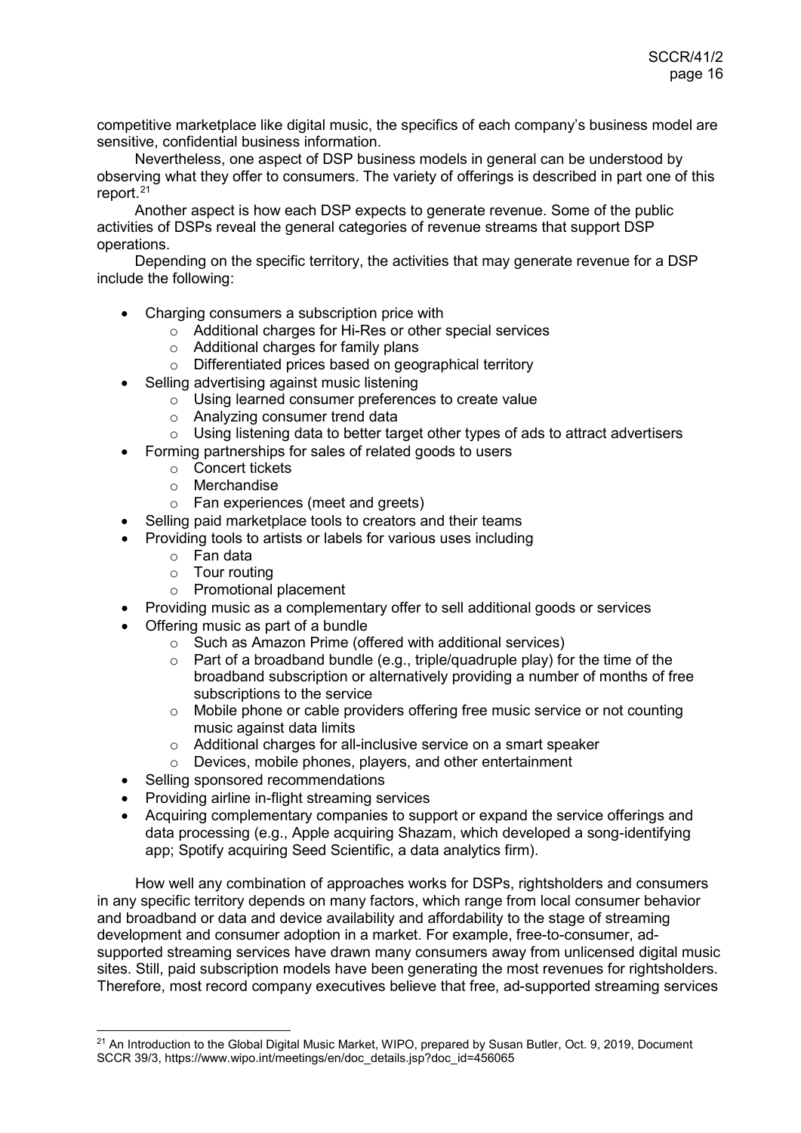competitive marketplace like digital music, the specifics of each company's business model are sensitive, confidential business information.

Nevertheless, one aspect of DSP business models in general can be understood by observing what they offer to consumers. The variety of offerings is described in part one of this report.[21](#page-15-0)

Another aspect is how each DSP expects to generate revenue. Some of the public activities of DSPs reveal the general categories of revenue streams that support DSP operations.

Depending on the specific territory, the activities that may generate revenue for a DSP include the following:

- Charging consumers a subscription price with
	- $\circ$  Additional charges for Hi-Res or other special services
	- o Additional charges for family plans
	- o Differentiated prices based on geographical territory
- Selling advertising against music listening
	- o Using learned consumer preferences to create value
	- Analyzing consumer trend data<br>○ Using listening data to better tar
	- Using listening data to better target other types of ads to attract advertisers
- Forming partnerships for sales of related goods to users
	- o Concert tickets
		- o Merchandise
		- o Fan experiences (meet and greets)
- Selling paid marketplace tools to creators and their teams
- Providing tools to artists or labels for various uses including
	- o Fan data
	- o Tour routing
	- o Promotional placement
- Providing music as a complementary offer to sell additional goods or services
- Offering music as part of a bundle
	- o Such as Amazon Prime (offered with additional services)
	- $\circ$  Part of a broadband bundle (e.g., triple/quadruple play) for the time of the broadband subscription or alternatively providing a number of months of free subscriptions to the service
	- $\circ$  Mobile phone or cable providers offering free music service or not counting music against data limits
	- $\circ$  Additional charges for all-inclusive service on a smart speaker
	- o Devices, mobile phones, players, and other entertainment
- Selling sponsored recommendations
- Providing airline in-flight streaming services
- Acquiring complementary companies to support or expand the service offerings and data processing (e.g., Apple acquiring Shazam, which developed a song-identifying app; Spotify acquiring Seed Scientific, a data analytics firm).

How well any combination of approaches works for DSPs, rightsholders and consumers in any specific territory depends on many factors, which range from local consumer behavior and broadband or data and device availability and affordability to the stage of streaming development and consumer adoption in a market. For example, free-to-consumer, adsupported streaming services have drawn many consumers away from unlicensed digital music sites. Still, paid subscription models have been generating the most revenues for rightsholders. Therefore, most record company executives believe that free, ad-supported streaming services

<span id="page-15-0"></span><sup>&</sup>lt;sup>21</sup> An Introduction to the Global Digital Music Market, WIPO, prepared by Susan Butler, Oct. 9, 2019, Document SCCR 39/3, https://www.wipo.int/meetings/en/doc\_details.jsp?doc\_id=456065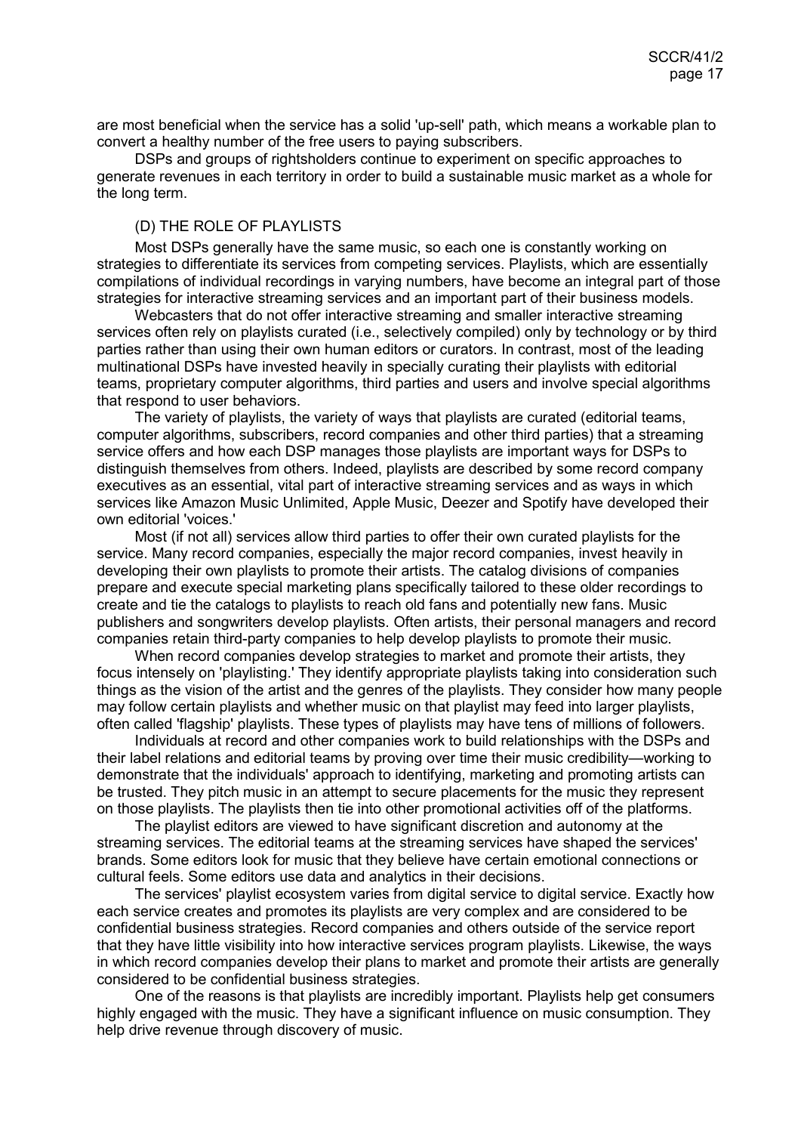are most beneficial when the service has a solid 'up-sell' path, which means a workable plan to convert a healthy number of the free users to paying subscribers.

DSPs and groups of rightsholders continue to experiment on specific approaches to generate revenues in each territory in order to build a sustainable music market as a whole for the long term.

## <span id="page-16-0"></span>(D) THE ROLE OF PLAYLISTS

Most DSPs generally have the same music, so each one is constantly working on strategies to differentiate its services from competing services. Playlists, which are essentially compilations of individual recordings in varying numbers, have become an integral part of those strategies for interactive streaming services and an important part of their business models.

Webcasters that do not offer interactive streaming and smaller interactive streaming services often rely on playlists curated (i.e., selectively compiled) only by technology or by third parties rather than using their own human editors or curators. In contrast, most of the leading multinational DSPs have invested heavily in specially curating their playlists with editorial teams, proprietary computer algorithms, third parties and users and involve special algorithms that respond to user behaviors.

The variety of playlists, the variety of ways that playlists are curated (editorial teams, computer algorithms, subscribers, record companies and other third parties) that a streaming service offers and how each DSP manages those playlists are important ways for DSPs to distinguish themselves from others. Indeed, playlists are described by some record company executives as an essential, vital part of interactive streaming services and as ways in which services like Amazon Music Unlimited, Apple Music, Deezer and Spotify have developed their own editorial 'voices.'

Most (if not all) services allow third parties to offer their own curated playlists for the service. Many record companies, especially the major record companies, invest heavily in developing their own playlists to promote their artists. The catalog divisions of companies prepare and execute special marketing plans specifically tailored to these older recordings to create and tie the catalogs to playlists to reach old fans and potentially new fans. Music publishers and songwriters develop playlists. Often artists, their personal managers and record companies retain third-party companies to help develop playlists to promote their music.

When record companies develop strategies to market and promote their artists, they focus intensely on 'playlisting.' They identify appropriate playlists taking into consideration such things as the vision of the artist and the genres of the playlists. They consider how many people may follow certain playlists and whether music on that playlist may feed into larger playlists, often called 'flagship' playlists. These types of playlists may have tens of millions of followers.

Individuals at record and other companies work to build relationships with the DSPs and their label relations and editorial teams by proving over time their music credibility—working to demonstrate that the individuals' approach to identifying, marketing and promoting artists can be trusted. They pitch music in an attempt to secure placements for the music they represent on those playlists. The playlists then tie into other promotional activities off of the platforms.

The playlist editors are viewed to have significant discretion and autonomy at the streaming services. The editorial teams at the streaming services have shaped the services' brands. Some editors look for music that they believe have certain emotional connections or cultural feels. Some editors use data and analytics in their decisions.

The services' playlist ecosystem varies from digital service to digital service. Exactly how each service creates and promotes its playlists are very complex and are considered to be confidential business strategies. Record companies and others outside of the service report that they have little visibility into how interactive services program playlists. Likewise, the ways in which record companies develop their plans to market and promote their artists are generally considered to be confidential business strategies.

One of the reasons is that playlists are incredibly important. Playlists help get consumers highly engaged with the music. They have a significant influence on music consumption. They help drive revenue through discovery of music.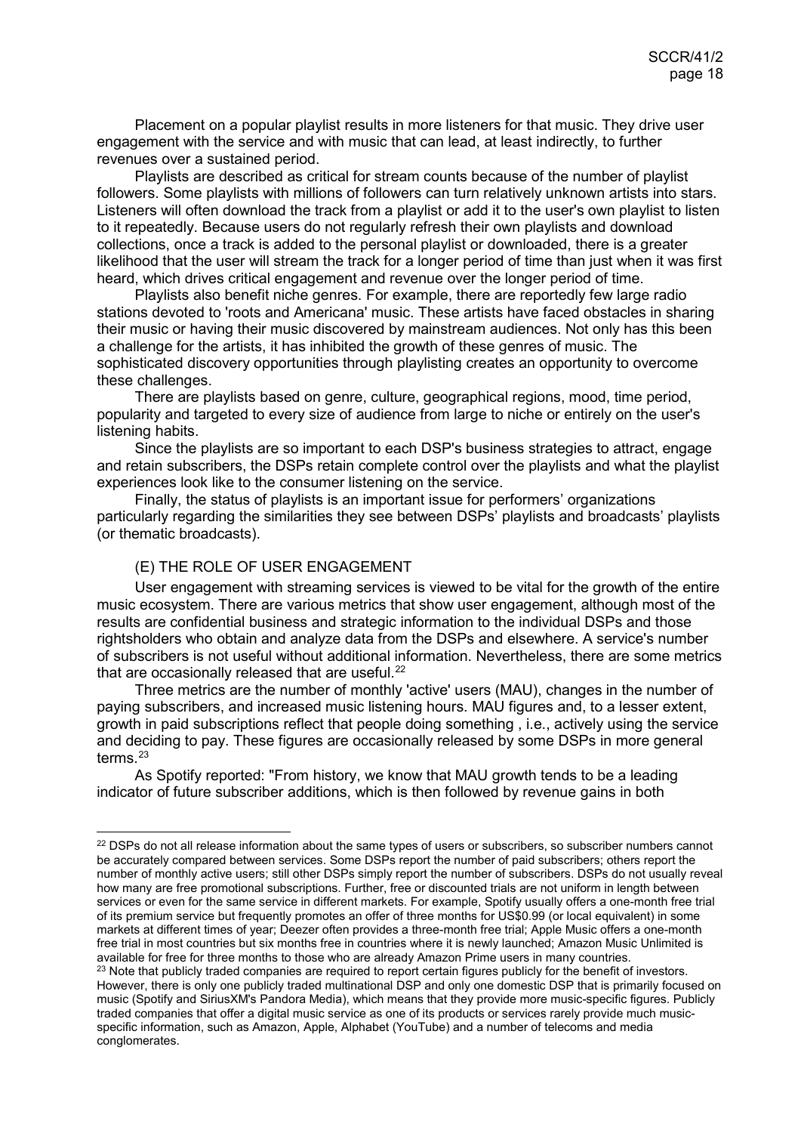Placement on a popular playlist results in more listeners for that music. They drive user engagement with the service and with music that can lead, at least indirectly, to further revenues over a sustained period.

Playlists are described as critical for stream counts because of the number of playlist followers. Some playlists with millions of followers can turn relatively unknown artists into stars. Listeners will often download the track from a playlist or add it to the user's own playlist to listen to it repeatedly. Because users do not regularly refresh their own playlists and download collections, once a track is added to the personal playlist or downloaded, there is a greater likelihood that the user will stream the track for a longer period of time than just when it was first heard, which drives critical engagement and revenue over the longer period of time.

Playlists also benefit niche genres. For example, there are reportedly few large radio stations devoted to 'roots and Americana' music. These artists have faced obstacles in sharing their music or having their music discovered by mainstream audiences. Not only has this been a challenge for the artists, it has inhibited the growth of these genres of music. The sophisticated discovery opportunities through playlisting creates an opportunity to overcome these challenges.

There are playlists based on genre, culture, geographical regions, mood, time period, popularity and targeted to every size of audience from large to niche or entirely on the user's listening habits.

Since the playlists are so important to each DSP's business strategies to attract, engage and retain subscribers, the DSPs retain complete control over the playlists and what the playlist experiences look like to the consumer listening on the service.

Finally, the status of playlists is an important issue for performers' organizations particularly regarding the similarities they see between DSPs' playlists and broadcasts' playlists (or thematic broadcasts).

## <span id="page-17-0"></span>(E) THE ROLE OF USER ENGAGEMENT

User engagement with streaming services is viewed to be vital for the growth of the entire music ecosystem. There are various metrics that show user engagement, although most of the results are confidential business and strategic information to the individual DSPs and those rightsholders who obtain and analyze data from the DSPs and elsewhere. A service's number of subscribers is not useful without additional information. Nevertheless, there are some metrics that are occasionally released that are useful.<sup>[22](#page-17-1)</sup>

Three metrics are the number of monthly 'active' users (MAU), changes in the number of paying subscribers, and increased music listening hours. MAU figures and, to a lesser extent, growth in paid subscriptions reflect that people doing something , i.e., actively using the service and deciding to pay. These figures are occasionally released by some DSPs in more general terms. [23](#page-17-2)

As Spotify reported: "From history, we know that MAU growth tends to be a leading indicator of future subscriber additions, which is then followed by revenue gains in both

<span id="page-17-2"></span><span id="page-17-1"></span><sup>&</sup>lt;sup>22</sup> DSPs do not all release information about the same types of users or subscribers, so subscriber numbers cannot be accurately compared between services. Some DSPs report the number of paid subscribers; others report the number of monthly active users; still other DSPs simply report the number of subscribers. DSPs do not usually reveal how many are free promotional subscriptions. Further, free or discounted trials are not uniform in length between services or even for the same service in different markets. For example, Spotify usually offers a one-month free trial of its premium service but frequently promotes an offer of three months for US\$0.99 (or local equivalent) in some markets at different times of year; Deezer often provides a three-month free trial; Apple Music offers a one-month free trial in most countries but six months free in countries where it is newly launched; Amazon Music Unlimited is available for free for three months to those who are already Amazon Prime users in many countries. <sup>23</sup> Note that publicly traded companies are required to report certain figures publicly for the benefit of investors. However, there is only one publicly traded multinational DSP and only one domestic DSP that is primarily focused on music (Spotify and SiriusXM's Pandora Media), which means that they provide more music-specific figures. Publicly traded companies that offer a digital music service as one of its products or services rarely provide much musicspecific information, such as Amazon, Apple, Alphabet (YouTube) and a number of telecoms and media conglomerates.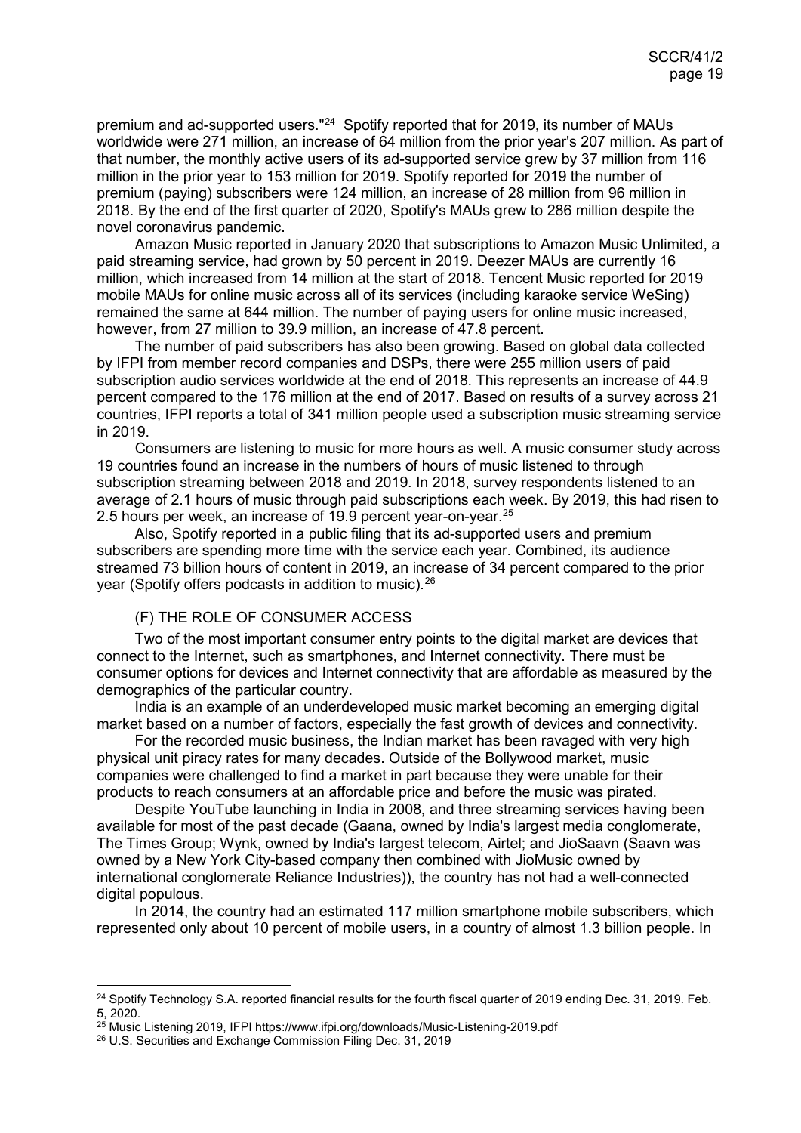premium and ad-supported users."<sup>[24](#page-18-1)</sup> Spotify reported that for 2019, its number of MAUs worldwide were 271 million, an increase of 64 million from the prior year's 207 million. As part of that number, the monthly active users of its ad-supported service grew by 37 million from 116 million in the prior year to 153 million for 2019. Spotify reported for 2019 the number of premium (paying) subscribers were 124 million, an increase of 28 million from 96 million in 2018. By the end of the first quarter of 2020, Spotify's MAUs grew to 286 million despite the novel coronavirus pandemic.

Amazon Music reported in January 2020 that subscriptions to Amazon Music Unlimited, a paid streaming service, had grown by 50 percent in 2019. Deezer MAUs are currently 16 million, which increased from 14 million at the start of 2018. Tencent Music reported for 2019 mobile MAUs for online music across all of its services (including karaoke service WeSing) remained the same at 644 million. The number of paying users for online music increased, however, from 27 million to 39.9 million, an increase of 47.8 percent.

The number of paid subscribers has also been growing. Based on global data collected by IFPI from member record companies and DSPs, there were 255 million users of paid subscription audio services worldwide at the end of 2018. This represents an increase of 44.9 percent compared to the 176 million at the end of 2017. Based on results of a survey across 21 countries, IFPI reports a total of 341 million people used a subscription music streaming service in 2019.

Consumers are listening to music for more hours as well. A music consumer study across 19 countries found an increase in the numbers of hours of music listened to through subscription streaming between 2018 and 2019. In 2018, survey respondents listened to an average of 2.1 hours of music through paid subscriptions each week. By 2019, this had risen to 2.5 hours per week, an increase of 19.9 percent year-on-year.<sup>[25](#page-18-2)</sup>

Also, Spotify reported in a public filing that its ad-supported users and premium subscribers are spending more time with the service each year. Combined, its audience streamed 73 billion hours of content in 2019, an increase of 34 percent compared to the prior year (Spotify offers podcasts in addition to music).[26](#page-18-3)

#### <span id="page-18-0"></span>(F) THE ROLE OF CONSUMER ACCESS

Two of the most important consumer entry points to the digital market are devices that connect to the Internet, such as smartphones, and Internet connectivity. There must be consumer options for devices and Internet connectivity that are affordable as measured by the demographics of the particular country.

India is an example of an underdeveloped music market becoming an emerging digital market based on a number of factors, especially the fast growth of devices and connectivity.

For the recorded music business, the Indian market has been ravaged with very high physical unit piracy rates for many decades. Outside of the Bollywood market, music companies were challenged to find a market in part because they were unable for their products to reach consumers at an affordable price and before the music was pirated.

Despite YouTube launching in India in 2008, and three streaming services having been available for most of the past decade (Gaana, owned by India's largest media conglomerate, The Times Group; Wynk, owned by India's largest telecom, Airtel; and JioSaavn (Saavn was owned by a New York City-based company then combined with JioMusic owned by international conglomerate Reliance Industries)), the country has not had a well-connected digital populous.

In 2014, the country had an estimated 117 million smartphone mobile subscribers, which represented only about 10 percent of mobile users, in a country of almost 1.3 billion people. In

<span id="page-18-1"></span><sup>&</sup>lt;sup>24</sup> Spotify Technology S.A. reported financial results for the fourth fiscal quarter of 2019 ending Dec. 31, 2019. Feb. 5, 2020.

<span id="page-18-2"></span><sup>&</sup>lt;sup>25</sup> Music Listening 2019, IFPI https://www.ifpi.org/downloads/Music-Listening-2019.pdf

<span id="page-18-3"></span><sup>26</sup> U.S. Securities and Exchange Commission Filing Dec. 31, 2019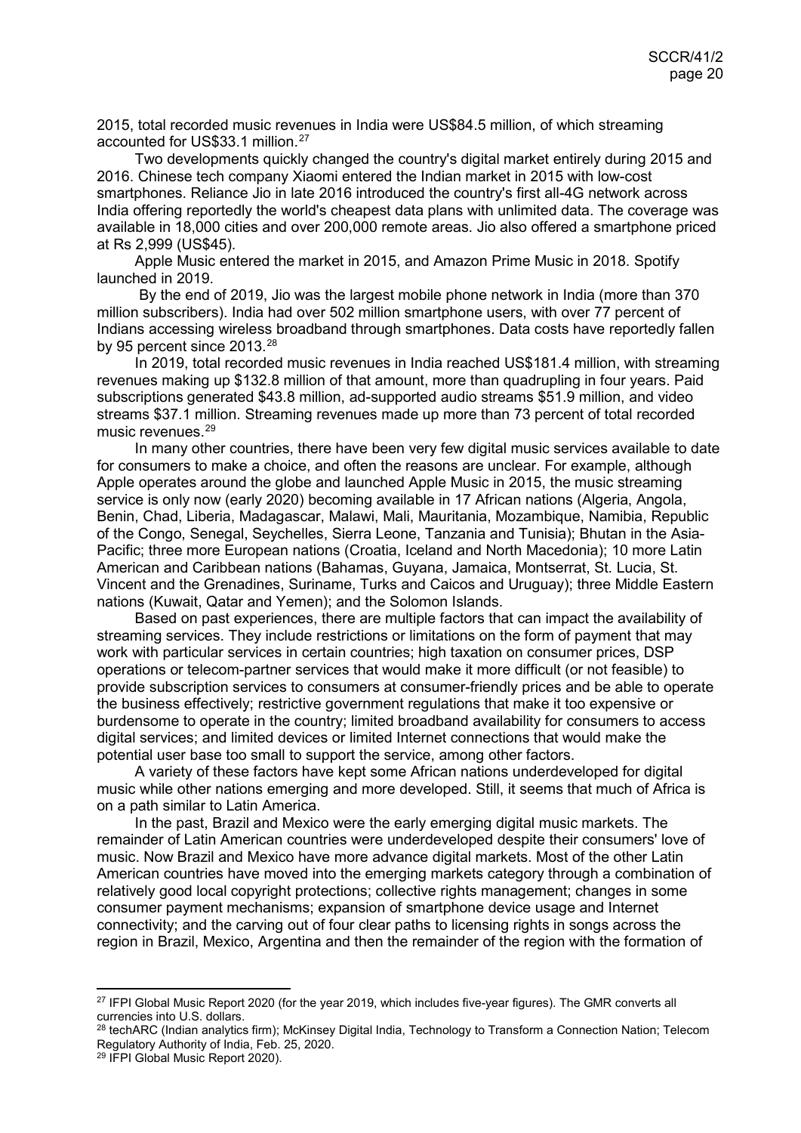2015, total recorded music revenues in India were US\$84.5 million, of which streaming accounted for US\$33.1 million.[27](#page-19-0)

Two developments quickly changed the country's digital market entirely during 2015 and 2016. Chinese tech company Xiaomi entered the Indian market in 2015 with low-cost smartphones. Reliance Jio in late 2016 introduced the country's first all-4G network across India offering reportedly the world's cheapest data plans with unlimited data. The coverage was available in 18,000 cities and over 200,000 remote areas. Jio also offered a smartphone priced at Rs 2,999 (US\$45).

Apple Music entered the market in 2015, and Amazon Prime Music in 2018. Spotify launched in 2019.

By the end of 2019, Jio was the largest mobile phone network in India (more than 370 million subscribers). India had over 502 million smartphone users, with over 77 percent of Indians accessing wireless broadband through smartphones. Data costs have reportedly fallen by 95 percent since 2013.<sup>[28](#page-19-1)</sup>

In 2019, total recorded music revenues in India reached US\$181.4 million, with streaming revenues making up \$132.8 million of that amount, more than quadrupling in four years. Paid subscriptions generated \$43.8 million, ad-supported audio streams \$51.9 million, and video streams \$37.1 million. Streaming revenues made up more than 73 percent of total recorded music revenues.<sup>[29](#page-19-2)</sup>

In many other countries, there have been very few digital music services available to date for consumers to make a choice, and often the reasons are unclear. For example, although Apple operates around the globe and launched Apple Music in 2015, the music streaming service is only now (early 2020) becoming available in 17 African nations (Algeria, Angola, Benin, Chad, Liberia, Madagascar, Malawi, Mali, Mauritania, Mozambique, Namibia, Republic of the Congo, Senegal, Seychelles, Sierra Leone, Tanzania and Tunisia); Bhutan in the Asia-Pacific; three more European nations (Croatia, Iceland and North Macedonia); 10 more Latin American and Caribbean nations (Bahamas, Guyana, Jamaica, Montserrat, St. Lucia, St. Vincent and the Grenadines, Suriname, Turks and Caicos and Uruguay); three Middle Eastern nations (Kuwait, Qatar and Yemen); and the Solomon Islands.

Based on past experiences, there are multiple factors that can impact the availability of streaming services. They include restrictions or limitations on the form of payment that may work with particular services in certain countries; high taxation on consumer prices, DSP operations or telecom-partner services that would make it more difficult (or not feasible) to provide subscription services to consumers at consumer-friendly prices and be able to operate the business effectively; restrictive government regulations that make it too expensive or burdensome to operate in the country; limited broadband availability for consumers to access digital services; and limited devices or limited Internet connections that would make the potential user base too small to support the service, among other factors.

A variety of these factors have kept some African nations underdeveloped for digital music while other nations emerging and more developed. Still, it seems that much of Africa is on a path similar to Latin America.

In the past, Brazil and Mexico were the early emerging digital music markets. The remainder of Latin American countries were underdeveloped despite their consumers' love of music. Now Brazil and Mexico have more advance digital markets. Most of the other Latin American countries have moved into the emerging markets category through a combination of relatively good local copyright protections; collective rights management; changes in some consumer payment mechanisms; expansion of smartphone device usage and Internet connectivity; and the carving out of four clear paths to licensing rights in songs across the region in Brazil, Mexico, Argentina and then the remainder of the region with the formation of

<span id="page-19-0"></span><sup>&</sup>lt;sup>27</sup> IFPI Global Music Report 2020 (for the year 2019, which includes five-year figures). The GMR converts all currencies into U.S. dollars.

<span id="page-19-1"></span><sup>&</sup>lt;sup>28</sup> techARC (Indian analytics firm); McKinsey Digital India, Technology to Transform a Connection Nation; Telecom Regulatory Authority of India, Feb. 25, 2020.

<span id="page-19-2"></span><sup>29</sup> IFPI Global Music Report 2020).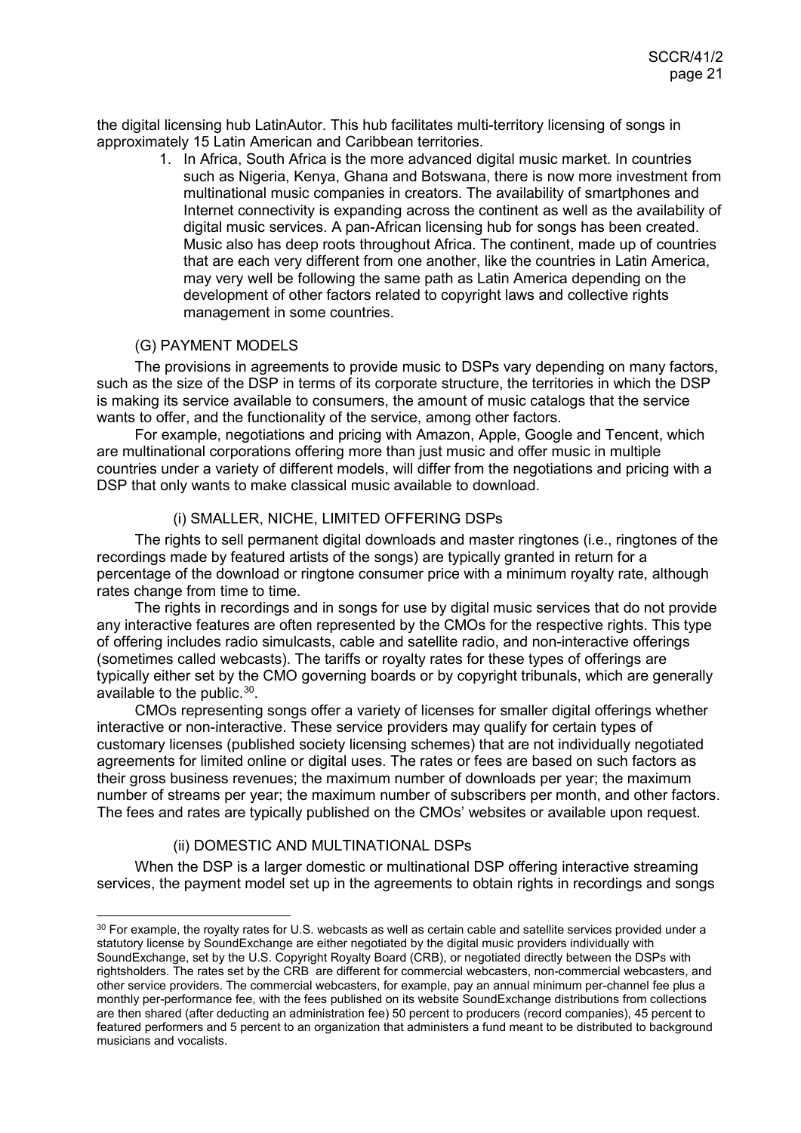the digital licensing hub LatinAutor. This hub facilitates multi-territory licensing of songs in approximately 15 Latin American and Caribbean territories.

> 1. In Africa, South Africa is the more advanced digital music market. In countries such as Nigeria, Kenya, Ghana and Botswana, there is now more investment from multinational music companies in creators. The availability of smartphones and Internet connectivity is expanding across the continent as well as the availability of digital music services. A pan-African licensing hub for songs has been created. Music also has deep roots throughout Africa. The continent, made up of countries that are each very different from one another, like the countries in Latin America, may very well be following the same path as Latin America depending on the development of other factors related to copyright laws and collective rights management in some countries.

## <span id="page-20-0"></span>(G) PAYMENT MODELS

The provisions in agreements to provide music to DSPs vary depending on many factors, such as the size of the DSP in terms of its corporate structure, the territories in which the DSP is making its service available to consumers, the amount of music catalogs that the service wants to offer, and the functionality of the service, among other factors.

For example, negotiations and pricing with Amazon, Apple, Google and Tencent, which are multinational corporations offering more than just music and offer music in multiple countries under a variety of different models, will differ from the negotiations and pricing with a DSP that only wants to make classical music available to download.

## <span id="page-20-1"></span>(i) SMALLER, NICHE, LIMITED OFFERING DSPs

The rights to sell permanent digital downloads and master ringtones (i.e., ringtones of the recordings made by featured artists of the songs) are typically granted in return for a percentage of the download or ringtone consumer price with a minimum royalty rate, although rates change from time to time.

The rights in recordings and in songs for use by digital music services that do not provide any interactive features are often represented by the CMOs for the respective rights. This type of offering includes radio simulcasts, cable and satellite radio, and non-interactive offerings (sometimes called webcasts). The tariffs or royalty rates for these types of offerings are typically either set by the CMO governing boards or by copyright tribunals, which are generally available to the public.[30](#page-20-3).

CMOs representing songs offer a variety of licenses for smaller digital offerings whether interactive or non-interactive. These service providers may qualify for certain types of customary licenses (published society licensing schemes) that are not individually negotiated agreements for limited online or digital uses. The rates or fees are based on such factors as their gross business revenues; the maximum number of downloads per year; the maximum number of streams per year; the maximum number of subscribers per month, and other factors. The fees and rates are typically published on the CMOs' websites or available upon request.

## <span id="page-20-2"></span>(ii) DOMESTIC AND MULTINATIONAL DSPs

When the DSP is a larger domestic or multinational DSP offering interactive streaming services, the payment model set up in the agreements to obtain rights in recordings and songs

<span id="page-20-3"></span> $30$  For example, the royalty rates for U.S. webcasts as well as certain cable and satellite services provided under a statutory license by SoundExchange are either negotiated by the digital music providers individually with SoundExchange, set by the U.S. Copyright Royalty Board (CRB), or negotiated directly between the DSPs with rightsholders. The rates set by the CRB are different for commercial webcasters, non-commercial webcasters, and other service providers. The commercial webcasters, for example, pay an annual minimum per-channel fee plus a monthly per-performance fee, with the fees published on its website SoundExchange distributions from collections are then shared (after deducting an administration fee) 50 percent to producers (record companies), 45 percent to featured performers and 5 percent to an organization that administers a fund meant to be distributed to background musicians and vocalists.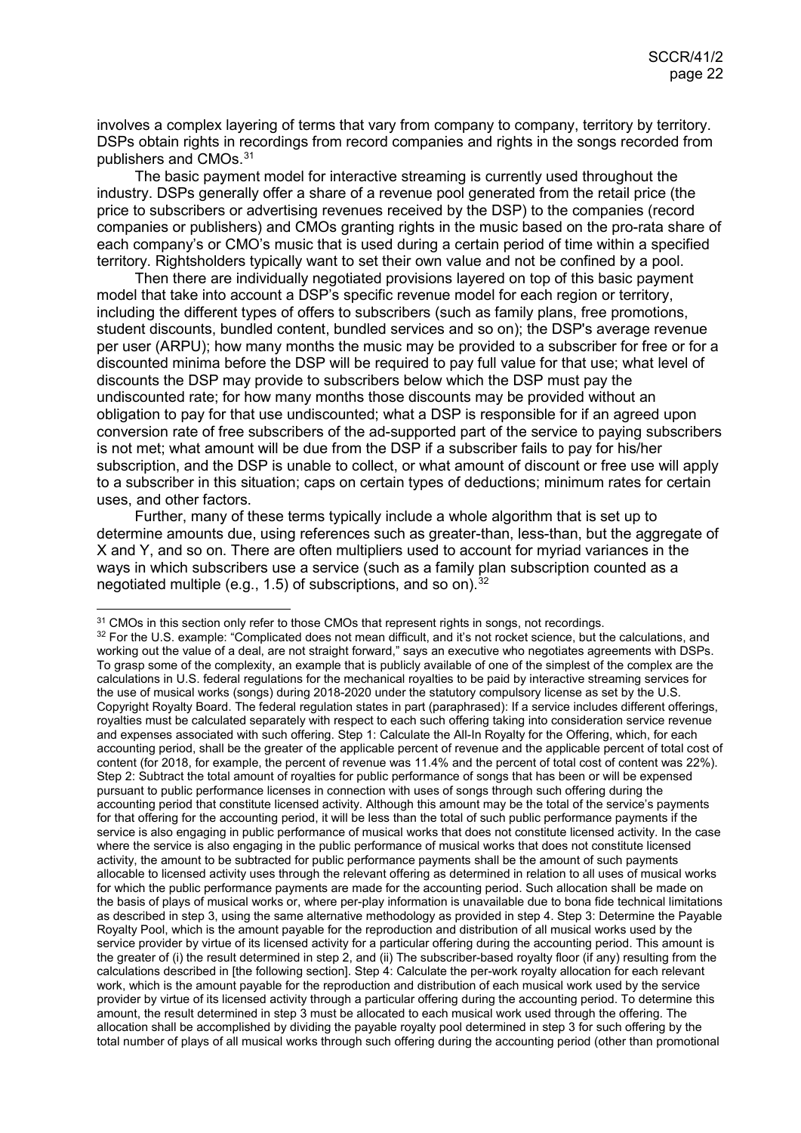involves a complex layering of terms that vary from company to company, territory by territory. DSPs obtain rights in recordings from record companies and rights in the songs recorded from publishers and CMOs.[31](#page-21-0)

The basic payment model for interactive streaming is currently used throughout the industry. DSPs generally offer a share of a revenue pool generated from the retail price (the price to subscribers or advertising revenues received by the DSP) to the companies (record companies or publishers) and CMOs granting rights in the music based on the pro-rata share of each company's or CMO's music that is used during a certain period of time within a specified territory. Rightsholders typically want to set their own value and not be confined by a pool.

Then there are individually negotiated provisions layered on top of this basic payment model that take into account a DSP's specific revenue model for each region or territory, including the different types of offers to subscribers (such as family plans, free promotions, student discounts, bundled content, bundled services and so on); the DSP's average revenue per user (ARPU); how many months the music may be provided to a subscriber for free or for a discounted minima before the DSP will be required to pay full value for that use; what level of discounts the DSP may provide to subscribers below which the DSP must pay the undiscounted rate; for how many months those discounts may be provided without an obligation to pay for that use undiscounted; what a DSP is responsible for if an agreed upon conversion rate of free subscribers of the ad-supported part of the service to paying subscribers is not met; what amount will be due from the DSP if a subscriber fails to pay for his/her subscription, and the DSP is unable to collect, or what amount of discount or free use will apply to a subscriber in this situation; caps on certain types of deductions; minimum rates for certain uses, and other factors.

Further, many of these terms typically include a whole algorithm that is set up to determine amounts due, using references such as greater-than, less-than, but the aggregate of X and Y, and so on. There are often multipliers used to account for myriad variances in the ways in which subscribers use a service (such as a family plan subscription counted as a negotiated multiple (e.g., 1.5) of subscriptions, and so on).<sup>[32](#page-21-1)</sup>

<span id="page-21-0"></span><sup>&</sup>lt;sup>31</sup> CMOs in this section only refer to those CMOs that represent rights in songs, not recordings.

<span id="page-21-1"></span><sup>32</sup> For the U.S. example: "Complicated does not mean difficult, and it's not rocket science, but the calculations, and working out the value of a deal, are not straight forward," says an executive who negotiates agreements with DSPs. To grasp some of the complexity, an example that is publicly available of one of the simplest of the complex are the calculations in U.S. federal regulations for the mechanical royalties to be paid by interactive streaming services for the use of musical works (songs) during 2018-2020 under the statutory compulsory license as set by the U.S. Copyright Royalty Board. The federal regulation states in part (paraphrased): If a service includes different offerings, royalties must be calculated separately with respect to each such offering taking into consideration service revenue and expenses associated with such offering. Step 1: Calculate the All-In Royalty for the Offering, which, for each accounting period, shall be the greater of the applicable percent of revenue and the applicable percent of total cost of content (for 2018, for example, the percent of revenue was 11.4% and the percent of total cost of content was 22%). Step 2: Subtract the total amount of royalties for public performance of songs that has been or will be expensed pursuant to public performance licenses in connection with uses of songs through such offering during the accounting period that constitute licensed activity. Although this amount may be the total of the service's payments for that offering for the accounting period, it will be less than the total of such public performance payments if the service is also engaging in public performance of musical works that does not constitute licensed activity. In the case where the service is also engaging in the public performance of musical works that does not constitute licensed activity, the amount to be subtracted for public performance payments shall be the amount of such payments allocable to licensed activity uses through the relevant offering as determined in relation to all uses of musical works for which the public performance payments are made for the accounting period. Such allocation shall be made on the basis of plays of musical works or, where per-play information is unavailable due to bona fide technical limitations as described in step 3, using the same alternative methodology as provided in step 4. Step 3: Determine the Payable Royalty Pool, which is the amount payable for the reproduction and distribution of all musical works used by the service provider by virtue of its licensed activity for a particular offering during the accounting period. This amount is the greater of (i) the result determined in step 2, and (ii) The subscriber-based royalty floor (if any) resulting from the calculations described in [the following section]. Step 4: Calculate the per-work royalty allocation for each relevant work, which is the amount payable for the reproduction and distribution of each musical work used by the service provider by virtue of its licensed activity through a particular offering during the accounting period. To determine this amount, the result determined in step 3 must be allocated to each musical work used through the offering. The allocation shall be accomplished by dividing the payable royalty pool determined in step 3 for such offering by the total number of plays of all musical works through such offering during the accounting period (other than promotional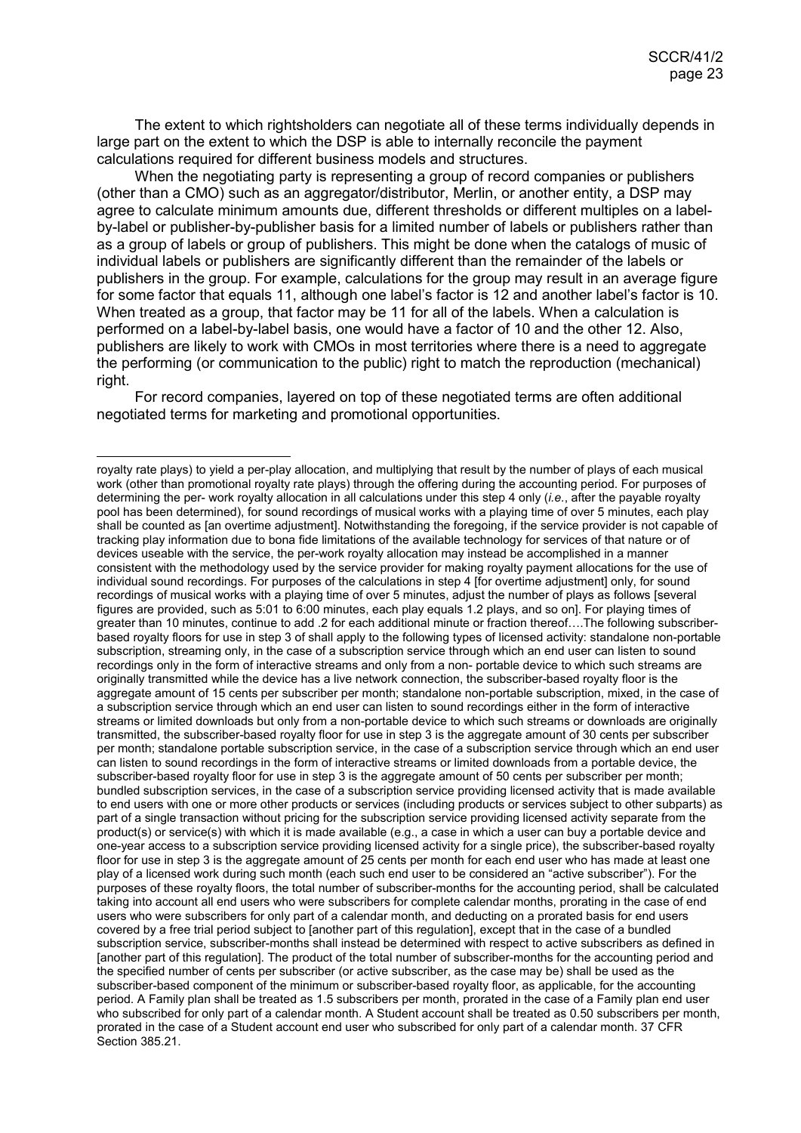The extent to which rightsholders can negotiate all of these terms individually depends in large part on the extent to which the DSP is able to internally reconcile the payment calculations required for different business models and structures.

When the negotiating party is representing a group of record companies or publishers (other than a CMO) such as an aggregator/distributor, Merlin, or another entity, a DSP may agree to calculate minimum amounts due, different thresholds or different multiples on a labelby-label or publisher-by-publisher basis for a limited number of labels or publishers rather than as a group of labels or group of publishers. This might be done when the catalogs of music of individual labels or publishers are significantly different than the remainder of the labels or publishers in the group. For example, calculations for the group may result in an average figure for some factor that equals 11, although one label's factor is 12 and another label's factor is 10. When treated as a group, that factor may be 11 for all of the labels. When a calculation is performed on a label-by-label basis, one would have a factor of 10 and the other 12. Also, publishers are likely to work with CMOs in most territories where there is a need to aggregate the performing (or communication to the public) right to match the reproduction (mechanical) right.

For record companies, layered on top of these negotiated terms are often additional negotiated terms for marketing and promotional opportunities.

royalty rate plays) to yield a per-play allocation, and multiplying that result by the number of plays of each musical work (other than promotional royalty rate plays) through the offering during the accounting period. For purposes of determining the per- work royalty allocation in all calculations under this step 4 only (*i.e.*, after the payable royalty pool has been determined), for sound recordings of musical works with a playing time of over 5 minutes, each play shall be counted as [an overtime adjustment]. Notwithstanding the foregoing, if the service provider is not capable of tracking play information due to bona fide limitations of the available technology for services of that nature or of devices useable with the service, the per-work royalty allocation may instead be accomplished in a manner consistent with the methodology used by the service provider for making royalty payment allocations for the use of individual sound recordings. For purposes of the calculations in step 4 [for overtime adjustment] only, for sound recordings of musical works with a playing time of over 5 minutes, adjust the number of plays as follows [several figures are provided, such as 5:01 to 6:00 minutes, each play equals 1.2 plays, and so on]. For playing times of greater than 10 minutes, continue to add .2 for each additional minute or fraction thereof….The following subscriberbased royalty floors for use in step 3 of shall apply to the following types of licensed activity: standalone non-portable subscription, streaming only, in the case of a subscription service through which an end user can listen to sound recordings only in the form of interactive streams and only from a non- portable device to which such streams are originally transmitted while the device has a live network connection, the subscriber-based royalty floor is the aggregate amount of 15 cents per subscriber per month; standalone non-portable subscription, mixed, in the case of a subscription service through which an end user can listen to sound recordings either in the form of interactive streams or limited downloads but only from a non-portable device to which such streams or downloads are originally transmitted, the subscriber-based royalty floor for use in step 3 is the aggregate amount of 30 cents per subscriber per month; standalone portable subscription service, in the case of a subscription service through which an end user can listen to sound recordings in the form of interactive streams or limited downloads from a portable device, the subscriber-based royalty floor for use in step 3 is the aggregate amount of 50 cents per subscriber per month; bundled subscription services, in the case of a subscription service providing licensed activity that is made available to end users with one or more other products or services (including products or services subject to other subparts) as part of a single transaction without pricing for the subscription service providing licensed activity separate from the product(s) or service(s) with which it is made available (e.g., a case in which a user can buy a portable device and one-year access to a subscription service providing licensed activity for a single price), the subscriber-based royalty floor for use in step 3 is the aggregate amount of 25 cents per month for each end user who has made at least one play of a licensed work during such month (each such end user to be considered an "active subscriber"). For the purposes of these royalty floors, the total number of subscriber-months for the accounting period, shall be calculated taking into account all end users who were subscribers for complete calendar months, prorating in the case of end users who were subscribers for only part of a calendar month, and deducting on a prorated basis for end users covered by a free trial period subject to [another part of this regulation], except that in the case of a bundled subscription service, subscriber-months shall instead be determined with respect to active subscribers as defined in [another part of this regulation]. The product of the total number of subscriber-months for the accounting period and the specified number of cents per subscriber (or active subscriber, as the case may be) shall be used as the subscriber-based component of the minimum or subscriber-based royalty floor, as applicable, for the accounting period. A Family plan shall be treated as 1.5 subscribers per month, prorated in the case of a Family plan end user who subscribed for only part of a calendar month. A Student account shall be treated as 0.50 subscribers per month, prorated in the case of a Student account end user who subscribed for only part of a calendar month. 37 CFR Section 385.21.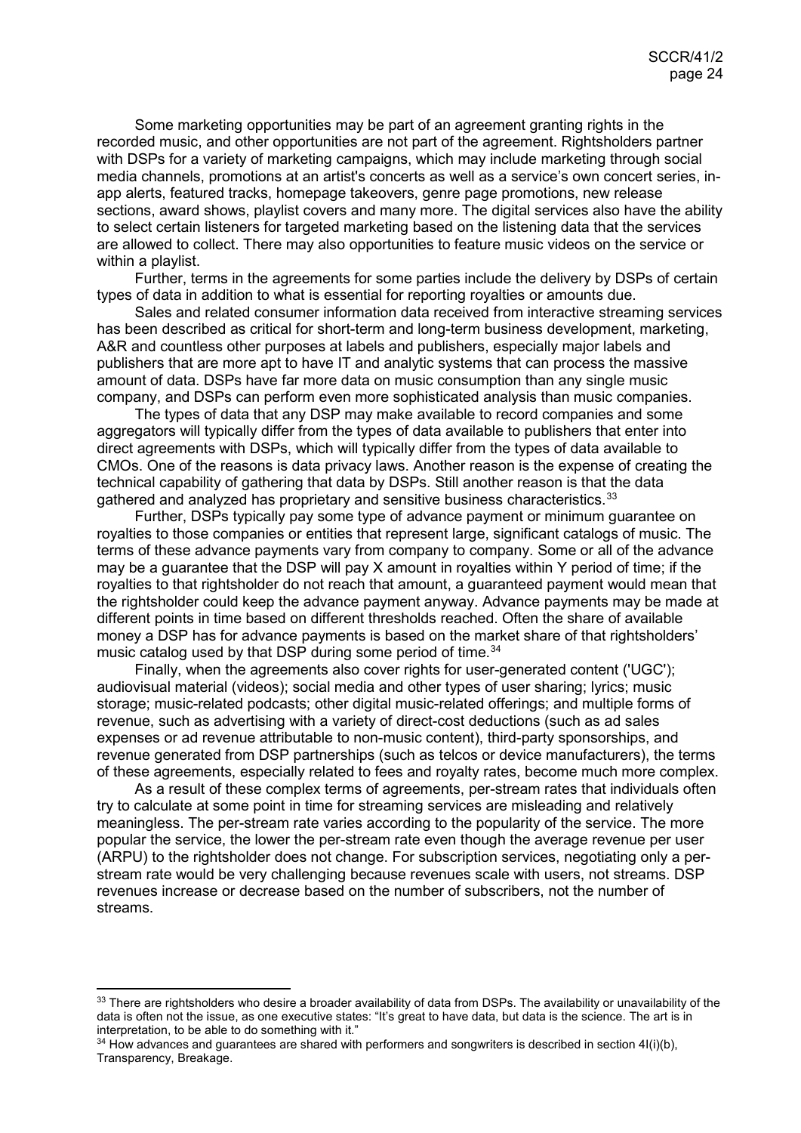Some marketing opportunities may be part of an agreement granting rights in the recorded music, and other opportunities are not part of the agreement. Rightsholders partner with DSPs for a variety of marketing campaigns, which may include marketing through social media channels, promotions at an artist's concerts as well as a service's own concert series, inapp alerts, featured tracks, homepage takeovers, genre page promotions, new release sections, award shows, playlist covers and many more. The digital services also have the ability to select certain listeners for targeted marketing based on the listening data that the services are allowed to collect. There may also opportunities to feature music videos on the service or within a playlist.

Further, terms in the agreements for some parties include the delivery by DSPs of certain types of data in addition to what is essential for reporting royalties or amounts due.

Sales and related consumer information data received from interactive streaming services has been described as critical for short-term and long-term business development, marketing, A&R and countless other purposes at labels and publishers, especially major labels and publishers that are more apt to have IT and analytic systems that can process the massive amount of data. DSPs have far more data on music consumption than any single music company, and DSPs can perform even more sophisticated analysis than music companies.

The types of data that any DSP may make available to record companies and some aggregators will typically differ from the types of data available to publishers that enter into direct agreements with DSPs, which will typically differ from the types of data available to CMOs. One of the reasons is data privacy laws. Another reason is the expense of creating the technical capability of gathering that data by DSPs. Still another reason is that the data gathered and analyzed has proprietary and sensitive business characteristics.[33](#page-23-0)

Further, DSPs typically pay some type of advance payment or minimum guarantee on royalties to those companies or entities that represent large, significant catalogs of music. The terms of these advance payments vary from company to company. Some or all of the advance may be a guarantee that the DSP will pay X amount in royalties within Y period of time; if the royalties to that rightsholder do not reach that amount, a guaranteed payment would mean that the rightsholder could keep the advance payment anyway. Advance payments may be made at different points in time based on different thresholds reached. Often the share of available money a DSP has for advance payments is based on the market share of that rightsholders' music catalog used by that DSP during some period of time.<sup>[34](#page-23-1)</sup>

Finally, when the agreements also cover rights for user-generated content ('UGC'); audiovisual material (videos); social media and other types of user sharing; lyrics; music storage; music-related podcasts; other digital music-related offerings; and multiple forms of revenue, such as advertising with a variety of direct-cost deductions (such as ad sales expenses or ad revenue attributable to non-music content), third-party sponsorships, and revenue generated from DSP partnerships (such as telcos or device manufacturers), the terms of these agreements, especially related to fees and royalty rates, become much more complex.

As a result of these complex terms of agreements, per-stream rates that individuals often try to calculate at some point in time for streaming services are misleading and relatively meaningless. The per-stream rate varies according to the popularity of the service. The more popular the service, the lower the per-stream rate even though the average revenue per user (ARPU) to the rightsholder does not change. For subscription services, negotiating only a perstream rate would be very challenging because revenues scale with users, not streams. DSP revenues increase or decrease based on the number of subscribers, not the number of streams.

<span id="page-23-0"></span><sup>33</sup> There are rightsholders who desire a broader availability of data from DSPs. The availability or unavailability of the data is often not the issue, as one executive states: "It's great to have data, but data is the science. The art is in interpretation, to be able to do something with it."

<span id="page-23-1"></span> $34$  How advances and guarantees are shared with performers and songwriters is described in section 4 $I(i)(b)$ , Transparency, Breakage.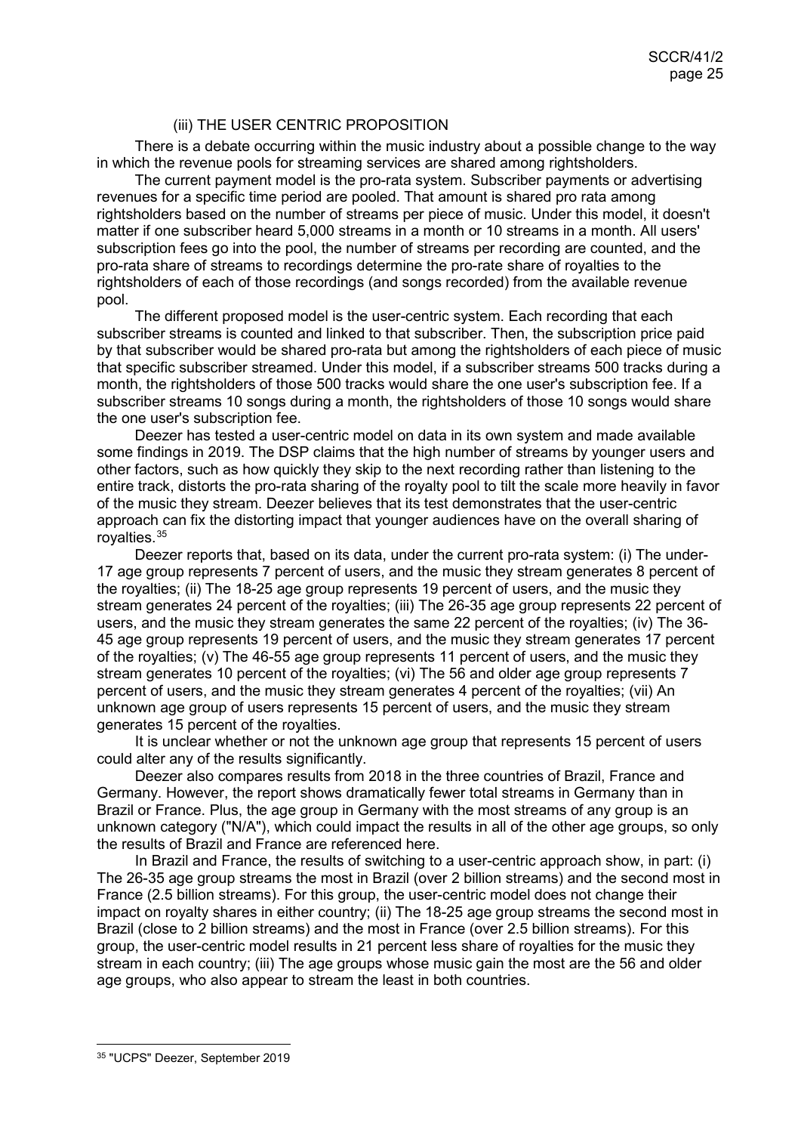## <span id="page-24-0"></span>(iii) THE USER CENTRIC PROPOSITION

There is a debate occurring within the music industry about a possible change to the way in which the revenue pools for streaming services are shared among rightsholders.

The current payment model is the pro-rata system. Subscriber payments or advertising revenues for a specific time period are pooled. That amount is shared pro rata among rightsholders based on the number of streams per piece of music. Under this model, it doesn't matter if one subscriber heard 5,000 streams in a month or 10 streams in a month. All users' subscription fees go into the pool, the number of streams per recording are counted, and the pro-rata share of streams to recordings determine the pro-rate share of royalties to the rightsholders of each of those recordings (and songs recorded) from the available revenue pool.

The different proposed model is the user-centric system. Each recording that each subscriber streams is counted and linked to that subscriber. Then, the subscription price paid by that subscriber would be shared pro-rata but among the rightsholders of each piece of music that specific subscriber streamed. Under this model, if a subscriber streams 500 tracks during a month, the rightsholders of those 500 tracks would share the one user's subscription fee. If a subscriber streams 10 songs during a month, the rightsholders of those 10 songs would share the one user's subscription fee.

Deezer has tested a user-centric model on data in its own system and made available some findings in 2019. The DSP claims that the high number of streams by younger users and other factors, such as how quickly they skip to the next recording rather than listening to the entire track, distorts the pro-rata sharing of the royalty pool to tilt the scale more heavily in favor of the music they stream. Deezer believes that its test demonstrates that the user-centric approach can fix the distorting impact that younger audiences have on the overall sharing of royalties.[35](#page-24-1)

Deezer reports that, based on its data, under the current pro-rata system: (i) The under-17 age group represents 7 percent of users, and the music they stream generates 8 percent of the royalties; (ii) The 18-25 age group represents 19 percent of users, and the music they stream generates 24 percent of the royalties; (iii) The 26-35 age group represents 22 percent of users, and the music they stream generates the same 22 percent of the royalties; (iv) The 36- 45 age group represents 19 percent of users, and the music they stream generates 17 percent of the royalties; (v) The 46-55 age group represents 11 percent of users, and the music they stream generates 10 percent of the royalties; (vi) The 56 and older age group represents 7 percent of users, and the music they stream generates 4 percent of the royalties; (vii) An unknown age group of users represents 15 percent of users, and the music they stream generates 15 percent of the royalties.

It is unclear whether or not the unknown age group that represents 15 percent of users could alter any of the results significantly.

Deezer also compares results from 2018 in the three countries of Brazil, France and Germany. However, the report shows dramatically fewer total streams in Germany than in Brazil or France. Plus, the age group in Germany with the most streams of any group is an unknown category ("N/A"), which could impact the results in all of the other age groups, so only the results of Brazil and France are referenced here.

In Brazil and France, the results of switching to a user-centric approach show, in part: (i) The 26-35 age group streams the most in Brazil (over 2 billion streams) and the second most in France (2.5 billion streams). For this group, the user-centric model does not change their impact on royalty shares in either country; (ii) The 18-25 age group streams the second most in Brazil (close to 2 billion streams) and the most in France (over 2.5 billion streams). For this group, the user-centric model results in 21 percent less share of royalties for the music they stream in each country; (iii) The age groups whose music gain the most are the 56 and older age groups, who also appear to stream the least in both countries.

<span id="page-24-1"></span> <sup>35</sup> "UCPS" Deezer, September 2019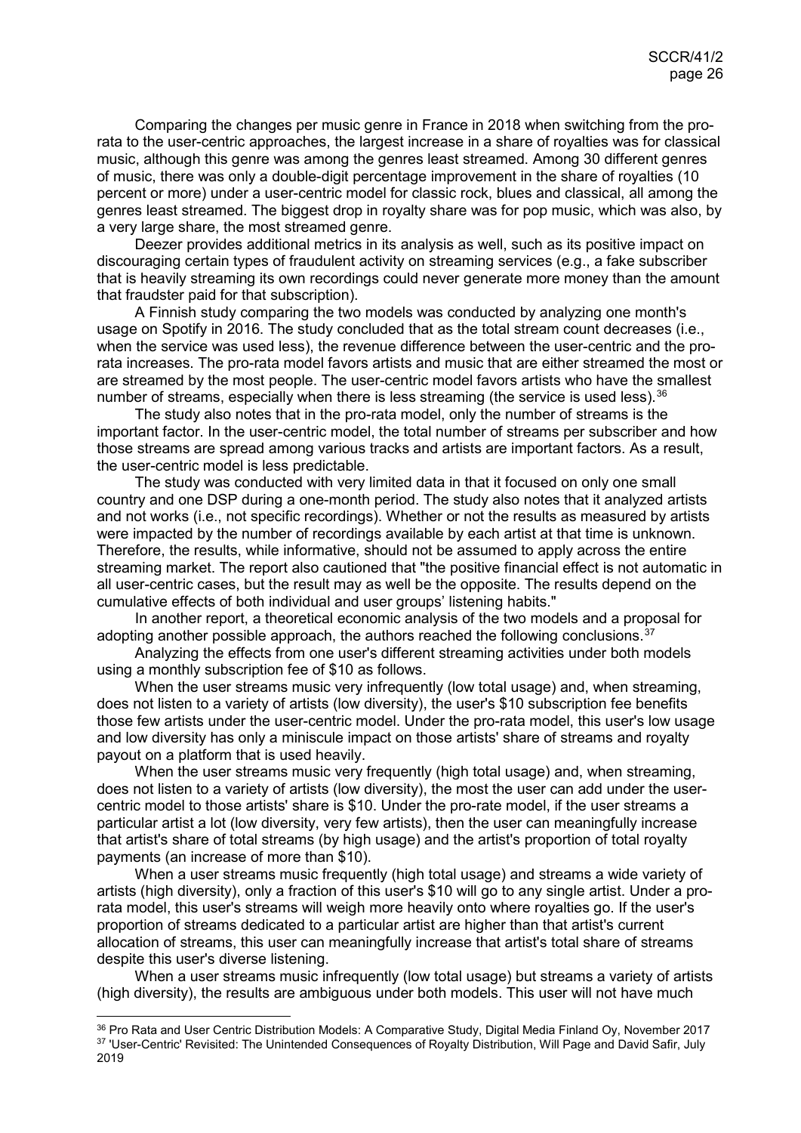Comparing the changes per music genre in France in 2018 when switching from the prorata to the user-centric approaches, the largest increase in a share of royalties was for classical music, although this genre was among the genres least streamed. Among 30 different genres of music, there was only a double-digit percentage improvement in the share of royalties (10 percent or more) under a user-centric model for classic rock, blues and classical, all among the genres least streamed. The biggest drop in royalty share was for pop music, which was also, by a very large share, the most streamed genre.

Deezer provides additional metrics in its analysis as well, such as its positive impact on discouraging certain types of fraudulent activity on streaming services (e.g., a fake subscriber that is heavily streaming its own recordings could never generate more money than the amount that fraudster paid for that subscription).

A Finnish study comparing the two models was conducted by analyzing one month's usage on Spotify in 2016. The study concluded that as the total stream count decreases (i.e., when the service was used less), the revenue difference between the user-centric and the prorata increases. The pro-rata model favors artists and music that are either streamed the most or are streamed by the most people. The user-centric model favors artists who have the smallest number of streams, especially when there is less streaming (the service is used less).<sup>[36](#page-25-0)</sup>

The study also notes that in the pro-rata model, only the number of streams is the important factor. In the user-centric model, the total number of streams per subscriber and how those streams are spread among various tracks and artists are important factors. As a result, the user-centric model is less predictable.

The study was conducted with very limited data in that it focused on only one small country and one DSP during a one-month period. The study also notes that it analyzed artists and not works (i.e., not specific recordings). Whether or not the results as measured by artists were impacted by the number of recordings available by each artist at that time is unknown. Therefore, the results, while informative, should not be assumed to apply across the entire streaming market. The report also cautioned that "the positive financial effect is not automatic in all user-centric cases, but the result may as well be the opposite. The results depend on the cumulative effects of both individual and user groups' listening habits."

In another report, a theoretical economic analysis of the two models and a proposal for adopting another possible approach, the authors reached the following conclusions.  $37$ 

Analyzing the effects from one user's different streaming activities under both models using a monthly subscription fee of \$10 as follows.

When the user streams music very infrequently (low total usage) and, when streaming, does not listen to a variety of artists (low diversity), the user's \$10 subscription fee benefits those few artists under the user-centric model. Under the pro-rata model, this user's low usage and low diversity has only a miniscule impact on those artists' share of streams and royalty payout on a platform that is used heavily.

When the user streams music very frequently (high total usage) and, when streaming, does not listen to a variety of artists (low diversity), the most the user can add under the usercentric model to those artists' share is \$10. Under the pro-rate model, if the user streams a particular artist a lot (low diversity, very few artists), then the user can meaningfully increase that artist's share of total streams (by high usage) and the artist's proportion of total royalty payments (an increase of more than \$10).

When a user streams music frequently (high total usage) and streams a wide variety of artists (high diversity), only a fraction of this user's \$10 will go to any single artist. Under a prorata model, this user's streams will weigh more heavily onto where royalties go. If the user's proportion of streams dedicated to a particular artist are higher than that artist's current allocation of streams, this user can meaningfully increase that artist's total share of streams despite this user's diverse listening.

When a user streams music infrequently (low total usage) but streams a variety of artists (high diversity), the results are ambiguous under both models. This user will not have much

<span id="page-25-1"></span><span id="page-25-0"></span><sup>&</sup>lt;sup>36</sup> Pro Rata and User Centric Distribution Models: A Comparative Study, Digital Media Finland Oy, November 2017 <sup>37</sup> 'User-Centric' Revisited: The Unintended Consequences of Royalty Distribution, Will Page and David Safir, July 2019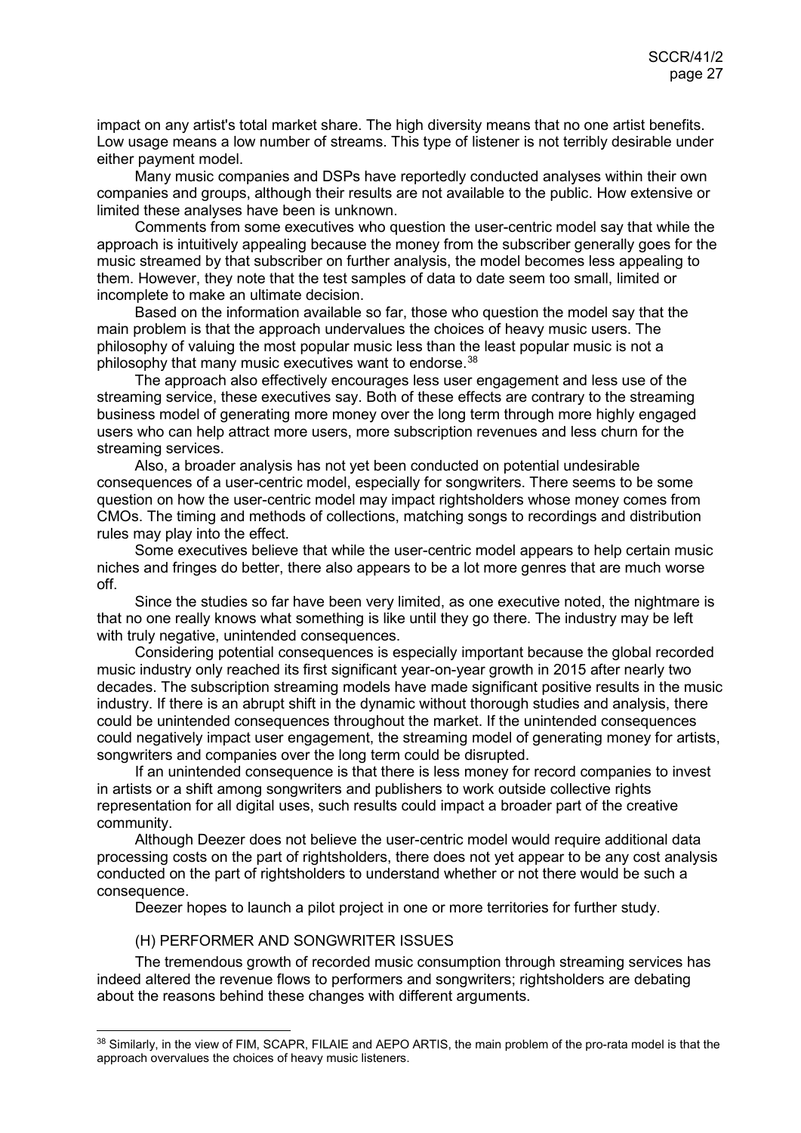impact on any artist's total market share. The high diversity means that no one artist benefits. Low usage means a low number of streams. This type of listener is not terribly desirable under either payment model.

Many music companies and DSPs have reportedly conducted analyses within their own companies and groups, although their results are not available to the public. How extensive or limited these analyses have been is unknown.

Comments from some executives who question the user-centric model say that while the approach is intuitively appealing because the money from the subscriber generally goes for the music streamed by that subscriber on further analysis, the model becomes less appealing to them. However, they note that the test samples of data to date seem too small, limited or incomplete to make an ultimate decision.

Based on the information available so far, those who question the model say that the main problem is that the approach undervalues the choices of heavy music users. The philosophy of valuing the most popular music less than the least popular music is not a philosophy that many music executives want to endorse.[38](#page-26-1)

The approach also effectively encourages less user engagement and less use of the streaming service, these executives say. Both of these effects are contrary to the streaming business model of generating more money over the long term through more highly engaged users who can help attract more users, more subscription revenues and less churn for the streaming services.

Also, a broader analysis has not yet been conducted on potential undesirable consequences of a user-centric model, especially for songwriters. There seems to be some question on how the user-centric model may impact rightsholders whose money comes from CMOs. The timing and methods of collections, matching songs to recordings and distribution rules may play into the effect.

Some executives believe that while the user-centric model appears to help certain music niches and fringes do better, there also appears to be a lot more genres that are much worse off.

Since the studies so far have been very limited, as one executive noted, the nightmare is that no one really knows what something is like until they go there. The industry may be left with truly negative, unintended consequences.

Considering potential consequences is especially important because the global recorded music industry only reached its first significant year-on-year growth in 2015 after nearly two decades. The subscription streaming models have made significant positive results in the music industry. If there is an abrupt shift in the dynamic without thorough studies and analysis, there could be unintended consequences throughout the market. If the unintended consequences could negatively impact user engagement, the streaming model of generating money for artists, songwriters and companies over the long term could be disrupted.

If an unintended consequence is that there is less money for record companies to invest in artists or a shift among songwriters and publishers to work outside collective rights representation for all digital uses, such results could impact a broader part of the creative community.

Although Deezer does not believe the user-centric model would require additional data processing costs on the part of rightsholders, there does not yet appear to be any cost analysis conducted on the part of rightsholders to understand whether or not there would be such a consequence.

<span id="page-26-0"></span>Deezer hopes to launch a pilot project in one or more territories for further study.

#### (H) PERFORMER AND SONGWRITER ISSUES

The tremendous growth of recorded music consumption through streaming services has indeed altered the revenue flows to performers and songwriters; rightsholders are debating about the reasons behind these changes with different arguments.

<span id="page-26-1"></span><sup>38</sup> Similarly, in the view of FIM, SCAPR, FILAIE and AEPO ARTIS, the main problem of the pro-rata model is that the approach overvalues the choices of heavy music listeners.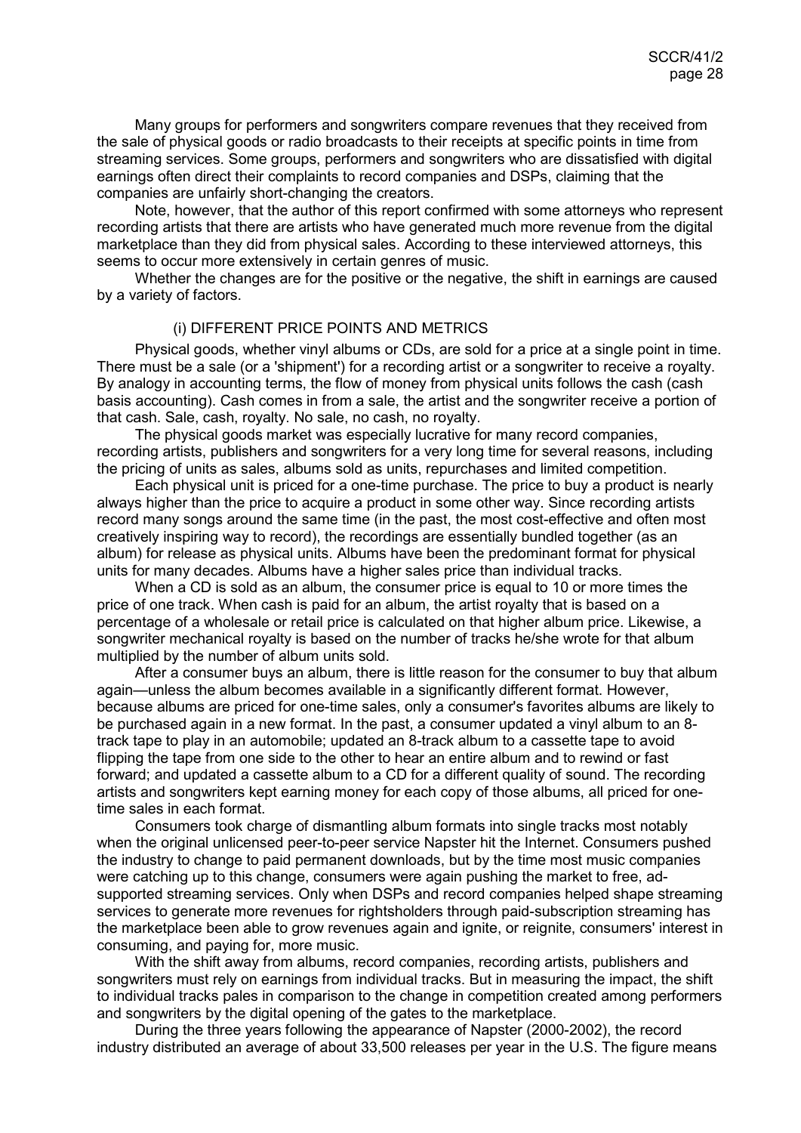Many groups for performers and songwriters compare revenues that they received from the sale of physical goods or radio broadcasts to their receipts at specific points in time from streaming services. Some groups, performers and songwriters who are dissatisfied with digital earnings often direct their complaints to record companies and DSPs, claiming that the companies are unfairly short-changing the creators.

Note, however, that the author of this report confirmed with some attorneys who represent recording artists that there are artists who have generated much more revenue from the digital marketplace than they did from physical sales. According to these interviewed attorneys, this seems to occur more extensively in certain genres of music.

Whether the changes are for the positive or the negative, the shift in earnings are caused by a variety of factors.

#### <span id="page-27-0"></span>(i) DIFFERENT PRICE POINTS AND METRICS

Physical goods, whether vinyl albums or CDs, are sold for a price at a single point in time. There must be a sale (or a 'shipment') for a recording artist or a songwriter to receive a royalty. By analogy in accounting terms, the flow of money from physical units follows the cash (cash basis accounting). Cash comes in from a sale, the artist and the songwriter receive a portion of that cash. Sale, cash, royalty. No sale, no cash, no royalty.

The physical goods market was especially lucrative for many record companies, recording artists, publishers and songwriters for a very long time for several reasons, including the pricing of units as sales, albums sold as units, repurchases and limited competition.

Each physical unit is priced for a one-time purchase. The price to buy a product is nearly always higher than the price to acquire a product in some other way. Since recording artists record many songs around the same time (in the past, the most cost-effective and often most creatively inspiring way to record), the recordings are essentially bundled together (as an album) for release as physical units. Albums have been the predominant format for physical units for many decades. Albums have a higher sales price than individual tracks.

When a CD is sold as an album, the consumer price is equal to 10 or more times the price of one track. When cash is paid for an album, the artist royalty that is based on a percentage of a wholesale or retail price is calculated on that higher album price. Likewise, a songwriter mechanical royalty is based on the number of tracks he/she wrote for that album multiplied by the number of album units sold.

After a consumer buys an album, there is little reason for the consumer to buy that album again—unless the album becomes available in a significantly different format. However, because albums are priced for one-time sales, only a consumer's favorites albums are likely to be purchased again in a new format. In the past, a consumer updated a vinyl album to an 8 track tape to play in an automobile; updated an 8-track album to a cassette tape to avoid flipping the tape from one side to the other to hear an entire album and to rewind or fast forward; and updated a cassette album to a CD for a different quality of sound. The recording artists and songwriters kept earning money for each copy of those albums, all priced for onetime sales in each format.

Consumers took charge of dismantling album formats into single tracks most notably when the original unlicensed peer-to-peer service Napster hit the Internet. Consumers pushed the industry to change to paid permanent downloads, but by the time most music companies were catching up to this change, consumers were again pushing the market to free, adsupported streaming services. Only when DSPs and record companies helped shape streaming services to generate more revenues for rightsholders through paid-subscription streaming has the marketplace been able to grow revenues again and ignite, or reignite, consumers' interest in consuming, and paying for, more music.

With the shift away from albums, record companies, recording artists, publishers and songwriters must rely on earnings from individual tracks. But in measuring the impact, the shift to individual tracks pales in comparison to the change in competition created among performers and songwriters by the digital opening of the gates to the marketplace.

During the three years following the appearance of Napster (2000-2002), the record industry distributed an average of about 33,500 releases per year in the U.S. The figure means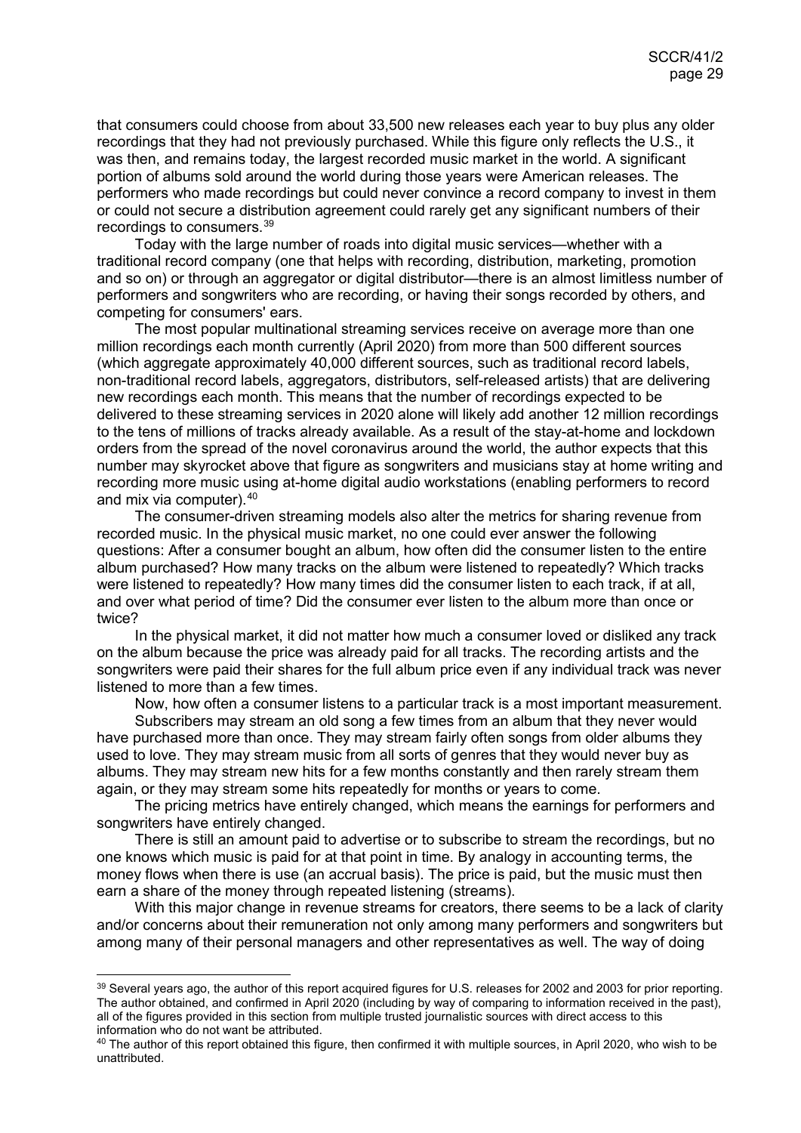that consumers could choose from about 33,500 new releases each year to buy plus any older recordings that they had not previously purchased. While this figure only reflects the U.S., it was then, and remains today, the largest recorded music market in the world. A significant portion of albums sold around the world during those years were American releases. The performers who made recordings but could never convince a record company to invest in them or could not secure a distribution agreement could rarely get any significant numbers of their recordings to consumers.[39](#page-28-0)

Today with the large number of roads into digital music services—whether with a traditional record company (one that helps with recording, distribution, marketing, promotion and so on) or through an aggregator or digital distributor—there is an almost limitless number of performers and songwriters who are recording, or having their songs recorded by others, and competing for consumers' ears.

The most popular multinational streaming services receive on average more than one million recordings each month currently (April 2020) from more than 500 different sources (which aggregate approximately 40,000 different sources, such as traditional record labels, non-traditional record labels, aggregators, distributors, self-released artists) that are delivering new recordings each month. This means that the number of recordings expected to be delivered to these streaming services in 2020 alone will likely add another 12 million recordings to the tens of millions of tracks already available. As a result of the stay-at-home and lockdown orders from the spread of the novel coronavirus around the world, the author expects that this number may skyrocket above that figure as songwriters and musicians stay at home writing and recording more music using at-home digital audio workstations (enabling performers to record and mix via computer).[40](#page-28-1)

The consumer-driven streaming models also alter the metrics for sharing revenue from recorded music. In the physical music market, no one could ever answer the following questions: After a consumer bought an album, how often did the consumer listen to the entire album purchased? How many tracks on the album were listened to repeatedly? Which tracks were listened to repeatedly? How many times did the consumer listen to each track, if at all, and over what period of time? Did the consumer ever listen to the album more than once or twice?

In the physical market, it did not matter how much a consumer loved or disliked any track on the album because the price was already paid for all tracks. The recording artists and the songwriters were paid their shares for the full album price even if any individual track was never listened to more than a few times.

Now, how often a consumer listens to a particular track is a most important measurement.

Subscribers may stream an old song a few times from an album that they never would have purchased more than once. They may stream fairly often songs from older albums they used to love. They may stream music from all sorts of genres that they would never buy as albums. They may stream new hits for a few months constantly and then rarely stream them again, or they may stream some hits repeatedly for months or years to come.

The pricing metrics have entirely changed, which means the earnings for performers and songwriters have entirely changed.

There is still an amount paid to advertise or to subscribe to stream the recordings, but no one knows which music is paid for at that point in time. By analogy in accounting terms, the money flows when there is use (an accrual basis). The price is paid, but the music must then earn a share of the money through repeated listening (streams).

With this major change in revenue streams for creators, there seems to be a lack of clarity and/or concerns about their remuneration not only among many performers and songwriters but among many of their personal managers and other representatives as well. The way of doing

<span id="page-28-0"></span><sup>39</sup> Several years ago, the author of this report acquired figures for U.S. releases for 2002 and 2003 for prior reporting. The author obtained, and confirmed in April 2020 (including by way of comparing to information received in the past), all of the figures provided in this section from multiple trusted journalistic sources with direct access to this information who do not want be attributed.

<span id="page-28-1"></span><sup>&</sup>lt;sup>40</sup> The author of this report obtained this figure, then confirmed it with multiple sources, in April 2020, who wish to be unattributed.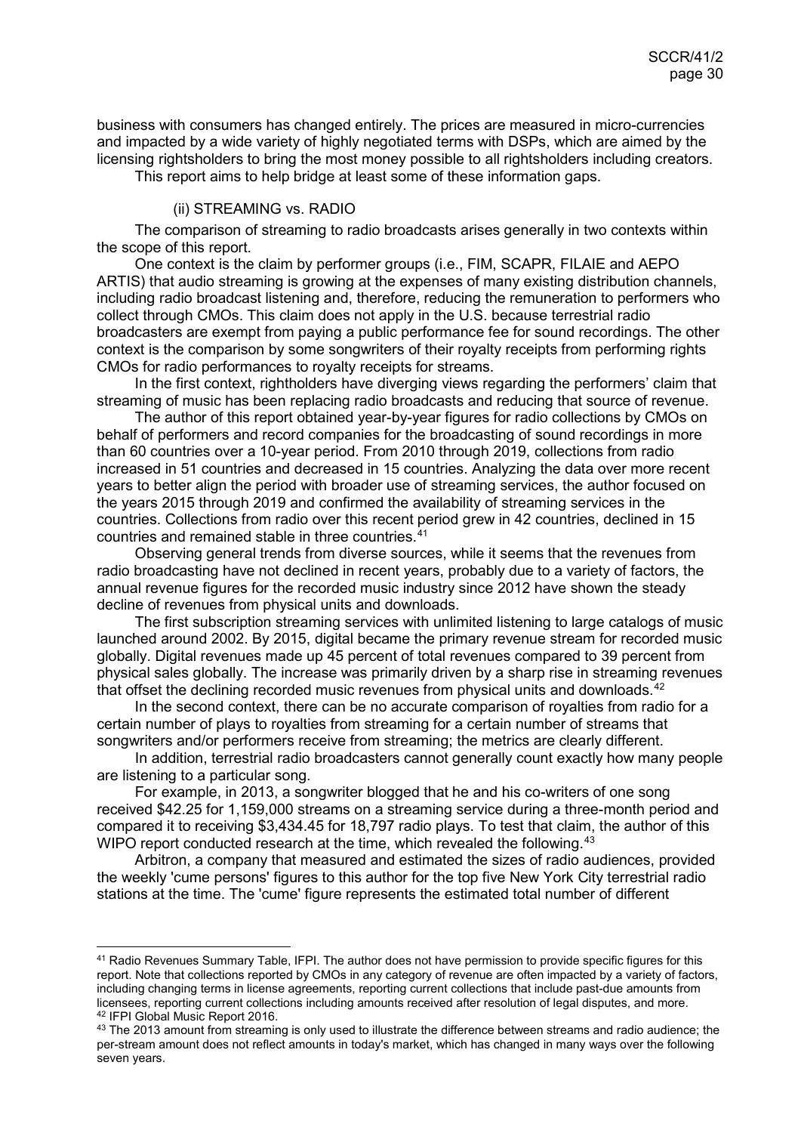business with consumers has changed entirely. The prices are measured in micro-currencies and impacted by a wide variety of highly negotiated terms with DSPs, which are aimed by the licensing rightsholders to bring the most money possible to all rightsholders including creators.

This report aims to help bridge at least some of these information gaps.

#### <span id="page-29-0"></span>(ii) STREAMING vs. RADIO

The comparison of streaming to radio broadcasts arises generally in two contexts within the scope of this report.

One context is the claim by performer groups (i.e., FIM, SCAPR, FILAIE and AEPO ARTIS) that audio streaming is growing at the expenses of many existing distribution channels, including radio broadcast listening and, therefore, reducing the remuneration to performers who collect through CMOs. This claim does not apply in the U.S. because terrestrial radio broadcasters are exempt from paying a public performance fee for sound recordings. The other context is the comparison by some songwriters of their royalty receipts from performing rights CMOs for radio performances to royalty receipts for streams.

In the first context, rightholders have diverging views regarding the performers' claim that streaming of music has been replacing radio broadcasts and reducing that source of revenue.

The author of this report obtained year-by-year figures for radio collections by CMOs on behalf of performers and record companies for the broadcasting of sound recordings in more than 60 countries over a 10-year period. From 2010 through 2019, collections from radio increased in 51 countries and decreased in 15 countries. Analyzing the data over more recent years to better align the period with broader use of streaming services, the author focused on the years 2015 through 2019 and confirmed the availability of streaming services in the countries. Collections from radio over this recent period grew in 42 countries, declined in 15 countries and remained stable in three countries.[41](#page-29-1)

Observing general trends from diverse sources, while it seems that the revenues from radio broadcasting have not declined in recent years, probably due to a variety of factors, the annual revenue figures for the recorded music industry since 2012 have shown the steady decline of revenues from physical units and downloads.

The first subscription streaming services with unlimited listening to large catalogs of music launched around 2002. By 2015, digital became the primary revenue stream for recorded music globally. Digital revenues made up 45 percent of total revenues compared to 39 percent from physical sales globally. The increase was primarily driven by a sharp rise in streaming revenues that offset the declining recorded music revenues from physical units and downloads.<sup>[42](#page-29-2)</sup>

In the second context, there can be no accurate comparison of royalties from radio for a certain number of plays to royalties from streaming for a certain number of streams that songwriters and/or performers receive from streaming; the metrics are clearly different.

In addition, terrestrial radio broadcasters cannot generally count exactly how many people are listening to a particular song.

For example, in 2013, a songwriter blogged that he and his co-writers of one song received \$42.25 for 1,159,000 streams on a streaming service during a three-month period and compared it to receiving \$3,434.45 for 18,797 radio plays. To test that claim, the author of this WIPO report conducted research at the time, which revealed the following.<sup>[43](#page-29-3)</sup>

Arbitron, a company that measured and estimated the sizes of radio audiences, provided the weekly 'cume persons' figures to this author for the top five New York City terrestrial radio stations at the time. The 'cume' figure represents the estimated total number of different

<span id="page-29-1"></span> <sup>41</sup> Radio Revenues Summary Table, IFPI. The author does not have permission to provide specific figures for this report. Note that collections reported by CMOs in any category of revenue are often impacted by a variety of factors, including changing terms in license agreements, reporting current collections that include past-due amounts from licensees, reporting current collections including amounts received after resolution of legal disputes, and more. <sup>42</sup> IFPI Global Music Report 2016.

<span id="page-29-3"></span><span id="page-29-2"></span><sup>&</sup>lt;sup>43</sup> The 2013 amount from streaming is only used to illustrate the difference between streams and radio audience; the per-stream amount does not reflect amounts in today's market, which has changed in many ways over the following seven years.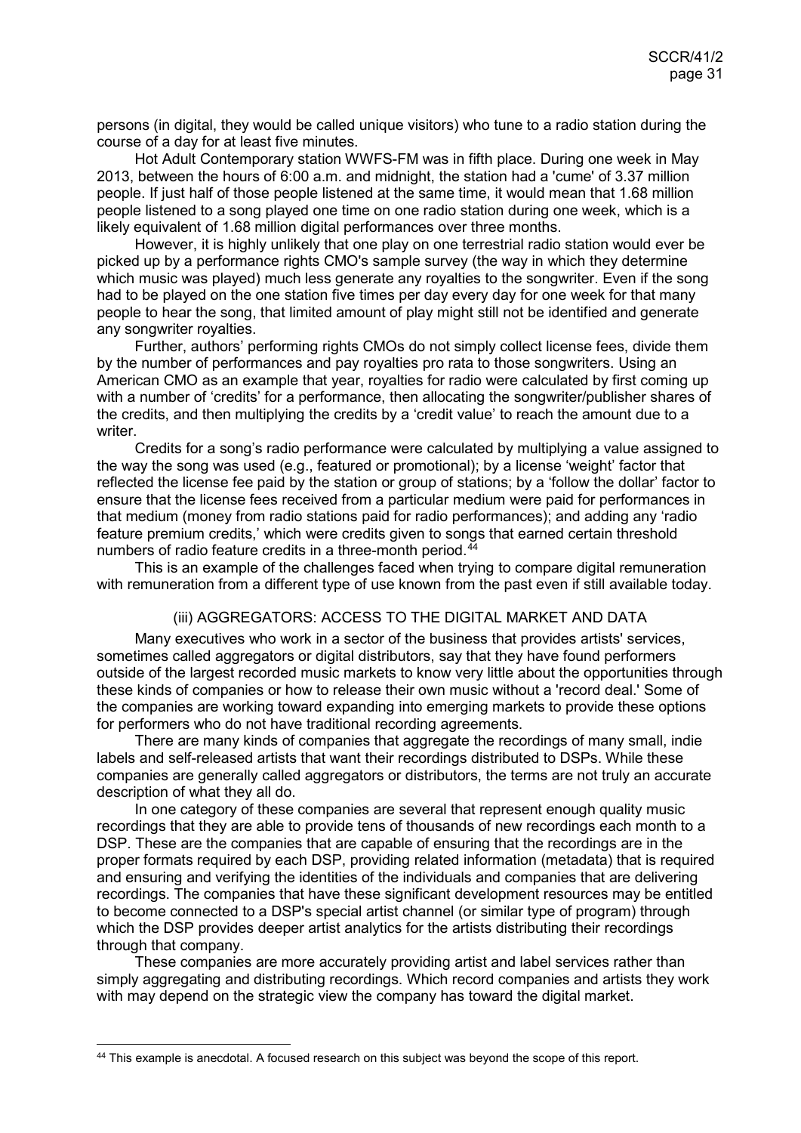persons (in digital, they would be called unique visitors) who tune to a radio station during the course of a day for at least five minutes.

Hot Adult Contemporary station WWFS-FM was in fifth place. During one week in May 2013, between the hours of 6:00 a.m. and midnight, the station had a 'cume' of 3.37 million people. If just half of those people listened at the same time, it would mean that 1.68 million people listened to a song played one time on one radio station during one week, which is a likely equivalent of 1.68 million digital performances over three months.

However, it is highly unlikely that one play on one terrestrial radio station would ever be picked up by a performance rights CMO's sample survey (the way in which they determine which music was played) much less generate any royalties to the songwriter. Even if the song had to be played on the one station five times per day every day for one week for that many people to hear the song, that limited amount of play might still not be identified and generate any songwriter royalties.

Further, authors' performing rights CMOs do not simply collect license fees, divide them by the number of performances and pay royalties pro rata to those songwriters. Using an American CMO as an example that year, royalties for radio were calculated by first coming up with a number of 'credits' for a performance, then allocating the songwriter/publisher shares of the credits, and then multiplying the credits by a 'credit value' to reach the amount due to a writer.

Credits for a song's radio performance were calculated by multiplying a value assigned to the way the song was used (e.g., featured or promotional); by a license 'weight' factor that reflected the license fee paid by the station or group of stations; by a 'follow the dollar' factor to ensure that the license fees received from a particular medium were paid for performances in that medium (money from radio stations paid for radio performances); and adding any 'radio feature premium credits,' which were credits given to songs that earned certain threshold numbers of radio feature credits in a three-month period.<sup>[44](#page-30-1)</sup>

This is an example of the challenges faced when trying to compare digital remuneration with remuneration from a different type of use known from the past even if still available today.

#### <span id="page-30-0"></span>(iii) AGGREGATORS: ACCESS TO THE DIGITAL MARKET AND DATA

Many executives who work in a sector of the business that provides artists' services, sometimes called aggregators or digital distributors, say that they have found performers outside of the largest recorded music markets to know very little about the opportunities through these kinds of companies or how to release their own music without a 'record deal.' Some of the companies are working toward expanding into emerging markets to provide these options for performers who do not have traditional recording agreements.

There are many kinds of companies that aggregate the recordings of many small, indie labels and self-released artists that want their recordings distributed to DSPs. While these companies are generally called aggregators or distributors, the terms are not truly an accurate description of what they all do.

In one category of these companies are several that represent enough quality music recordings that they are able to provide tens of thousands of new recordings each month to a DSP. These are the companies that are capable of ensuring that the recordings are in the proper formats required by each DSP, providing related information (metadata) that is required and ensuring and verifying the identities of the individuals and companies that are delivering recordings. The companies that have these significant development resources may be entitled to become connected to a DSP's special artist channel (or similar type of program) through which the DSP provides deeper artist analytics for the artists distributing their recordings through that company.

These companies are more accurately providing artist and label services rather than simply aggregating and distributing recordings. Which record companies and artists they work with may depend on the strategic view the company has toward the digital market.

<span id="page-30-1"></span> <sup>44</sup> This example is anecdotal. A focused research on this subject was beyond the scope of this report.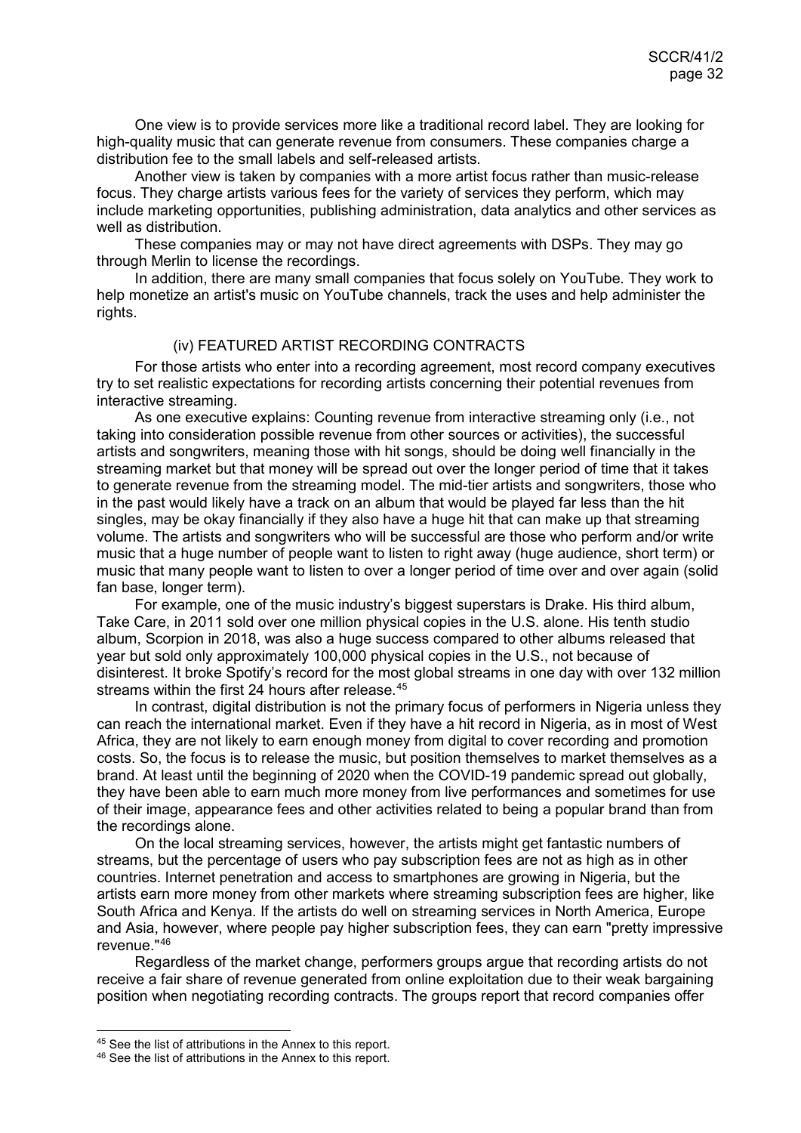One view is to provide services more like a traditional record label. They are looking for high-quality music that can generate revenue from consumers. These companies charge a distribution fee to the small labels and self-released artists.

Another view is taken by companies with a more artist focus rather than music-release focus. They charge artists various fees for the variety of services they perform, which may include marketing opportunities, publishing administration, data analytics and other services as well as distribution.

These companies may or may not have direct agreements with DSPs. They may go through Merlin to license the recordings.

In addition, there are many small companies that focus solely on YouTube. They work to help monetize an artist's music on YouTube channels, track the uses and help administer the rights.

## <span id="page-31-0"></span>(iv) FEATURED ARTIST RECORDING CONTRACTS

For those artists who enter into a recording agreement, most record company executives try to set realistic expectations for recording artists concerning their potential revenues from interactive streaming.

As one executive explains: Counting revenue from interactive streaming only (i.e., not taking into consideration possible revenue from other sources or activities), the successful artists and songwriters, meaning those with hit songs, should be doing well financially in the streaming market but that money will be spread out over the longer period of time that it takes to generate revenue from the streaming model. The mid-tier artists and songwriters, those who in the past would likely have a track on an album that would be played far less than the hit singles, may be okay financially if they also have a huge hit that can make up that streaming volume. The artists and songwriters who will be successful are those who perform and/or write music that a huge number of people want to listen to right away (huge audience, short term) or music that many people want to listen to over a longer period of time over and over again (solid fan base, longer term).

For example, one of the music industry's biggest superstars is Drake. His third album, Take Care, in 2011 sold over one million physical copies in the U.S. alone. His tenth studio album, Scorpion in 2018, was also a huge success compared to other albums released that year but sold only approximately 100,000 physical copies in the U.S., not because of disinterest. It broke Spotify's record for the most global streams in one day with over 132 million streams within the first 24 hours after release.<sup>[45](#page-31-1)</sup>

In contrast, digital distribution is not the primary focus of performers in Nigeria unless they can reach the international market. Even if they have a hit record in Nigeria, as in most of West Africa, they are not likely to earn enough money from digital to cover recording and promotion costs. So, the focus is to release the music, but position themselves to market themselves as a brand. At least until the beginning of 2020 when the COVID-19 pandemic spread out globally, they have been able to earn much more money from live performances and sometimes for use of their image, appearance fees and other activities related to being a popular brand than from the recordings alone.

On the local streaming services, however, the artists might get fantastic numbers of streams, but the percentage of users who pay subscription fees are not as high as in other countries. Internet penetration and access to smartphones are growing in Nigeria, but the artists earn more money from other markets where streaming subscription fees are higher, like South Africa and Kenya. If the artists do well on streaming services in North America, Europe and Asia, however, where people pay higher subscription fees, they can earn "pretty impressive revenue."[46](#page-31-2)

Regardless of the market change, performers groups argue that recording artists do not receive a fair share of revenue generated from online exploitation due to their weak bargaining position when negotiating recording contracts. The groups report that record companies offer

<span id="page-31-1"></span><sup>45</sup> See the list of attributions in the Annex to this report.

<span id="page-31-2"></span><sup>46</sup> See the list of attributions in the Annex to this report.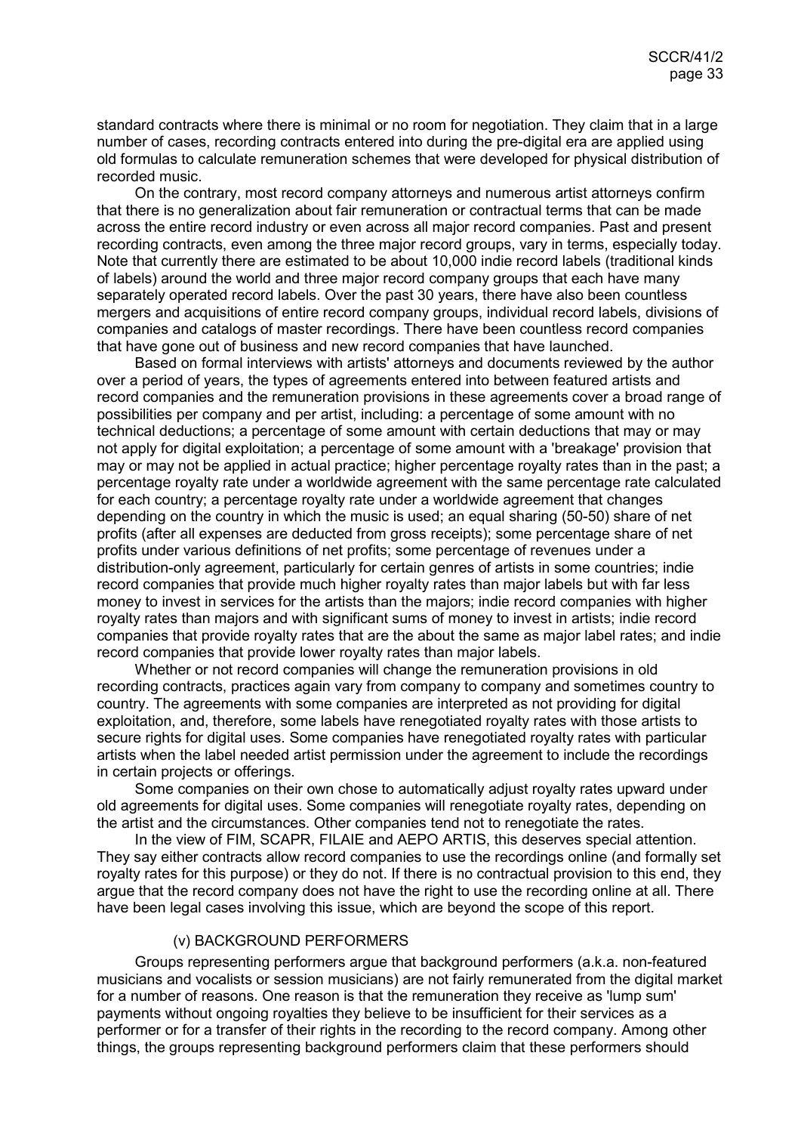standard contracts where there is minimal or no room for negotiation. They claim that in a large number of cases, recording contracts entered into during the pre-digital era are applied using old formulas to calculate remuneration schemes that were developed for physical distribution of recorded music.

On the contrary, most record company attorneys and numerous artist attorneys confirm that there is no generalization about fair remuneration or contractual terms that can be made across the entire record industry or even across all major record companies. Past and present recording contracts, even among the three major record groups, vary in terms, especially today. Note that currently there are estimated to be about 10,000 indie record labels (traditional kinds of labels) around the world and three major record company groups that each have many separately operated record labels. Over the past 30 years, there have also been countless mergers and acquisitions of entire record company groups, individual record labels, divisions of companies and catalogs of master recordings. There have been countless record companies that have gone out of business and new record companies that have launched.

Based on formal interviews with artists' attorneys and documents reviewed by the author over a period of years, the types of agreements entered into between featured artists and record companies and the remuneration provisions in these agreements cover a broad range of possibilities per company and per artist, including: a percentage of some amount with no technical deductions; a percentage of some amount with certain deductions that may or may not apply for digital exploitation; a percentage of some amount with a 'breakage' provision that may or may not be applied in actual practice; higher percentage royalty rates than in the past; a percentage royalty rate under a worldwide agreement with the same percentage rate calculated for each country; a percentage royalty rate under a worldwide agreement that changes depending on the country in which the music is used; an equal sharing (50-50) share of net profits (after all expenses are deducted from gross receipts); some percentage share of net profits under various definitions of net profits; some percentage of revenues under a distribution-only agreement, particularly for certain genres of artists in some countries; indie record companies that provide much higher royalty rates than major labels but with far less money to invest in services for the artists than the majors; indie record companies with higher royalty rates than majors and with significant sums of money to invest in artists; indie record companies that provide royalty rates that are the about the same as major label rates; and indie record companies that provide lower royalty rates than major labels.

Whether or not record companies will change the remuneration provisions in old recording contracts, practices again vary from company to company and sometimes country to country. The agreements with some companies are interpreted as not providing for digital exploitation, and, therefore, some labels have renegotiated royalty rates with those artists to secure rights for digital uses. Some companies have renegotiated royalty rates with particular artists when the label needed artist permission under the agreement to include the recordings in certain projects or offerings.

Some companies on their own chose to automatically adjust royalty rates upward under old agreements for digital uses. Some companies will renegotiate royalty rates, depending on the artist and the circumstances. Other companies tend not to renegotiate the rates.

In the view of FIM, SCAPR, FILAIE and AEPO ARTIS, this deserves special attention. They say either contracts allow record companies to use the recordings online (and formally set royalty rates for this purpose) or they do not. If there is no contractual provision to this end, they argue that the record company does not have the right to use the recording online at all. There have been legal cases involving this issue, which are beyond the scope of this report.

## <span id="page-32-0"></span>(v) BACKGROUND PERFORMERS

Groups representing performers argue that background performers (a.k.a. non-featured musicians and vocalists or session musicians) are not fairly remunerated from the digital market for a number of reasons. One reason is that the remuneration they receive as 'lump sum' payments without ongoing royalties they believe to be insufficient for their services as a performer or for a transfer of their rights in the recording to the record company. Among other things, the groups representing background performers claim that these performers should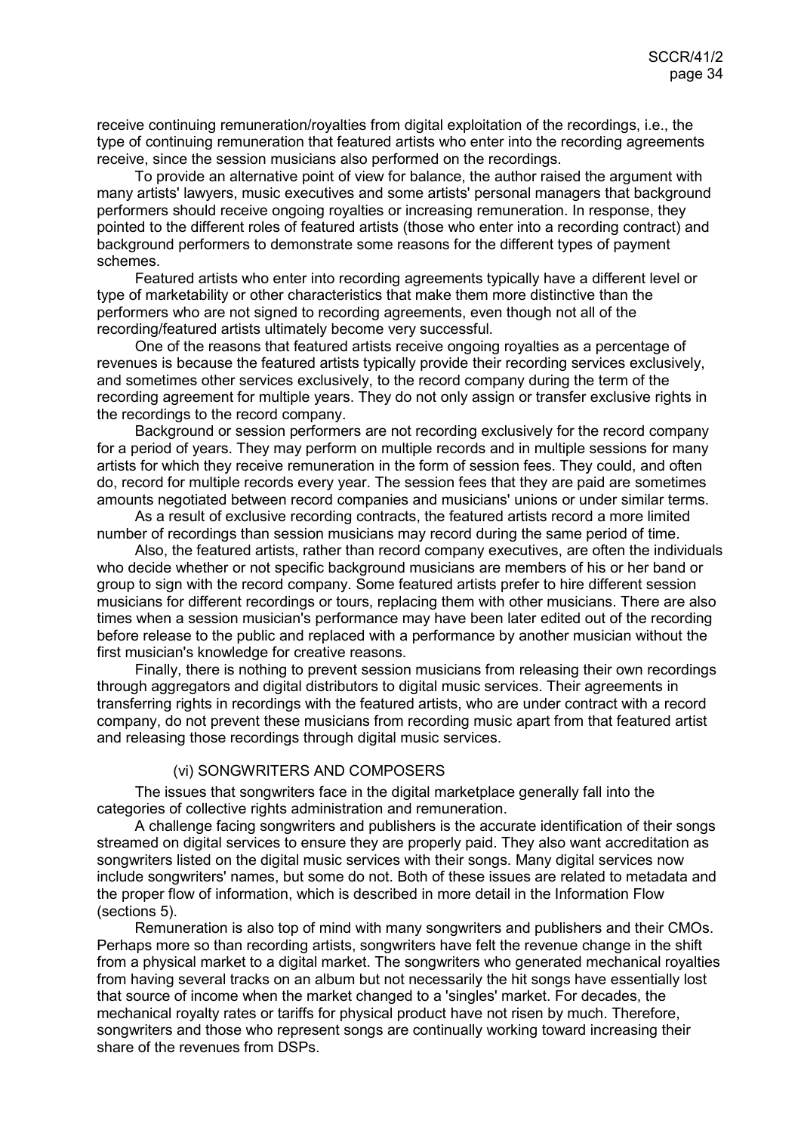receive continuing remuneration/royalties from digital exploitation of the recordings, i.e., the type of continuing remuneration that featured artists who enter into the recording agreements receive, since the session musicians also performed on the recordings.

To provide an alternative point of view for balance, the author raised the argument with many artists' lawyers, music executives and some artists' personal managers that background performers should receive ongoing royalties or increasing remuneration. In response, they pointed to the different roles of featured artists (those who enter into a recording contract) and background performers to demonstrate some reasons for the different types of payment schemes.

Featured artists who enter into recording agreements typically have a different level or type of marketability or other characteristics that make them more distinctive than the performers who are not signed to recording agreements, even though not all of the recording/featured artists ultimately become very successful.

One of the reasons that featured artists receive ongoing royalties as a percentage of revenues is because the featured artists typically provide their recording services exclusively, and sometimes other services exclusively, to the record company during the term of the recording agreement for multiple years. They do not only assign or transfer exclusive rights in the recordings to the record company.

Background or session performers are not recording exclusively for the record company for a period of years. They may perform on multiple records and in multiple sessions for many artists for which they receive remuneration in the form of session fees. They could, and often do, record for multiple records every year. The session fees that they are paid are sometimes amounts negotiated between record companies and musicians' unions or under similar terms.

As a result of exclusive recording contracts, the featured artists record a more limited number of recordings than session musicians may record during the same period of time.

Also, the featured artists, rather than record company executives, are often the individuals who decide whether or not specific background musicians are members of his or her band or group to sign with the record company. Some featured artists prefer to hire different session musicians for different recordings or tours, replacing them with other musicians. There are also times when a session musician's performance may have been later edited out of the recording before release to the public and replaced with a performance by another musician without the first musician's knowledge for creative reasons.

Finally, there is nothing to prevent session musicians from releasing their own recordings through aggregators and digital distributors to digital music services. Their agreements in transferring rights in recordings with the featured artists, who are under contract with a record company, do not prevent these musicians from recording music apart from that featured artist and releasing those recordings through digital music services.

#### <span id="page-33-0"></span>(vi) SONGWRITERS AND COMPOSERS

The issues that songwriters face in the digital marketplace generally fall into the categories of collective rights administration and remuneration.

A challenge facing songwriters and publishers is the accurate identification of their songs streamed on digital services to ensure they are properly paid. They also want accreditation as songwriters listed on the digital music services with their songs. Many digital services now include songwriters' names, but some do not. Both of these issues are related to metadata and the proper flow of information, which is described in more detail in the Information Flow (sections 5).

Remuneration is also top of mind with many songwriters and publishers and their CMOs. Perhaps more so than recording artists, songwriters have felt the revenue change in the shift from a physical market to a digital market. The songwriters who generated mechanical royalties from having several tracks on an album but not necessarily the hit songs have essentially lost that source of income when the market changed to a 'singles' market. For decades, the mechanical royalty rates or tariffs for physical product have not risen by much. Therefore, songwriters and those who represent songs are continually working toward increasing their share of the revenues from DSPs.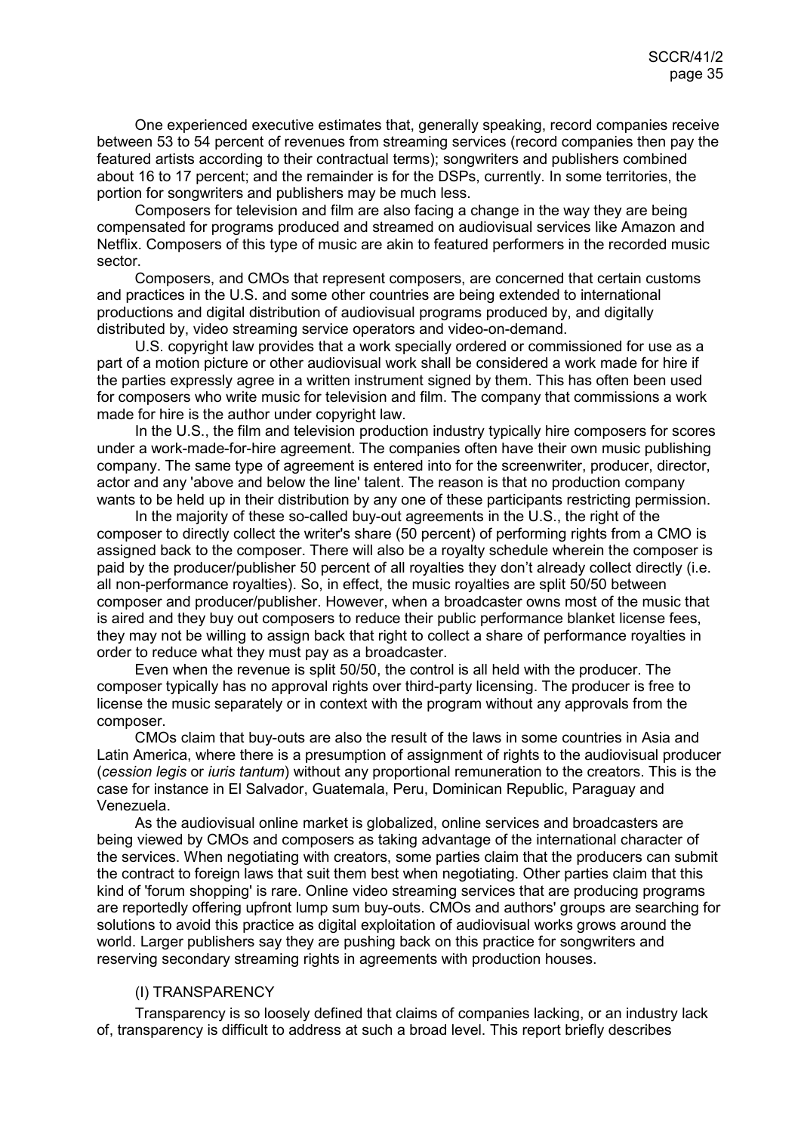One experienced executive estimates that, generally speaking, record companies receive between 53 to 54 percent of revenues from streaming services (record companies then pay the featured artists according to their contractual terms); songwriters and publishers combined about 16 to 17 percent; and the remainder is for the DSPs, currently. In some territories, the portion for songwriters and publishers may be much less.

Composers for television and film are also facing a change in the way they are being compensated for programs produced and streamed on audiovisual services like Amazon and Netflix. Composers of this type of music are akin to featured performers in the recorded music sector.

Composers, and CMOs that represent composers, are concerned that certain customs and practices in the U.S. and some other countries are being extended to international productions and digital distribution of audiovisual programs produced by, and digitally distributed by, video streaming service operators and video-on-demand.

U.S. copyright law provides that a work specially ordered or commissioned for use as a part of a motion picture or other audiovisual work shall be considered a work made for hire if the parties expressly agree in a written instrument signed by them. This has often been used for composers who write music for television and film. The company that commissions a work made for hire is the author under copyright law.

In the U.S., the film and television production industry typically hire composers for scores under a work-made-for-hire agreement. The companies often have their own music publishing company. The same type of agreement is entered into for the screenwriter, producer, director, actor and any 'above and below the line' talent. The reason is that no production company wants to be held up in their distribution by any one of these participants restricting permission.

In the majority of these so-called buy-out agreements in the U.S., the right of the composer to directly collect the writer's share (50 percent) of performing rights from a CMO is assigned back to the composer. There will also be a royalty schedule wherein the composer is paid by the producer/publisher 50 percent of all royalties they don't already collect directly (i.e. all non-performance royalties). So, in effect, the music royalties are split 50/50 between composer and producer/publisher. However, when a broadcaster owns most of the music that is aired and they buy out composers to reduce their public performance blanket license fees, they may not be willing to assign back that right to collect a share of performance royalties in order to reduce what they must pay as a broadcaster.

Even when the revenue is split 50/50, the control is all held with the producer. The composer typically has no approval rights over third-party licensing. The producer is free to license the music separately or in context with the program without any approvals from the composer.

CMOs claim that buy-outs are also the result of the laws in some countries in Asia and Latin America, where there is a presumption of assignment of rights to the audiovisual producer (*cession legis* or *iuris tantum*) without any proportional remuneration to the creators. This is the case for instance in El Salvador, Guatemala, Peru, Dominican Republic, Paraguay and Venezuela.

As the audiovisual online market is globalized, online services and broadcasters are being viewed by CMOs and composers as taking advantage of the international character of the services. When negotiating with creators, some parties claim that the producers can submit the contract to foreign laws that suit them best when negotiating. Other parties claim that this kind of 'forum shopping' is rare. Online video streaming services that are producing programs are reportedly offering upfront lump sum buy-outs. CMOs and authors' groups are searching for solutions to avoid this practice as digital exploitation of audiovisual works grows around the world. Larger publishers say they are pushing back on this practice for songwriters and reserving secondary streaming rights in agreements with production houses.

#### <span id="page-34-0"></span>(I) TRANSPARENCY

Transparency is so loosely defined that claims of companies lacking, or an industry lack of, transparency is difficult to address at such a broad level. This report briefly describes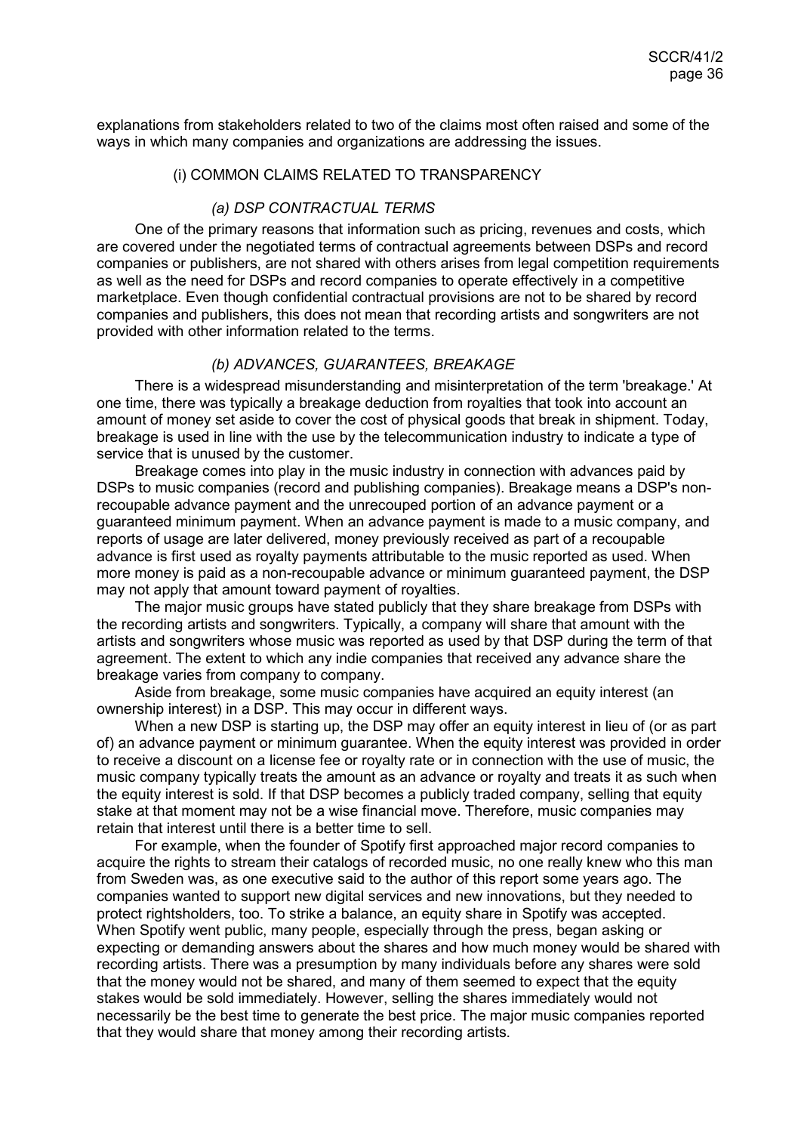explanations from stakeholders related to two of the claims most often raised and some of the ways in which many companies and organizations are addressing the issues.

## <span id="page-35-0"></span>(i) COMMON CLAIMS RELATED TO TRANSPARENCY

#### *(a) DSP CONTRACTUAL TERMS*

One of the primary reasons that information such as pricing, revenues and costs, which are covered under the negotiated terms of contractual agreements between DSPs and record companies or publishers, are not shared with others arises from legal competition requirements as well as the need for DSPs and record companies to operate effectively in a competitive marketplace. Even though confidential contractual provisions are not to be shared by record companies and publishers, this does not mean that recording artists and songwriters are not provided with other information related to the terms.

#### *(b) ADVANCES, GUARANTEES, BREAKAGE*

There is a widespread misunderstanding and misinterpretation of the term 'breakage.' At one time, there was typically a breakage deduction from royalties that took into account an amount of money set aside to cover the cost of physical goods that break in shipment. Today, breakage is used in line with the use by the telecommunication industry to indicate a type of service that is unused by the customer.

Breakage comes into play in the music industry in connection with advances paid by DSPs to music companies (record and publishing companies). Breakage means a DSP's nonrecoupable advance payment and the unrecouped portion of an advance payment or a guaranteed minimum payment. When an advance payment is made to a music company, and reports of usage are later delivered, money previously received as part of a recoupable advance is first used as royalty payments attributable to the music reported as used. When more money is paid as a non-recoupable advance or minimum guaranteed payment, the DSP may not apply that amount toward payment of royalties.

The major music groups have stated publicly that they share breakage from DSPs with the recording artists and songwriters. Typically, a company will share that amount with the artists and songwriters whose music was reported as used by that DSP during the term of that agreement. The extent to which any indie companies that received any advance share the breakage varies from company to company.

Aside from breakage, some music companies have acquired an equity interest (an ownership interest) in a DSP. This may occur in different ways.

When a new DSP is starting up, the DSP may offer an equity interest in lieu of (or as part of) an advance payment or minimum guarantee. When the equity interest was provided in order to receive a discount on a license fee or royalty rate or in connection with the use of music, the music company typically treats the amount as an advance or royalty and treats it as such when the equity interest is sold. If that DSP becomes a publicly traded company, selling that equity stake at that moment may not be a wise financial move. Therefore, music companies may retain that interest until there is a better time to sell.

For example, when the founder of Spotify first approached major record companies to acquire the rights to stream their catalogs of recorded music, no one really knew who this man from Sweden was, as one executive said to the author of this report some years ago. The companies wanted to support new digital services and new innovations, but they needed to protect rightsholders, too. To strike a balance, an equity share in Spotify was accepted. When Spotify went public, many people, especially through the press, began asking or expecting or demanding answers about the shares and how much money would be shared with recording artists. There was a presumption by many individuals before any shares were sold that the money would not be shared, and many of them seemed to expect that the equity stakes would be sold immediately. However, selling the shares immediately would not necessarily be the best time to generate the best price. The major music companies reported that they would share that money among their recording artists.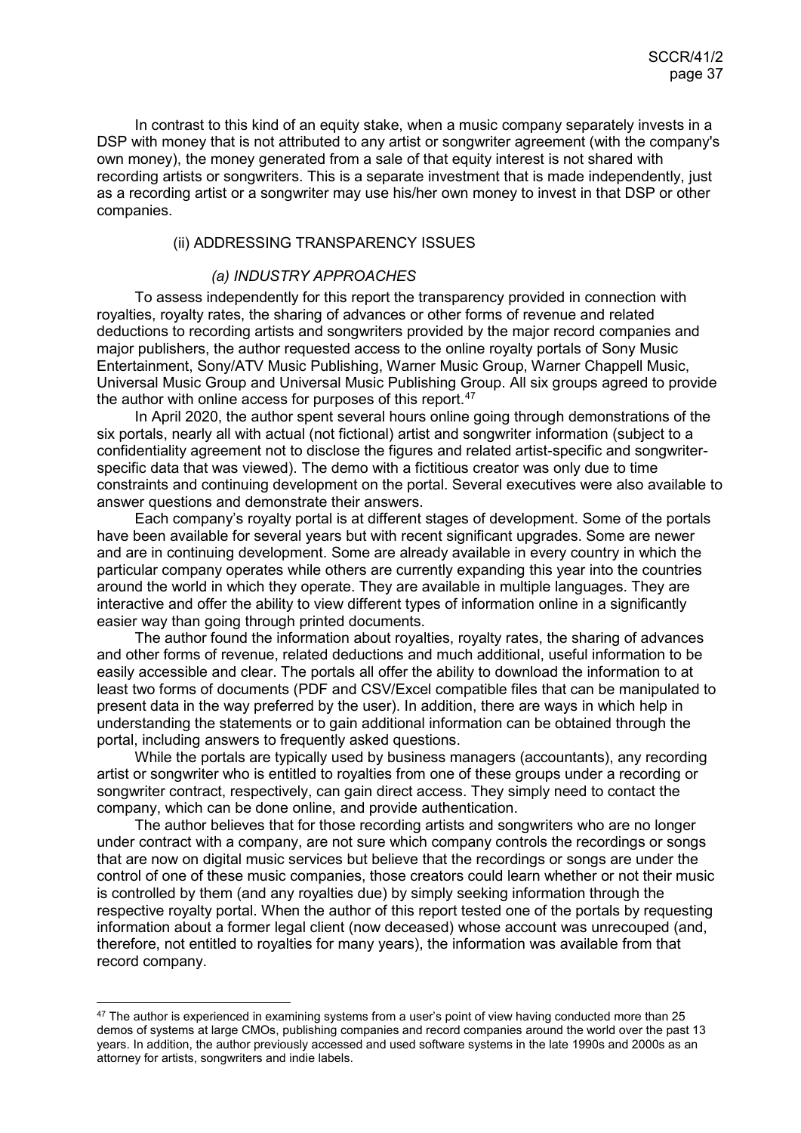In contrast to this kind of an equity stake, when a music company separately invests in a DSP with money that is not attributed to any artist or songwriter agreement (with the company's own money), the money generated from a sale of that equity interest is not shared with recording artists or songwriters. This is a separate investment that is made independently, just as a recording artist or a songwriter may use his/her own money to invest in that DSP or other companies.

## <span id="page-36-0"></span>(ii) ADDRESSING TRANSPARENCY ISSUES

#### *(a) INDUSTRY APPROACHES*

To assess independently for this report the transparency provided in connection with royalties, royalty rates, the sharing of advances or other forms of revenue and related deductions to recording artists and songwriters provided by the major record companies and major publishers, the author requested access to the online royalty portals of Sony Music Entertainment, Sony/ATV Music Publishing, Warner Music Group, Warner Chappell Music, Universal Music Group and Universal Music Publishing Group. All six groups agreed to provide the author with online access for purposes of this report.<sup>[47](#page-36-1)</sup>

In April 2020, the author spent several hours online going through demonstrations of the six portals, nearly all with actual (not fictional) artist and songwriter information (subject to a confidentiality agreement not to disclose the figures and related artist-specific and songwriterspecific data that was viewed). The demo with a fictitious creator was only due to time constraints and continuing development on the portal. Several executives were also available to answer questions and demonstrate their answers.

Each company's royalty portal is at different stages of development. Some of the portals have been available for several years but with recent significant upgrades. Some are newer and are in continuing development. Some are already available in every country in which the particular company operates while others are currently expanding this year into the countries around the world in which they operate. They are available in multiple languages. They are interactive and offer the ability to view different types of information online in a significantly easier way than going through printed documents.

The author found the information about royalties, royalty rates, the sharing of advances and other forms of revenue, related deductions and much additional, useful information to be easily accessible and clear. The portals all offer the ability to download the information to at least two forms of documents (PDF and CSV/Excel compatible files that can be manipulated to present data in the way preferred by the user). In addition, there are ways in which help in understanding the statements or to gain additional information can be obtained through the portal, including answers to frequently asked questions.

While the portals are typically used by business managers (accountants), any recording artist or songwriter who is entitled to royalties from one of these groups under a recording or songwriter contract, respectively, can gain direct access. They simply need to contact the company, which can be done online, and provide authentication.

The author believes that for those recording artists and songwriters who are no longer under contract with a company, are not sure which company controls the recordings or songs that are now on digital music services but believe that the recordings or songs are under the control of one of these music companies, those creators could learn whether or not their music is controlled by them (and any royalties due) by simply seeking information through the respective royalty portal. When the author of this report tested one of the portals by requesting information about a former legal client (now deceased) whose account was unrecouped (and, therefore, not entitled to royalties for many years), the information was available from that record company.

<span id="page-36-1"></span> $47$  The author is experienced in examining systems from a user's point of view having conducted more than 25 demos of systems at large CMOs, publishing companies and record companies around the world over the past 13 years. In addition, the author previously accessed and used software systems in the late 1990s and 2000s as an attorney for artists, songwriters and indie labels.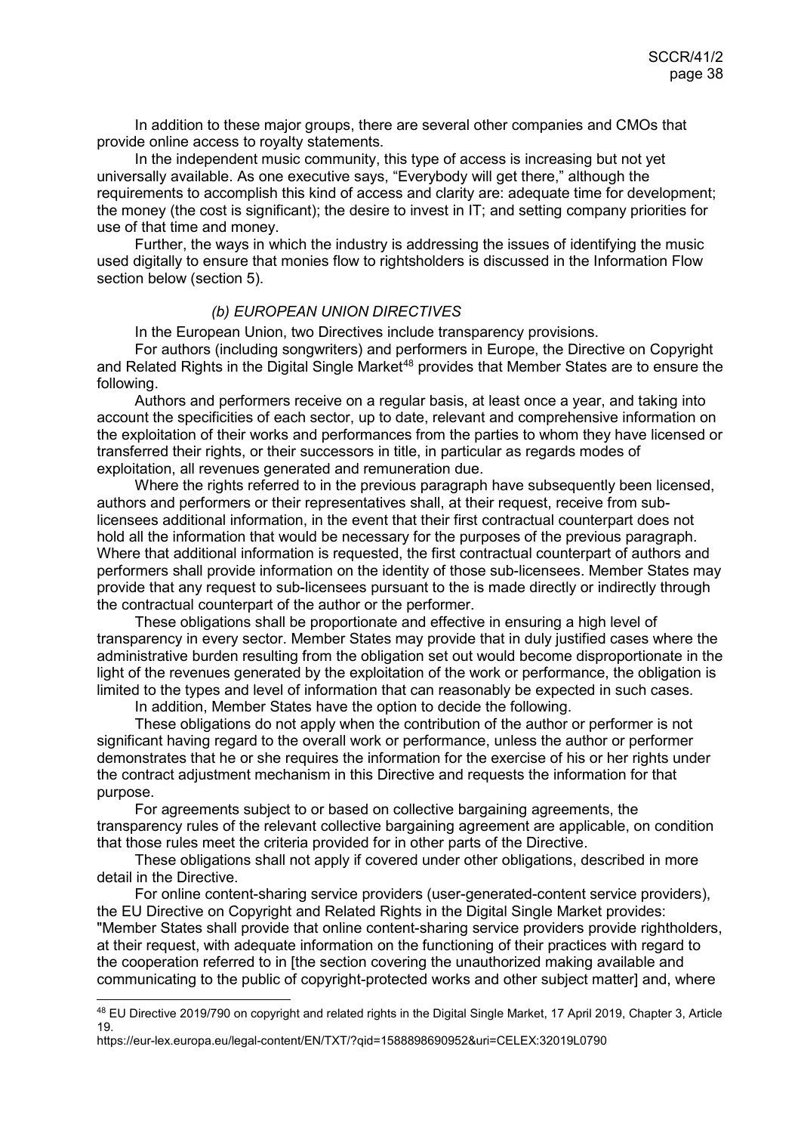In addition to these major groups, there are several other companies and CMOs that provide online access to royalty statements.

In the independent music community, this type of access is increasing but not yet universally available. As one executive says, "Everybody will get there," although the requirements to accomplish this kind of access and clarity are: adequate time for development; the money (the cost is significant); the desire to invest in IT; and setting company priorities for use of that time and money.

Further, the ways in which the industry is addressing the issues of identifying the music used digitally to ensure that monies flow to rightsholders is discussed in the Information Flow section below (section 5).

#### *(b) EUROPEAN UNION DIRECTIVES*

In the European Union, two Directives include transparency provisions.

For authors (including songwriters) and performers in Europe, the Directive on Copyright and Related Rights in the Digital Single Market<sup>[48](#page-37-0)</sup> provides that Member States are to ensure the following.

Authors and performers receive on a regular basis, at least once a year, and taking into account the specificities of each sector, up to date, relevant and comprehensive information on the exploitation of their works and performances from the parties to whom they have licensed or transferred their rights, or their successors in title, in particular as regards modes of exploitation, all revenues generated and remuneration due.

Where the rights referred to in the previous paragraph have subsequently been licensed, authors and performers or their representatives shall, at their request, receive from sublicensees additional information, in the event that their first contractual counterpart does not hold all the information that would be necessary for the purposes of the previous paragraph. Where that additional information is requested, the first contractual counterpart of authors and performers shall provide information on the identity of those sub-licensees. Member States may provide that any request to sub-licensees pursuant to the is made directly or indirectly through the contractual counterpart of the author or the performer.

These obligations shall be proportionate and effective in ensuring a high level of transparency in every sector. Member States may provide that in duly justified cases where the administrative burden resulting from the obligation set out would become disproportionate in the light of the revenues generated by the exploitation of the work or performance, the obligation is limited to the types and level of information that can reasonably be expected in such cases.

In addition, Member States have the option to decide the following.

These obligations do not apply when the contribution of the author or performer is not significant having regard to the overall work or performance, unless the author or performer demonstrates that he or she requires the information for the exercise of his or her rights under the contract adjustment mechanism in this Directive and requests the information for that purpose.

For agreements subject to or based on collective bargaining agreements, the transparency rules of the relevant collective bargaining agreement are applicable, on condition that those rules meet the criteria provided for in other parts of the Directive.

These obligations shall not apply if covered under other obligations, described in more detail in the Directive.

For online content-sharing service providers (user-generated-content service providers), the EU Directive on Copyright and Related Rights in the Digital Single Market provides: "Member States shall provide that online content-sharing service providers provide rightholders, at their request, with adequate information on the functioning of their practices with regard to the cooperation referred to in [the section covering the unauthorized making available and communicating to the public of copyright-protected works and other subject matter] and, where

<span id="page-37-0"></span> <sup>48</sup> EU Directive 2019/790 on copyright and related rights in the Digital Single Market, 17 April 2019, Chapter 3, Article 19.

https://eur-lex.europa.eu/legal-content/EN/TXT/?qid=1588898690952&uri=CELEX:32019L0790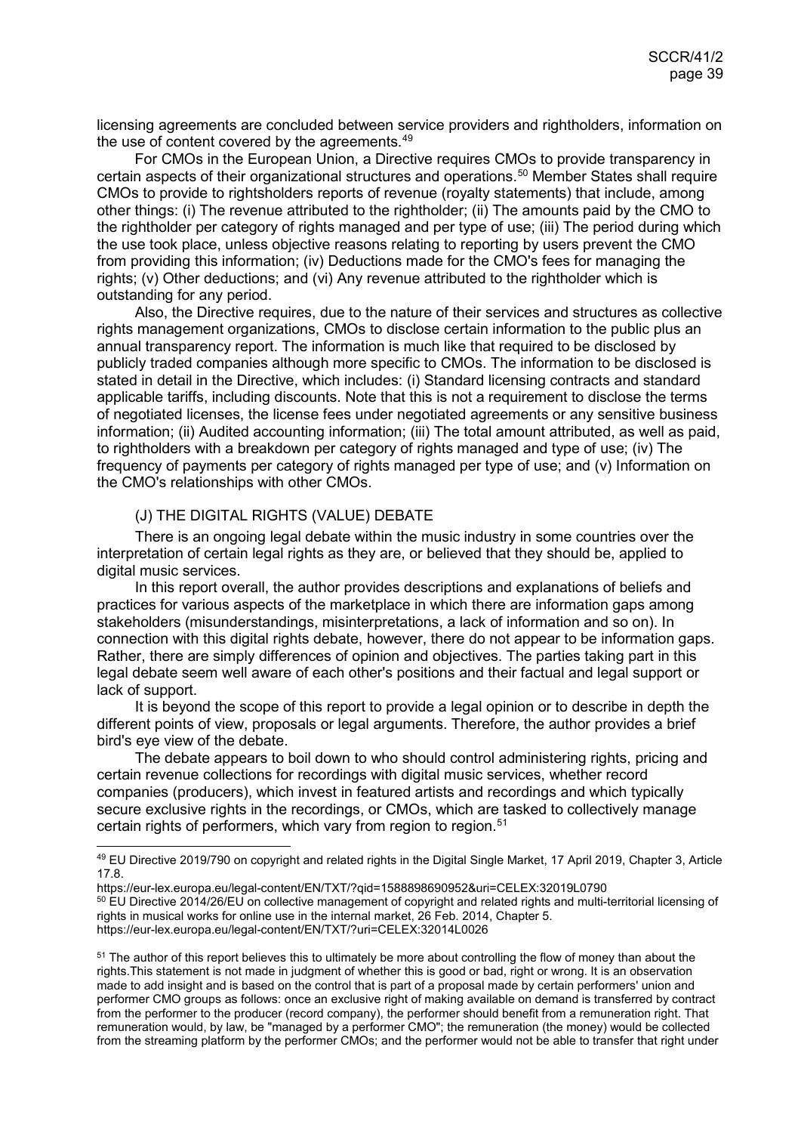licensing agreements are concluded between service providers and rightholders, information on the use of content covered by the agreements.<sup>[49](#page-38-1)</sup>

For CMOs in the European Union, a Directive requires CMOs to provide transparency in certain aspects of their organizational structures and operations.[50](#page-38-2) Member States shall require CMOs to provide to rightsholders reports of revenue (royalty statements) that include, among other things: (i) The revenue attributed to the rightholder; (ii) The amounts paid by the CMO to the rightholder per category of rights managed and per type of use; (iii) The period during which the use took place, unless objective reasons relating to reporting by users prevent the CMO from providing this information; (iv) Deductions made for the CMO's fees for managing the rights; (v) Other deductions; and (vi) Any revenue attributed to the rightholder which is outstanding for any period.

Also, the Directive requires, due to the nature of their services and structures as collective rights management organizations, CMOs to disclose certain information to the public plus an annual transparency report. The information is much like that required to be disclosed by publicly traded companies although more specific to CMOs. The information to be disclosed is stated in detail in the Directive, which includes: (i) Standard licensing contracts and standard applicable tariffs, including discounts. Note that this is not a requirement to disclose the terms of negotiated licenses, the license fees under negotiated agreements or any sensitive business information; (ii) Audited accounting information; (iii) The total amount attributed, as well as paid, to rightholders with a breakdown per category of rights managed and type of use; (iv) The frequency of payments per category of rights managed per type of use; and (v) Information on the CMO's relationships with other CMOs.

#### <span id="page-38-0"></span>(J) THE DIGITAL RIGHTS (VALUE) DEBATE

There is an ongoing legal debate within the music industry in some countries over the interpretation of certain legal rights as they are, or believed that they should be, applied to digital music services.

In this report overall, the author provides descriptions and explanations of beliefs and practices for various aspects of the marketplace in which there are information gaps among stakeholders (misunderstandings, misinterpretations, a lack of information and so on). In connection with this digital rights debate, however, there do not appear to be information gaps. Rather, there are simply differences of opinion and objectives. The parties taking part in this legal debate seem well aware of each other's positions and their factual and legal support or lack of support.

It is beyond the scope of this report to provide a legal opinion or to describe in depth the different points of view, proposals or legal arguments. Therefore, the author provides a brief bird's eye view of the debate.

The debate appears to boil down to who should control administering rights, pricing and certain revenue collections for recordings with digital music services, whether record companies (producers), which invest in featured artists and recordings and which typically secure exclusive rights in the recordings, or CMOs, which are tasked to collectively manage certain rights of performers, which vary from region to region.<sup>[51](#page-38-3)</sup>

<span id="page-38-1"></span> <sup>49</sup> EU Directive 2019/790 on copyright and related rights in the Digital Single Market, 17 April 2019, Chapter 3, Article 17.8.

https://eur-lex.europa.eu/legal-content/EN/TXT/?qid=1588898690952&uri=CELEX:32019L0790

<span id="page-38-2"></span><sup>&</sup>lt;sup>50</sup> EU Directive 2014/26/EU on collective management of copyright and related rights and multi-territorial licensing of rights in musical works for online use in the internal market, 26 Feb. 2014, Chapter 5. https://eur-lex.europa.eu/legal-content/EN/TXT/?uri=CELEX:32014L0026

<span id="page-38-3"></span><sup>&</sup>lt;sup>51</sup> The author of this report believes this to ultimately be more about controlling the flow of money than about the rights.This statement is not made in judgment of whether this is good or bad, right or wrong. It is an observation made to add insight and is based on the control that is part of a proposal made by certain performers' union and performer CMO groups as follows: once an exclusive right of making available on demand is transferred by contract from the performer to the producer (record company), the performer should benefit from a remuneration right. That remuneration would, by law, be "managed by a performer CMO"; the remuneration (the money) would be collected from the streaming platform by the performer CMOs; and the performer would not be able to transfer that right under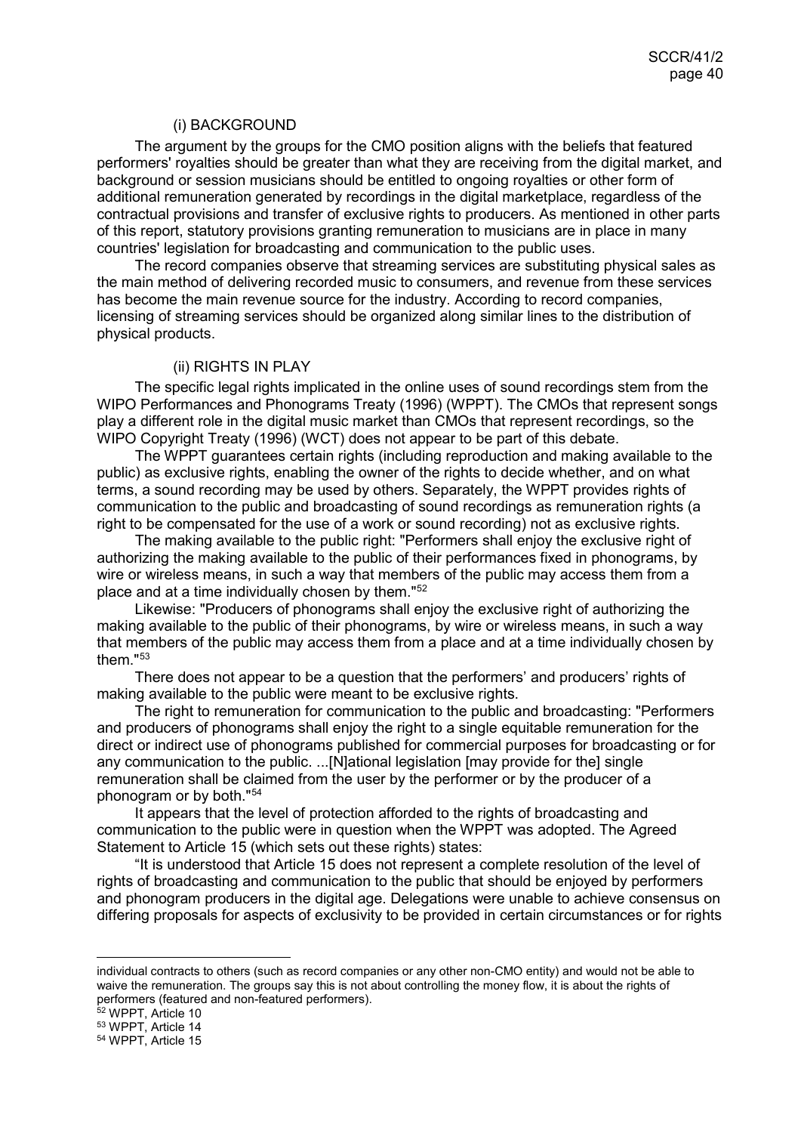#### <span id="page-39-0"></span>(i) BACKGROUND

The argument by the groups for the CMO position aligns with the beliefs that featured performers' royalties should be greater than what they are receiving from the digital market, and background or session musicians should be entitled to ongoing royalties or other form of additional remuneration generated by recordings in the digital marketplace, regardless of the contractual provisions and transfer of exclusive rights to producers. As mentioned in other parts of this report, statutory provisions granting remuneration to musicians are in place in many countries' legislation for broadcasting and communication to the public uses.

The record companies observe that streaming services are substituting physical sales as the main method of delivering recorded music to consumers, and revenue from these services has become the main revenue source for the industry. According to record companies, licensing of streaming services should be organized along similar lines to the distribution of physical products.

#### <span id="page-39-1"></span>(ii) RIGHTS IN PLAY

The specific legal rights implicated in the online uses of sound recordings stem from the WIPO Performances and Phonograms Treaty (1996) (WPPT). The CMOs that represent songs play a different role in the digital music market than CMOs that represent recordings, so the WIPO Copyright Treaty (1996) (WCT) does not appear to be part of this debate.

The WPPT guarantees certain rights (including reproduction and making available to the public) as exclusive rights, enabling the owner of the rights to decide whether, and on what terms, a sound recording may be used by others. Separately, the WPPT provides rights of communication to the public and broadcasting of sound recordings as remuneration rights (a right to be compensated for the use of a work or sound recording) not as exclusive rights.

The making available to the public right: "Performers shall enjoy the exclusive right of authorizing the making available to the public of their performances fixed in phonograms, by wire or wireless means, in such a way that members of the public may access them from a place and at a time individually chosen by them."[52](#page-39-2)

Likewise: "Producers of phonograms shall enjoy the exclusive right of authorizing the making available to the public of their phonograms, by wire or wireless means, in such a way that members of the public may access them from a place and at a time individually chosen by them<sup>"[53](#page-39-3)</sup>

There does not appear to be a question that the performers' and producers' rights of making available to the public were meant to be exclusive rights.

The right to remuneration for communication to the public and broadcasting: "Performers and producers of phonograms shall enjoy the right to a single equitable remuneration for the direct or indirect use of phonograms published for commercial purposes for broadcasting or for any communication to the public. ...[N]ational legislation [may provide for the] single remuneration shall be claimed from the user by the performer or by the producer of a phonogram or by both."[54](#page-39-4)

It appears that the level of protection afforded to the rights of broadcasting and communication to the public were in question when the WPPT was adopted. The Agreed Statement to Article 15 (which sets out these rights) states:

"It is understood that Article 15 does not represent a complete resolution of the level of rights of broadcasting and communication to the public that should be enjoyed by performers and phonogram producers in the digital age. Delegations were unable to achieve consensus on differing proposals for aspects of exclusivity to be provided in certain circumstances or for rights

individual contracts to others (such as record companies or any other non-CMO entity) and would not be able to waive the remuneration. The groups say this is not about controlling the money flow, it is about the rights of performers (featured and non-featured performers).

<sup>52</sup> WPPT, Article 10

<span id="page-39-3"></span><span id="page-39-2"></span><sup>53</sup> WPPT, Article 14

<span id="page-39-4"></span><sup>54</sup> WPPT, Article 15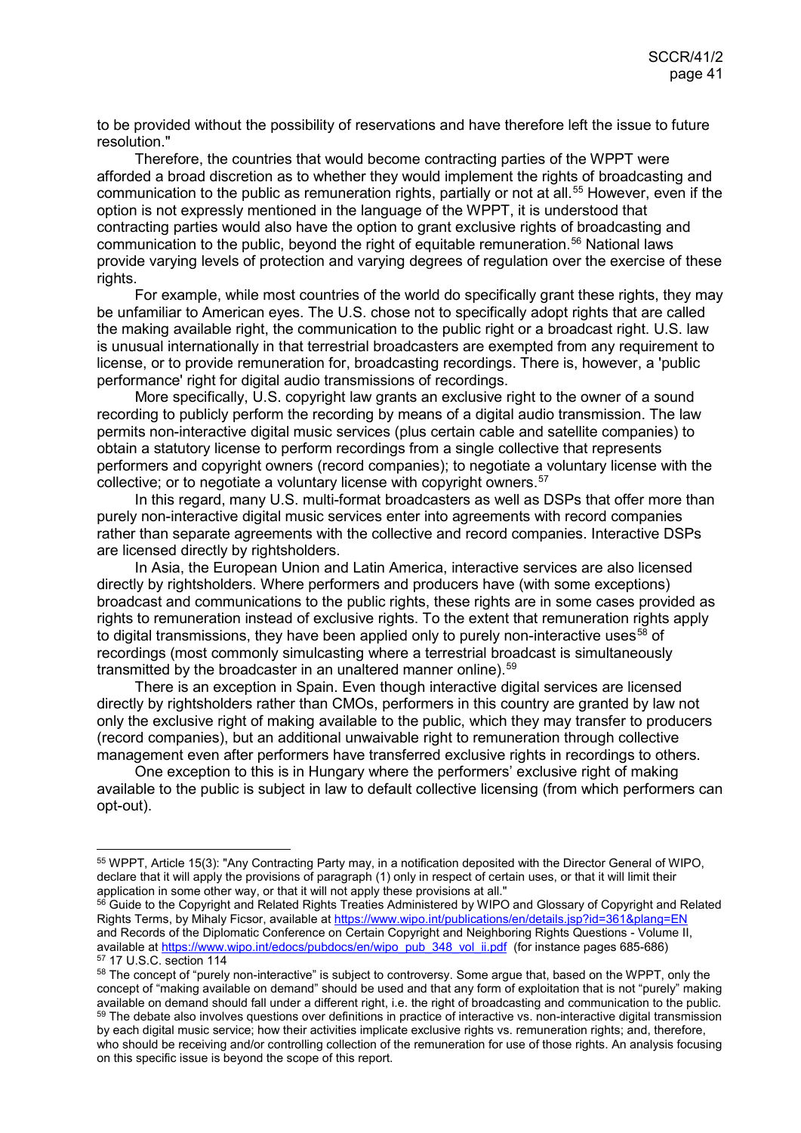to be provided without the possibility of reservations and have therefore left the issue to future resolution."

Therefore, the countries that would become contracting parties of the WPPT were afforded a broad discretion as to whether they would implement the rights of broadcasting and communication to the public as remuneration rights, partially or not at all.<sup>[55](#page-40-0)</sup> However, even if the option is not expressly mentioned in the language of the WPPT, it is understood that contracting parties would also have the option to grant exclusive rights of broadcasting and communication to the public, beyond the right of equitable remuneration.[56](#page-40-1) National laws provide varying levels of protection and varying degrees of regulation over the exercise of these rights.

For example, while most countries of the world do specifically grant these rights, they may be unfamiliar to American eyes. The U.S. chose not to specifically adopt rights that are called the making available right, the communication to the public right or a broadcast right. U.S. law is unusual internationally in that terrestrial broadcasters are exempted from any requirement to license, or to provide remuneration for, broadcasting recordings. There is, however, a 'public performance' right for digital audio transmissions of recordings.

More specifically, U.S. copyright law grants an exclusive right to the owner of a sound recording to publicly perform the recording by means of a digital audio transmission. The law permits non-interactive digital music services (plus certain cable and satellite companies) to obtain a statutory license to perform recordings from a single collective that represents performers and copyright owners (record companies); to negotiate a voluntary license with the collective; or to negotiate a voluntary license with copyright owners.<sup>[57](#page-40-2)</sup>

In this regard, many U.S. multi-format broadcasters as well as DSPs that offer more than purely non-interactive digital music services enter into agreements with record companies rather than separate agreements with the collective and record companies. Interactive DSPs are licensed directly by rightsholders.

In Asia, the European Union and Latin America, interactive services are also licensed directly by rightsholders. Where performers and producers have (with some exceptions) broadcast and communications to the public rights, these rights are in some cases provided as rights to remuneration instead of exclusive rights. To the extent that remuneration rights apply to digital transmissions, they have been applied only to purely non-interactive uses<sup>[58](#page-40-3)</sup> of recordings (most commonly simulcasting where a terrestrial broadcast is simultaneously transmitted by the broadcaster in an unaltered manner online).<sup>[59](#page-40-4)</sup>

There is an exception in Spain. Even though interactive digital services are licensed directly by rightsholders rather than CMOs, performers in this country are granted by law not only the exclusive right of making available to the public, which they may transfer to producers (record companies), but an additional unwaivable right to remuneration through collective management even after performers have transferred exclusive rights in recordings to others.

One exception to this is in Hungary where the performers' exclusive right of making available to the public is subject in law to default collective licensing (from which performers can opt-out).

<span id="page-40-0"></span> <sup>55</sup> WPPT, Article 15(3): "Any Contracting Party may, in a notification deposited with the Director General of WIPO, declare that it will apply the provisions of paragraph (1) only in respect of certain uses, or that it will limit their application in some other way, or that it will not apply these provisions at all."

<span id="page-40-1"></span><sup>&</sup>lt;sup>56</sup> Guide to the Copyright and Related Rights Treaties Administered by WIPO and Glossary of Copyright and Related Rights Terms, by Mihaly Ficsor, available a[t https://www.wipo.int/publications/en/details.jsp?id=361&plang=EN](https://www.wipo.int/publications/en/details.jsp?id=361&plang=EN) and Records of the Diplomatic Conference on Certain Copyright and Neighboring Rights Questions - Volume II, available at [https://www.wipo.int/edocs/pubdocs/en/wipo\\_pub\\_348\\_vol\\_ii.pdf](https://www.wipo.int/edocs/pubdocs/en/wipo_pub_348_vol_ii.pdf) (for instance pages 685-686) <sup>57</sup> 17 U.S.C. section 114

<span id="page-40-4"></span><span id="page-40-3"></span><span id="page-40-2"></span><sup>58</sup> The concept of "purely non-interactive" is subject to controversy. Some argue that, based on the WPPT, only the concept of "making available on demand" should be used and that any form of exploitation that is not "purely" making available on demand should fall under a different right, i.e. the right of broadcasting and communication to the public. <sup>59</sup> The debate also involves questions over definitions in practice of interactive vs. non-interactive digital transmission by each digital music service; how their activities implicate exclusive rights vs. remuneration rights; and, therefore, who should be receiving and/or controlling collection of the remuneration for use of those rights. An analysis focusing on this specific issue is beyond the scope of this report.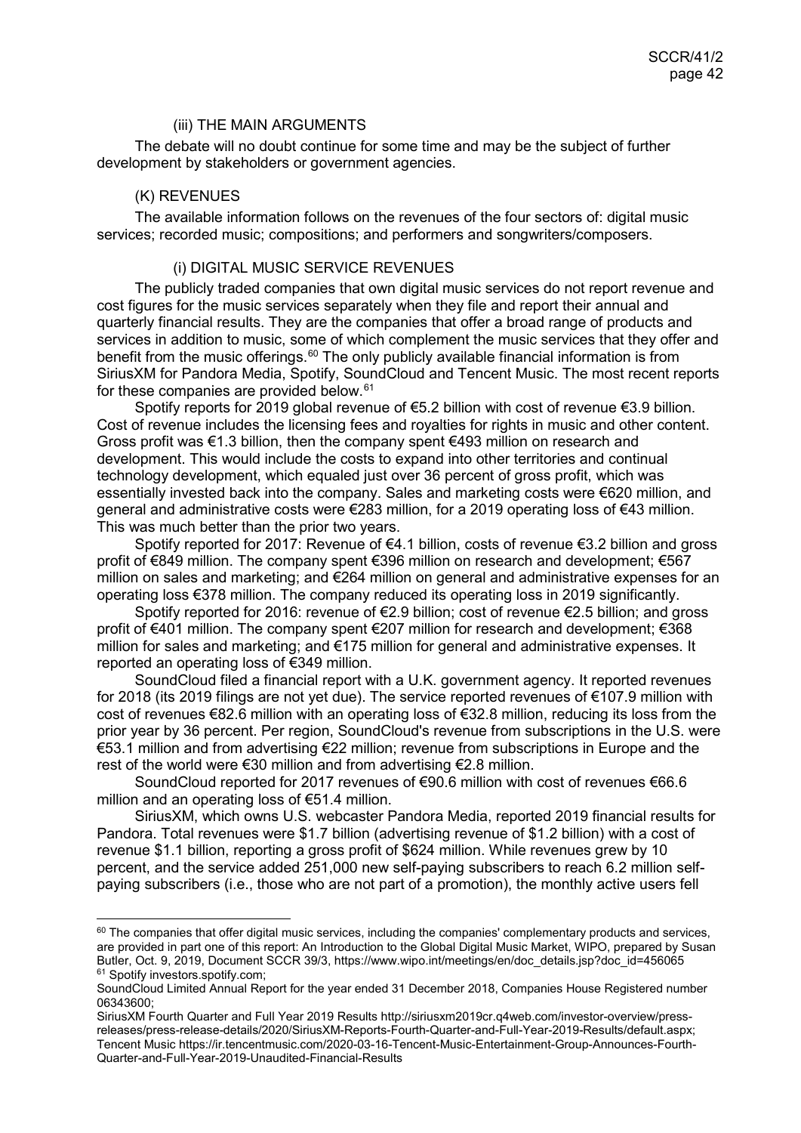#### <span id="page-41-0"></span>(iii) THE MAIN ARGUMENTS

The debate will no doubt continue for some time and may be the subject of further development by stakeholders or government agencies.

#### <span id="page-41-1"></span>(K) REVENUES

The available information follows on the revenues of the four sectors of: digital music services; recorded music; compositions; and performers and songwriters/composers.

## <span id="page-41-2"></span>(i) DIGITAL MUSIC SERVICE REVENUES

The publicly traded companies that own digital music services do not report revenue and cost figures for the music services separately when they file and report their annual and quarterly financial results. They are the companies that offer a broad range of products and services in addition to music, some of which complement the music services that they offer and benefit from the music offerings.<sup>[60](#page-41-3)</sup> The only publicly available financial information is from SiriusXM for Pandora Media, Spotify, SoundCloud and Tencent Music. The most recent reports for these companies are provided below.<sup>[61](#page-41-4)</sup>

Spotify reports for 2019 global revenue of €5.2 billion with cost of revenue €3.9 billion. Cost of revenue includes the licensing fees and royalties for rights in music and other content. Gross profit was €1.3 billion, then the company spent €493 million on research and development. This would include the costs to expand into other territories and continual technology development, which equaled just over 36 percent of gross profit, which was essentially invested back into the company. Sales and marketing costs were €620 million, and general and administrative costs were €283 million, for a 2019 operating loss of €43 million. This was much better than the prior two years.

Spotify reported for 2017: Revenue of €4.1 billion, costs of revenue €3.2 billion and gross profit of €849 million. The company spent €396 million on research and development; €567 million on sales and marketing; and €264 million on general and administrative expenses for an operating loss €378 million. The company reduced its operating loss in 2019 significantly.

Spotify reported for 2016: revenue of €2.9 billion; cost of revenue €2.5 billion; and gross profit of €401 million. The company spent €207 million for research and development; €368 million for sales and marketing; and €175 million for general and administrative expenses. It reported an operating loss of €349 million.

SoundCloud filed a financial report with a U.K. government agency. It reported revenues for 2018 (its 2019 filings are not yet due). The service reported revenues of €107.9 million with cost of revenues €82.6 million with an operating loss of €32.8 million, reducing its loss from the prior year by 36 percent. Per region, SoundCloud's revenue from subscriptions in the U.S. were €53.1 million and from advertising €22 million; revenue from subscriptions in Europe and the rest of the world were €30 million and from advertising €2.8 million.

SoundCloud reported for 2017 revenues of €90.6 million with cost of revenues €66.6 million and an operating loss of €51.4 million.

SiriusXM, which owns U.S. webcaster Pandora Media, reported 2019 financial results for Pandora. Total revenues were \$1.7 billion (advertising revenue of \$1.2 billion) with a cost of revenue \$1.1 billion, reporting a gross profit of \$624 million. While revenues grew by 10 percent, and the service added 251,000 new self-paying subscribers to reach 6.2 million selfpaying subscribers (i.e., those who are not part of a promotion), the monthly active users fell

<span id="page-41-3"></span> $60$  The companies that offer digital music services, including the companies' complementary products and services, are provided in part one of this report: An Introduction to the Global Digital Music Market, WIPO, prepared by Susan Butler, Oct. 9, 2019, Document SCCR 39/3, https://www.wipo.int/meetings/en/doc\_details.jsp?doc\_id=456065 <sup>61</sup> Spotify investors.spotify.com;

<span id="page-41-4"></span>SoundCloud Limited Annual Report for the year ended 31 December 2018, Companies House Registered number 06343600;

SiriusXM Fourth Quarter and Full Year 2019 Results http://siriusxm2019cr.q4web.com/investor-overview/pressreleases/press-release-details/2020/SiriusXM-Reports-Fourth-Quarter-and-Full-Year-2019-Results/default.aspx; Tencent Music https://ir.tencentmusic.com/2020-03-16-Tencent-Music-Entertainment-Group-Announces-Fourth-Quarter-and-Full-Year-2019-Unaudited-Financial-Results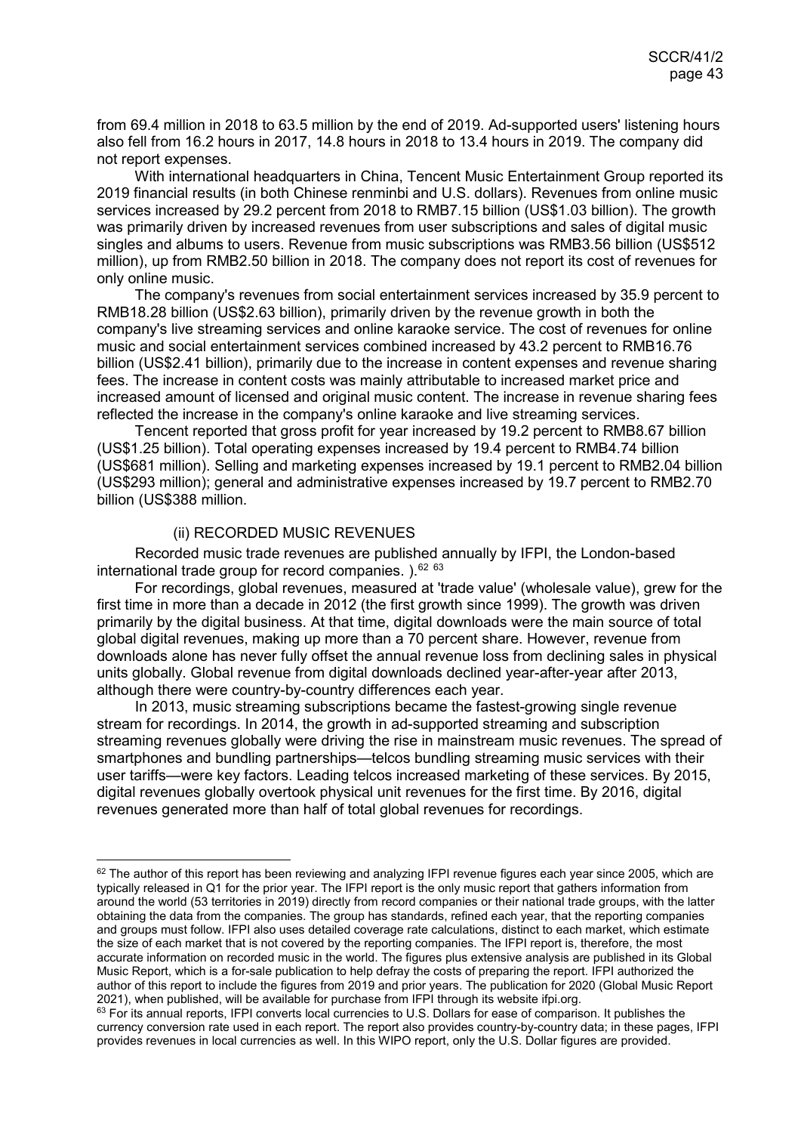from 69.4 million in 2018 to 63.5 million by the end of 2019. Ad-supported users' listening hours also fell from 16.2 hours in 2017, 14.8 hours in 2018 to 13.4 hours in 2019. The company did not report expenses.

With international headquarters in China, Tencent Music Entertainment Group reported its 2019 financial results (in both Chinese renminbi and U.S. dollars). Revenues from online music services increased by 29.2 percent from 2018 to RMB7.15 billion (US\$1.03 billion). The growth was primarily driven by increased revenues from user subscriptions and sales of digital music singles and albums to users. Revenue from music subscriptions was RMB3.56 billion (US\$512 million), up from RMB2.50 billion in 2018. The company does not report its cost of revenues for only online music.

The company's revenues from social entertainment services increased by 35.9 percent to RMB18.28 billion (US\$2.63 billion), primarily driven by the revenue growth in both the company's live streaming services and online karaoke service. The cost of revenues for online music and social entertainment services combined increased by 43.2 percent to RMB16.76 billion (US\$2.41 billion), primarily due to the increase in content expenses and revenue sharing fees. The increase in content costs was mainly attributable to increased market price and increased amount of licensed and original music content. The increase in revenue sharing fees reflected the increase in the company's online karaoke and live streaming services.

Tencent reported that gross profit for year increased by 19.2 percent to RMB8.67 billion (US\$1.25 billion). Total operating expenses increased by 19.4 percent to RMB4.74 billion (US\$681 million). Selling and marketing expenses increased by 19.1 percent to RMB2.04 billion (US\$293 million); general and administrative expenses increased by 19.7 percent to RMB2.70 billion (US\$388 million.

#### <span id="page-42-0"></span>(ii) RECORDED MUSIC REVENUES

Recorded music trade revenues are published annually by IFPI, the London-based international trade group for record companies.  $1.62$  $1.62$   $63$ 

For recordings, global revenues, measured at 'trade value' (wholesale value), grew for the first time in more than a decade in 2012 (the first growth since 1999). The growth was driven primarily by the digital business. At that time, digital downloads were the main source of total global digital revenues, making up more than a 70 percent share. However, revenue from downloads alone has never fully offset the annual revenue loss from declining sales in physical units globally. Global revenue from digital downloads declined year-after-year after 2013, although there were country-by-country differences each year.

In 2013, music streaming subscriptions became the fastest-growing single revenue stream for recordings. In 2014, the growth in ad-supported streaming and subscription streaming revenues globally were driving the rise in mainstream music revenues. The spread of smartphones and bundling partnerships—telcos bundling streaming music services with their user tariffs—were key factors. Leading telcos increased marketing of these services. By 2015, digital revenues globally overtook physical unit revenues for the first time. By 2016, digital revenues generated more than half of total global revenues for recordings.

<span id="page-42-1"></span><sup>&</sup>lt;sup>62</sup> The author of this report has been reviewing and analyzing IFPI revenue figures each year since 2005, which are typically released in Q1 for the prior year. The IFPI report is the only music report that gathers information from around the world (53 territories in 2019) directly from record companies or their national trade groups, with the latter obtaining the data from the companies. The group has standards, refined each year, that the reporting companies and groups must follow. IFPI also uses detailed coverage rate calculations, distinct to each market, which estimate the size of each market that is not covered by the reporting companies. The IFPI report is, therefore, the most accurate information on recorded music in the world. The figures plus extensive analysis are published in its Global Music Report, which is a for-sale publication to help defray the costs of preparing the report. IFPI authorized the author of this report to include the figures from 2019 and prior years. The publication for 2020 (Global Music Report 2021), when published, will be available for purchase from IFPI through its website ifpi.org.

<span id="page-42-2"></span><sup>63</sup> For its annual reports, IFPI converts local currencies to U.S. Dollars for ease of comparison. It publishes the currency conversion rate used in each report. The report also provides country-by-country data; in these pages, IFPI provides revenues in local currencies as well. In this WIPO report, only the U.S. Dollar figures are provided.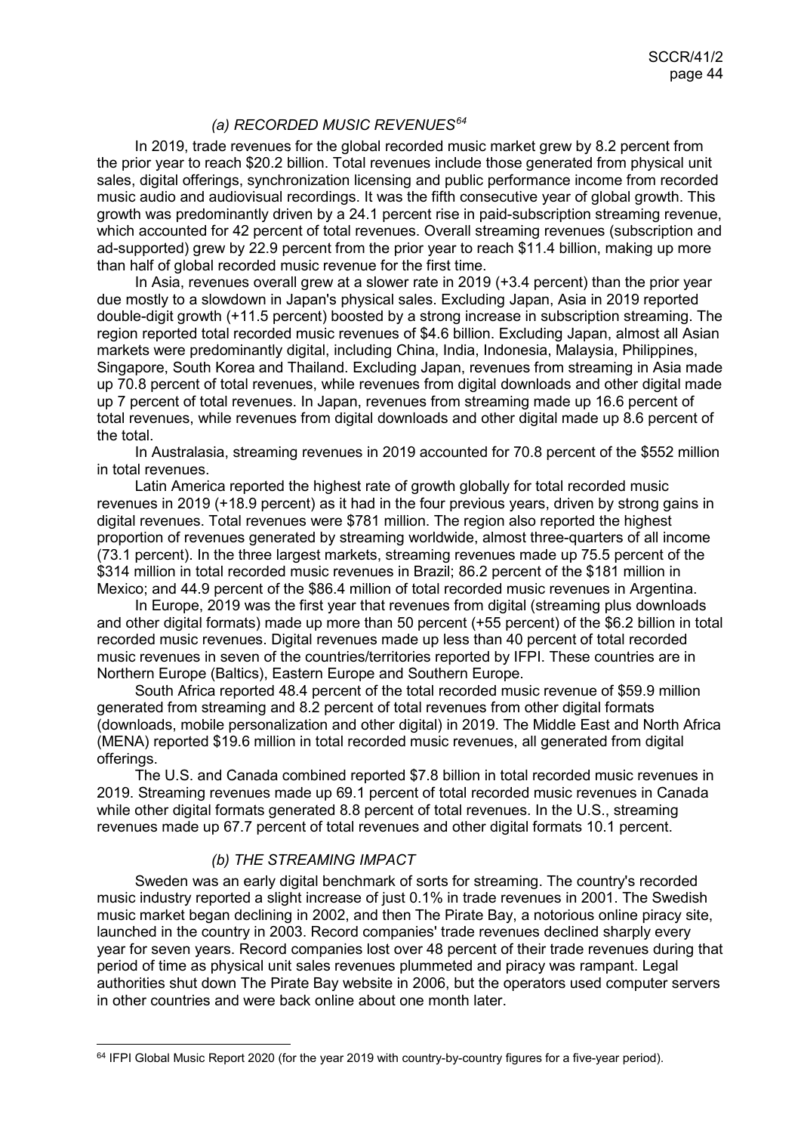## *(a) RECORDED MUSIC REVENUES[64](#page-43-0)*

In 2019, trade revenues for the global recorded music market grew by 8.2 percent from the prior year to reach \$20.2 billion. Total revenues include those generated from physical unit sales, digital offerings, synchronization licensing and public performance income from recorded music audio and audiovisual recordings. It was the fifth consecutive year of global growth. This growth was predominantly driven by a 24.1 percent rise in paid-subscription streaming revenue, which accounted for 42 percent of total revenues. Overall streaming revenues (subscription and ad-supported) grew by 22.9 percent from the prior year to reach \$11.4 billion, making up more than half of global recorded music revenue for the first time.

In Asia, revenues overall grew at a slower rate in 2019 (+3.4 percent) than the prior year due mostly to a slowdown in Japan's physical sales. Excluding Japan, Asia in 2019 reported double-digit growth (+11.5 percent) boosted by a strong increase in subscription streaming. The region reported total recorded music revenues of \$4.6 billion. Excluding Japan, almost all Asian markets were predominantly digital, including China, India, Indonesia, Malaysia, Philippines, Singapore, South Korea and Thailand. Excluding Japan, revenues from streaming in Asia made up 70.8 percent of total revenues, while revenues from digital downloads and other digital made up 7 percent of total revenues. In Japan, revenues from streaming made up 16.6 percent of total revenues, while revenues from digital downloads and other digital made up 8.6 percent of the total.

In Australasia, streaming revenues in 2019 accounted for 70.8 percent of the \$552 million in total revenues.

Latin America reported the highest rate of growth globally for total recorded music revenues in 2019 (+18.9 percent) as it had in the four previous years, driven by strong gains in digital revenues. Total revenues were \$781 million. The region also reported the highest proportion of revenues generated by streaming worldwide, almost three-quarters of all income (73.1 percent). In the three largest markets, streaming revenues made up 75.5 percent of the \$314 million in total recorded music revenues in Brazil; 86.2 percent of the \$181 million in Mexico; and 44.9 percent of the \$86.4 million of total recorded music revenues in Argentina.

In Europe, 2019 was the first year that revenues from digital (streaming plus downloads and other digital formats) made up more than 50 percent (+55 percent) of the \$6.2 billion in total recorded music revenues. Digital revenues made up less than 40 percent of total recorded music revenues in seven of the countries/territories reported by IFPI. These countries are in Northern Europe (Baltics), Eastern Europe and Southern Europe.

South Africa reported 48.4 percent of the total recorded music revenue of \$59.9 million generated from streaming and 8.2 percent of total revenues from other digital formats (downloads, mobile personalization and other digital) in 2019. The Middle East and North Africa (MENA) reported \$19.6 million in total recorded music revenues, all generated from digital offerings.

The U.S. and Canada combined reported \$7.8 billion in total recorded music revenues in 2019. Streaming revenues made up 69.1 percent of total recorded music revenues in Canada while other digital formats generated 8.8 percent of total revenues. In the U.S., streaming revenues made up 67.7 percent of total revenues and other digital formats 10.1 percent.

#### *(b) THE STREAMING IMPACT*

Sweden was an early digital benchmark of sorts for streaming. The country's recorded music industry reported a slight increase of just 0.1% in trade revenues in 2001. The Swedish music market began declining in 2002, and then The Pirate Bay, a notorious online piracy site, launched in the country in 2003. Record companies' trade revenues declined sharply every year for seven years. Record companies lost over 48 percent of their trade revenues during that period of time as physical unit sales revenues plummeted and piracy was rampant. Legal authorities shut down The Pirate Bay website in 2006, but the operators used computer servers in other countries and were back online about one month later.

<span id="page-43-0"></span> $64$  IFPI Global Music Report 2020 (for the year 2019 with country-by-country figures for a five-year period).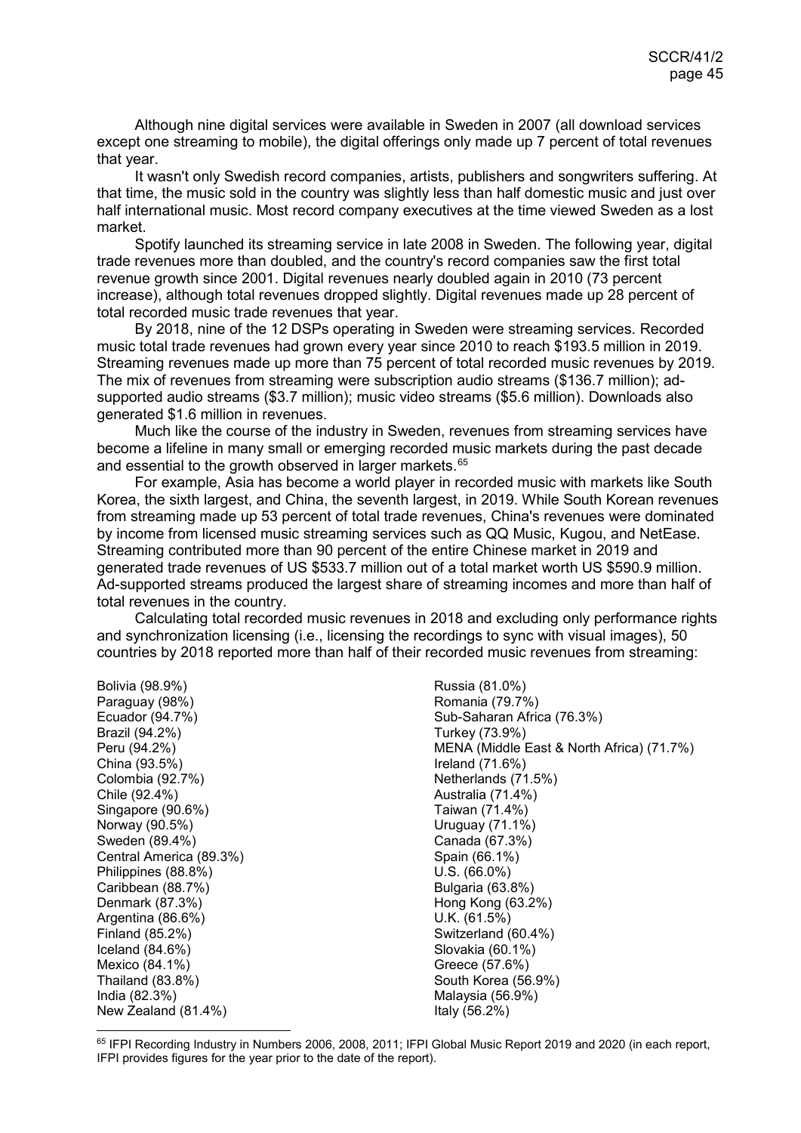Although nine digital services were available in Sweden in 2007 (all download services except one streaming to mobile), the digital offerings only made up 7 percent of total revenues that year.

It wasn't only Swedish record companies, artists, publishers and songwriters suffering. At that time, the music sold in the country was slightly less than half domestic music and just over half international music. Most record company executives at the time viewed Sweden as a lost market.

Spotify launched its streaming service in late 2008 in Sweden. The following year, digital trade revenues more than doubled, and the country's record companies saw the first total revenue growth since 2001. Digital revenues nearly doubled again in 2010 (73 percent increase), although total revenues dropped slightly. Digital revenues made up 28 percent of total recorded music trade revenues that year.

By 2018, nine of the 12 DSPs operating in Sweden were streaming services. Recorded music total trade revenues had grown every year since 2010 to reach \$193.5 million in 2019. Streaming revenues made up more than 75 percent of total recorded music revenues by 2019. The mix of revenues from streaming were subscription audio streams (\$136.7 million); adsupported audio streams (\$3.7 million); music video streams (\$5.6 million). Downloads also generated \$1.6 million in revenues.

Much like the course of the industry in Sweden, revenues from streaming services have become a lifeline in many small or emerging recorded music markets during the past decade and essential to the growth observed in larger markets.<sup>[65](#page-44-0)</sup>

For example, Asia has become a world player in recorded music with markets like South Korea, the sixth largest, and China, the seventh largest, in 2019. While South Korean revenues from streaming made up 53 percent of total trade revenues, China's revenues were dominated by income from licensed music streaming services such as QQ Music, Kugou, and NetEase. Streaming contributed more than 90 percent of the entire Chinese market in 2019 and generated trade revenues of US \$533.7 million out of a total market worth US \$590.9 million. Ad-supported streams produced the largest share of streaming incomes and more than half of total revenues in the country.

Calculating total recorded music revenues in 2018 and excluding only performance rights and synchronization licensing (i.e., licensing the recordings to sync with visual images), 50 countries by 2018 reported more than half of their recorded music revenues from streaming:

Bolivia (98.9%) Paraguay (98%) Ecuador (94.7%) Brazil (94.2%) Peru (94.2%) China (93.5%) Colombia (92.7%) Chile (92.4%) Singapore (90.6%) Norway (90.5%) Sweden (89.4%) Central America (89.3%) Philippines (88.8%) Caribbean (88.7%) Denmark (87.3%) Argentina (86.6%) Finland (85.2%) Iceland (84.6%) Mexico (84.1%) Thailand (83.8%) India (82.3%) New Zealand (81.4%)

Russia (81.0%) Romania (79.7%) Sub-Saharan Africa (76.3%) Turkey (73.9%) MENA (Middle East & North Africa) (71.7%) Ireland (71.6%) Netherlands (71.5%) Australia (71.4%) Taiwan (71.4%) Uruguay (71.1%) Canada (67.3%) Spain (66.1%) U.S. (66.0%) Bulgaria (63.8%) Hong Kong (63.2%) U.K. (61.5%) Switzerland (60.4%) Slovakia (60.1%) Greece (57.6%) South Korea (56.9%) Malaysia (56.9%) Italy (56.2%)

<span id="page-44-0"></span>65 IFPI Recording Industry in Numbers 2006, 2008, 2011; IFPI Global Music Report 2019 and 2020 (in each report, IFPI provides figures for the year prior to the date of the report).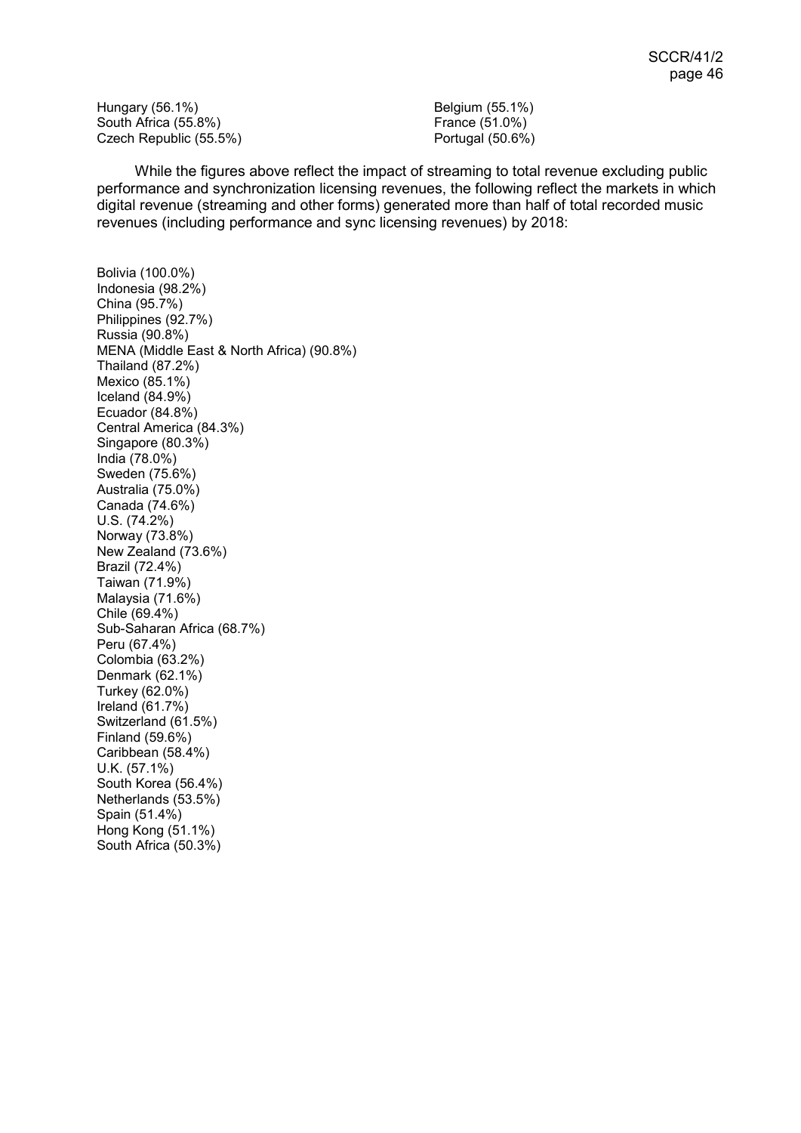Hungary (56.1%) South Africa (55.8%) Czech Republic (55.5%)

Belgium (55.1%) France (51.0%) Portugal (50.6%)

While the figures above reflect the impact of streaming to total revenue excluding public performance and synchronization licensing revenues, the following reflect the markets in which digital revenue (streaming and other forms) generated more than half of total recorded music revenues (including performance and sync licensing revenues) by 2018:

Bolivia (100.0%) Indonesia (98.2%) China (95.7%) Philippines (92.7%) Russia (90.8%) MENA (Middle East & North Africa) (90.8%) Thailand (87.2%) Mexico (85.1%) Iceland (84.9%) Ecuador (84.8%) Central America (84.3%) Singapore (80.3%) India (78.0%) Sweden (75.6%) Australia (75.0%) Canada (74.6%) U.S. (74.2%) Norway (73.8%) New Zealand (73.6%) Brazil (72.4%) Taiwan (71.9%) Malaysia (71.6%) Chile (69.4%) Sub-Saharan Africa (68.7%) Peru (67.4%) Colombia (63.2%) Denmark (62.1%) Turkey (62.0%) Ireland (61.7%) Switzerland (61.5%) Finland (59.6%) Caribbean (58.4%) U.K. (57.1%) South Korea (56.4%) Netherlands (53.5%) Spain (51.4%) Hong Kong (51.1%) South Africa (50.3%)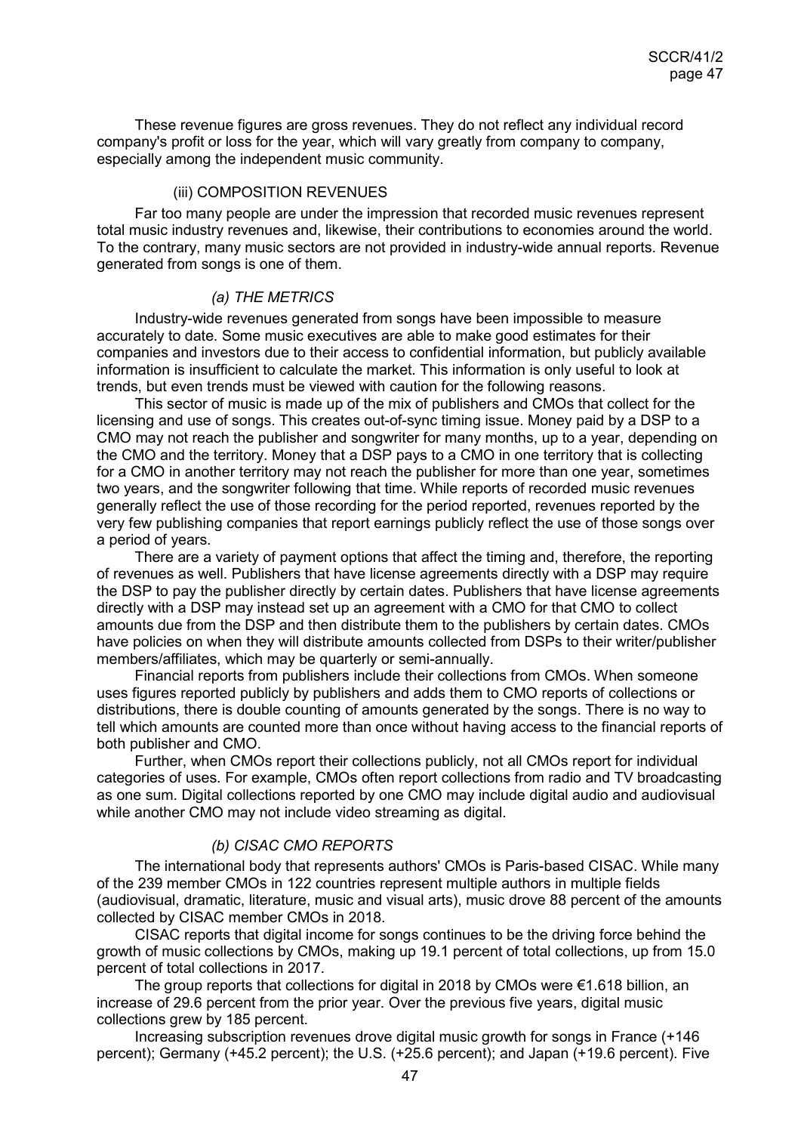These revenue figures are gross revenues. They do not reflect any individual record company's profit or loss for the year, which will vary greatly from company to company, especially among the independent music community.

#### <span id="page-46-0"></span>(iii) COMPOSITION REVENUES

Far too many people are under the impression that recorded music revenues represent total music industry revenues and, likewise, their contributions to economies around the world. To the contrary, many music sectors are not provided in industry-wide annual reports. Revenue generated from songs is one of them.

#### *(a) THE METRICS*

Industry-wide revenues generated from songs have been impossible to measure accurately to date. Some music executives are able to make good estimates for their companies and investors due to their access to confidential information, but publicly available information is insufficient to calculate the market. This information is only useful to look at trends, but even trends must be viewed with caution for the following reasons.

This sector of music is made up of the mix of publishers and CMOs that collect for the licensing and use of songs. This creates out-of-sync timing issue. Money paid by a DSP to a CMO may not reach the publisher and songwriter for many months, up to a year, depending on the CMO and the territory. Money that a DSP pays to a CMO in one territory that is collecting for a CMO in another territory may not reach the publisher for more than one year, sometimes two years, and the songwriter following that time. While reports of recorded music revenues generally reflect the use of those recording for the period reported, revenues reported by the very few publishing companies that report earnings publicly reflect the use of those songs over a period of years.

There are a variety of payment options that affect the timing and, therefore, the reporting of revenues as well. Publishers that have license agreements directly with a DSP may require the DSP to pay the publisher directly by certain dates. Publishers that have license agreements directly with a DSP may instead set up an agreement with a CMO for that CMO to collect amounts due from the DSP and then distribute them to the publishers by certain dates. CMOs have policies on when they will distribute amounts collected from DSPs to their writer/publisher members/affiliates, which may be quarterly or semi-annually.

Financial reports from publishers include their collections from CMOs. When someone uses figures reported publicly by publishers and adds them to CMO reports of collections or distributions, there is double counting of amounts generated by the songs. There is no way to tell which amounts are counted more than once without having access to the financial reports of both publisher and CMO.

Further, when CMOs report their collections publicly, not all CMOs report for individual categories of uses. For example, CMOs often report collections from radio and TV broadcasting as one sum. Digital collections reported by one CMO may include digital audio and audiovisual while another CMO may not include video streaming as digital.

#### *(b) CISAC CMO REPORTS*

The international body that represents authors' CMOs is Paris-based CISAC. While many of the 239 member CMOs in 122 countries represent multiple authors in multiple fields (audiovisual, dramatic, literature, music and visual arts), music drove 88 percent of the amounts collected by CISAC member CMOs in 2018.

CISAC reports that digital income for songs continues to be the driving force behind the growth of music collections by CMOs, making up 19.1 percent of total collections, up from 15.0 percent of total collections in 2017.

The group reports that collections for digital in 2018 by CMOs were  $\epsilon$ 1.618 billion, an increase of 29.6 percent from the prior year. Over the previous five years, digital music collections grew by 185 percent.

Increasing subscription revenues drove digital music growth for songs in France (+146 percent); Germany (+45.2 percent); the U.S. (+25.6 percent); and Japan (+19.6 percent). Five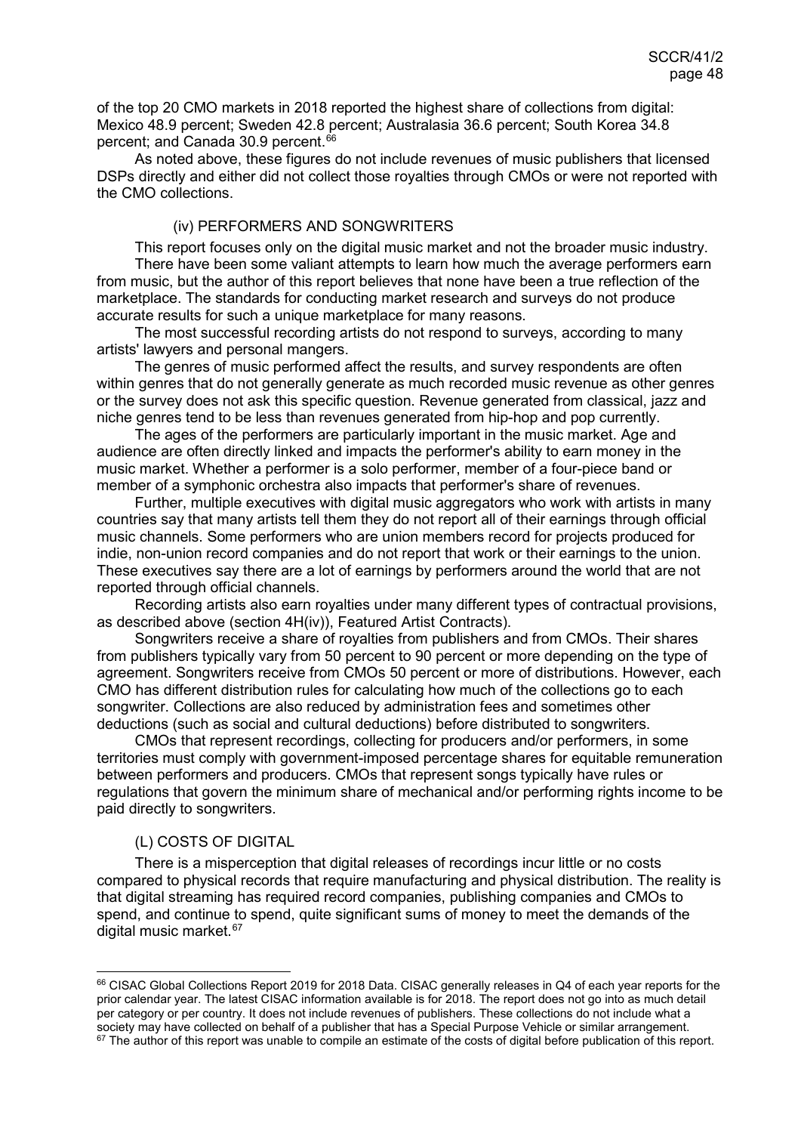of the top 20 CMO markets in 2018 reported the highest share of collections from digital: Mexico 48.9 percent; Sweden 42.8 percent; Australasia 36.6 percent; South Korea 34.8 percent; and Canada 30.9 percent. [66](#page-47-2)

As noted above, these figures do not include revenues of music publishers that licensed DSPs directly and either did not collect those royalties through CMOs or were not reported with the CMO collections.

#### <span id="page-47-0"></span>(iv) PERFORMERS AND SONGWRITERS

This report focuses only on the digital music market and not the broader music industry. There have been some valiant attempts to learn how much the average performers earn from music, but the author of this report believes that none have been a true reflection of the marketplace. The standards for conducting market research and surveys do not produce accurate results for such a unique marketplace for many reasons.

The most successful recording artists do not respond to surveys, according to many artists' lawyers and personal mangers.

The genres of music performed affect the results, and survey respondents are often within genres that do not generally generate as much recorded music revenue as other genres or the survey does not ask this specific question. Revenue generated from classical, jazz and niche genres tend to be less than revenues generated from hip-hop and pop currently.

The ages of the performers are particularly important in the music market. Age and audience are often directly linked and impacts the performer's ability to earn money in the music market. Whether a performer is a solo performer, member of a four-piece band or member of a symphonic orchestra also impacts that performer's share of revenues.

Further, multiple executives with digital music aggregators who work with artists in many countries say that many artists tell them they do not report all of their earnings through official music channels. Some performers who are union members record for projects produced for indie, non-union record companies and do not report that work or their earnings to the union. These executives say there are a lot of earnings by performers around the world that are not reported through official channels.

Recording artists also earn royalties under many different types of contractual provisions, as described above (section 4H(iv)), Featured Artist Contracts).

Songwriters receive a share of royalties from publishers and from CMOs. Their shares from publishers typically vary from 50 percent to 90 percent or more depending on the type of agreement. Songwriters receive from CMOs 50 percent or more of distributions. However, each CMO has different distribution rules for calculating how much of the collections go to each songwriter. Collections are also reduced by administration fees and sometimes other deductions (such as social and cultural deductions) before distributed to songwriters.

CMOs that represent recordings, collecting for producers and/or performers, in some territories must comply with government-imposed percentage shares for equitable remuneration between performers and producers. CMOs that represent songs typically have rules or regulations that govern the minimum share of mechanical and/or performing rights income to be paid directly to songwriters.

#### <span id="page-47-1"></span>(L) COSTS OF DIGITAL

There is a misperception that digital releases of recordings incur little or no costs compared to physical records that require manufacturing and physical distribution. The reality is that digital streaming has required record companies, publishing companies and CMOs to spend, and continue to spend, quite significant sums of money to meet the demands of the digital music market.<sup>[67](#page-47-3)</sup>

<span id="page-47-3"></span><span id="page-47-2"></span><sup>66</sup> CISAC Global Collections Report 2019 for 2018 Data. CISAC generally releases in Q4 of each year reports for the prior calendar year. The latest CISAC information available is for 2018. The report does not go into as much detail per category or per country. It does not include revenues of publishers. These collections do not include what a society may have collected on behalf of a publisher that has a Special Purpose Vehicle or similar arrangement.  $67$  The author of this report was unable to compile an estimate of the costs of digital before publication of this report.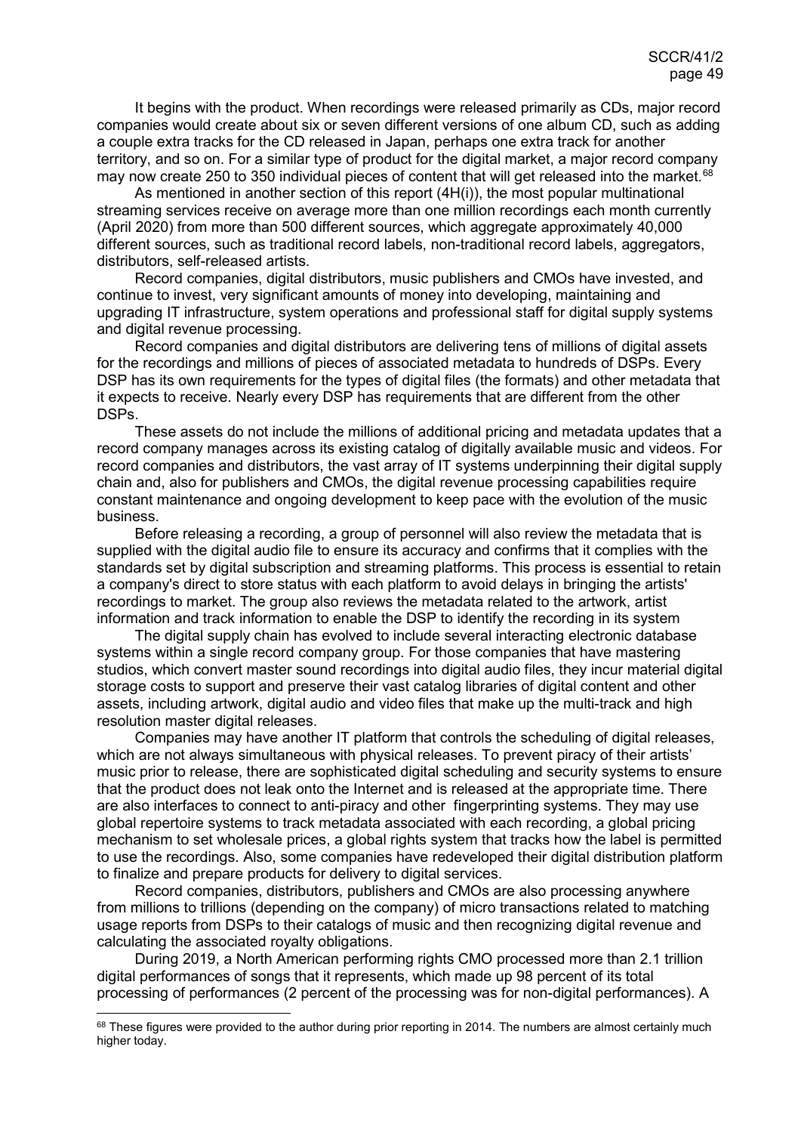It begins with the product. When recordings were released primarily as CDs, major record companies would create about six or seven different versions of one album CD, such as adding a couple extra tracks for the CD released in Japan, perhaps one extra track for another territory, and so on. For a similar type of product for the digital market, a major record company may now create 250 to 350 individual pieces of content that will get released into the market.<sup>[68](#page-48-0)</sup>

As mentioned in another section of this report (4H(i)), the most popular multinational streaming services receive on average more than one million recordings each month currently (April 2020) from more than 500 different sources, which aggregate approximately 40,000 different sources, such as traditional record labels, non-traditional record labels, aggregators, distributors, self-released artists.

Record companies, digital distributors, music publishers and CMOs have invested, and continue to invest, very significant amounts of money into developing, maintaining and upgrading IT infrastructure, system operations and professional staff for digital supply systems and digital revenue processing.

Record companies and digital distributors are delivering tens of millions of digital assets for the recordings and millions of pieces of associated metadata to hundreds of DSPs. Every DSP has its own requirements for the types of digital files (the formats) and other metadata that it expects to receive. Nearly every DSP has requirements that are different from the other DSPs.

These assets do not include the millions of additional pricing and metadata updates that a record company manages across its existing catalog of digitally available music and videos. For record companies and distributors, the vast array of IT systems underpinning their digital supply chain and, also for publishers and CMOs, the digital revenue processing capabilities require constant maintenance and ongoing development to keep pace with the evolution of the music business.

Before releasing a recording, a group of personnel will also review the metadata that is supplied with the digital audio file to ensure its accuracy and confirms that it complies with the standards set by digital subscription and streaming platforms. This process is essential to retain a company's direct to store status with each platform to avoid delays in bringing the artists' recordings to market. The group also reviews the metadata related to the artwork, artist information and track information to enable the DSP to identify the recording in its system

The digital supply chain has evolved to include several interacting electronic database systems within a single record company group. For those companies that have mastering studios, which convert master sound recordings into digital audio files, they incur material digital storage costs to support and preserve their vast catalog libraries of digital content and other assets, including artwork, digital audio and video files that make up the multi-track and high resolution master digital releases.

Companies may have another IT platform that controls the scheduling of digital releases, which are not always simultaneous with physical releases. To prevent piracy of their artists' music prior to release, there are sophisticated digital scheduling and security systems to ensure that the product does not leak onto the Internet and is released at the appropriate time. There are also interfaces to connect to anti-piracy and other fingerprinting systems. They may use global repertoire systems to track metadata associated with each recording, a global pricing mechanism to set wholesale prices, a global rights system that tracks how the label is permitted to use the recordings. Also, some companies have redeveloped their digital distribution platform to finalize and prepare products for delivery to digital services.

Record companies, distributors, publishers and CMOs are also processing anywhere from millions to trillions (depending on the company) of micro transactions related to matching usage reports from DSPs to their catalogs of music and then recognizing digital revenue and calculating the associated royalty obligations.

During 2019, a North American performing rights CMO processed more than 2.1 trillion digital performances of songs that it represents, which made up 98 percent of its total processing of performances (2 percent of the processing was for non-digital performances). A

<span id="page-48-0"></span><sup>68</sup> These figures were provided to the author during prior reporting in 2014. The numbers are almost certainly much higher today.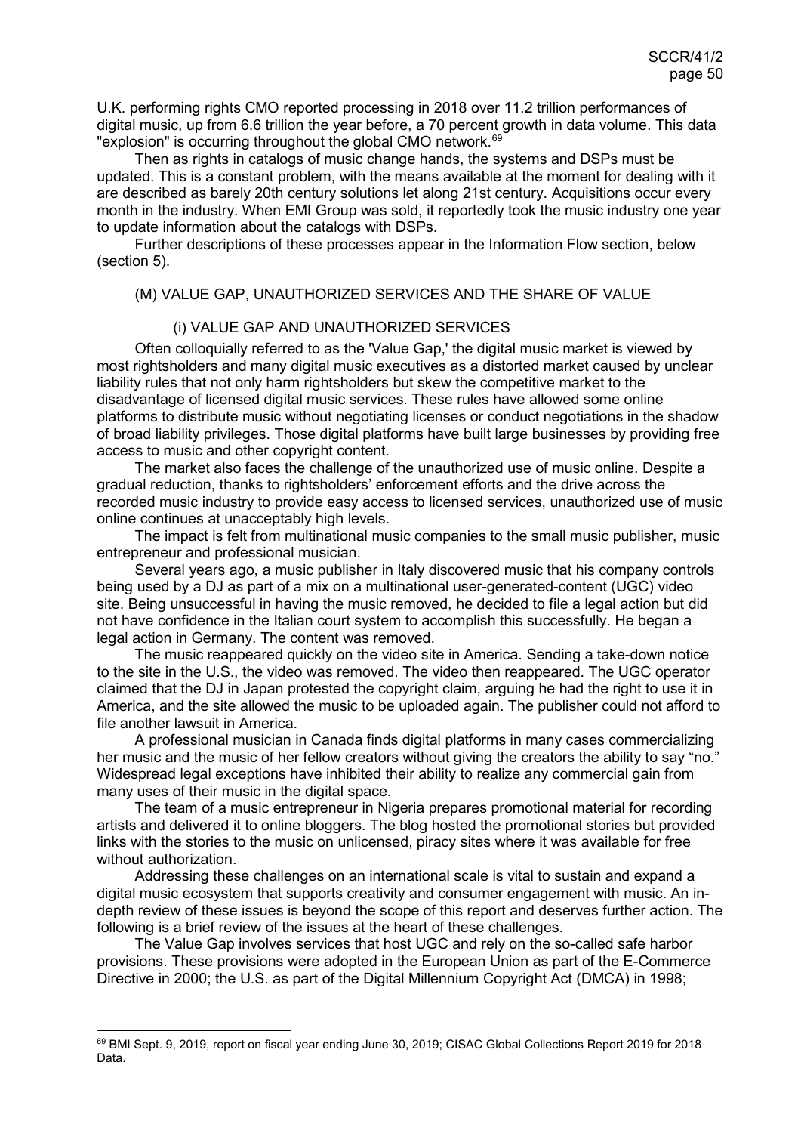U.K. performing rights CMO reported processing in 2018 over 11.2 trillion performances of digital music, up from 6.6 trillion the year before, a 70 percent growth in data volume. This data "explosion" is occurring throughout the global CMO network.<sup>[69](#page-49-2)</sup>

Then as rights in catalogs of music change hands, the systems and DSPs must be updated. This is a constant problem, with the means available at the moment for dealing with it are described as barely 20th century solutions let along 21st century. Acquisitions occur every month in the industry. When EMI Group was sold, it reportedly took the music industry one year to update information about the catalogs with DSPs.

Further descriptions of these processes appear in the Information Flow section, below (section 5).

#### <span id="page-49-0"></span>(M) VALUE GAP, UNAUTHORIZED SERVICES AND THE SHARE OF VALUE

#### <span id="page-49-1"></span>(i) VALUE GAP AND UNAUTHORIZED SERVICES

Often colloquially referred to as the 'Value Gap,' the digital music market is viewed by most rightsholders and many digital music executives as a distorted market caused by unclear liability rules that not only harm rightsholders but skew the competitive market to the disadvantage of licensed digital music services. These rules have allowed some online platforms to distribute music without negotiating licenses or conduct negotiations in the shadow of broad liability privileges. Those digital platforms have built large businesses by providing free access to music and other copyright content.

The market also faces the challenge of the unauthorized use of music online. Despite a gradual reduction, thanks to rightsholders' enforcement efforts and the drive across the recorded music industry to provide easy access to licensed services, unauthorized use of music online continues at unacceptably high levels.

The impact is felt from multinational music companies to the small music publisher, music entrepreneur and professional musician.

Several years ago, a music publisher in Italy discovered music that his company controls being used by a DJ as part of a mix on a multinational user-generated-content (UGC) video site. Being unsuccessful in having the music removed, he decided to file a legal action but did not have confidence in the Italian court system to accomplish this successfully. He began a legal action in Germany. The content was removed.

The music reappeared quickly on the video site in America. Sending a take-down notice to the site in the U.S., the video was removed. The video then reappeared. The UGC operator claimed that the DJ in Japan protested the copyright claim, arguing he had the right to use it in America, and the site allowed the music to be uploaded again. The publisher could not afford to file another lawsuit in America.

A professional musician in Canada finds digital platforms in many cases commercializing her music and the music of her fellow creators without giving the creators the ability to say "no." Widespread legal exceptions have inhibited their ability to realize any commercial gain from many uses of their music in the digital space.

The team of a music entrepreneur in Nigeria prepares promotional material for recording artists and delivered it to online bloggers. The blog hosted the promotional stories but provided links with the stories to the music on unlicensed, piracy sites where it was available for free without authorization.

Addressing these challenges on an international scale is vital to sustain and expand a digital music ecosystem that supports creativity and consumer engagement with music. An indepth review of these issues is beyond the scope of this report and deserves further action. The following is a brief review of the issues at the heart of these challenges.

The Value Gap involves services that host UGC and rely on the so-called safe harbor provisions. These provisions were adopted in the European Union as part of the E-Commerce Directive in 2000; the U.S. as part of the Digital Millennium Copyright Act (DMCA) in 1998;

<span id="page-49-2"></span> <sup>69</sup> BMI Sept. 9, 2019, report on fiscal year ending June 30, 2019; CISAC Global Collections Report 2019 for 2018 Data.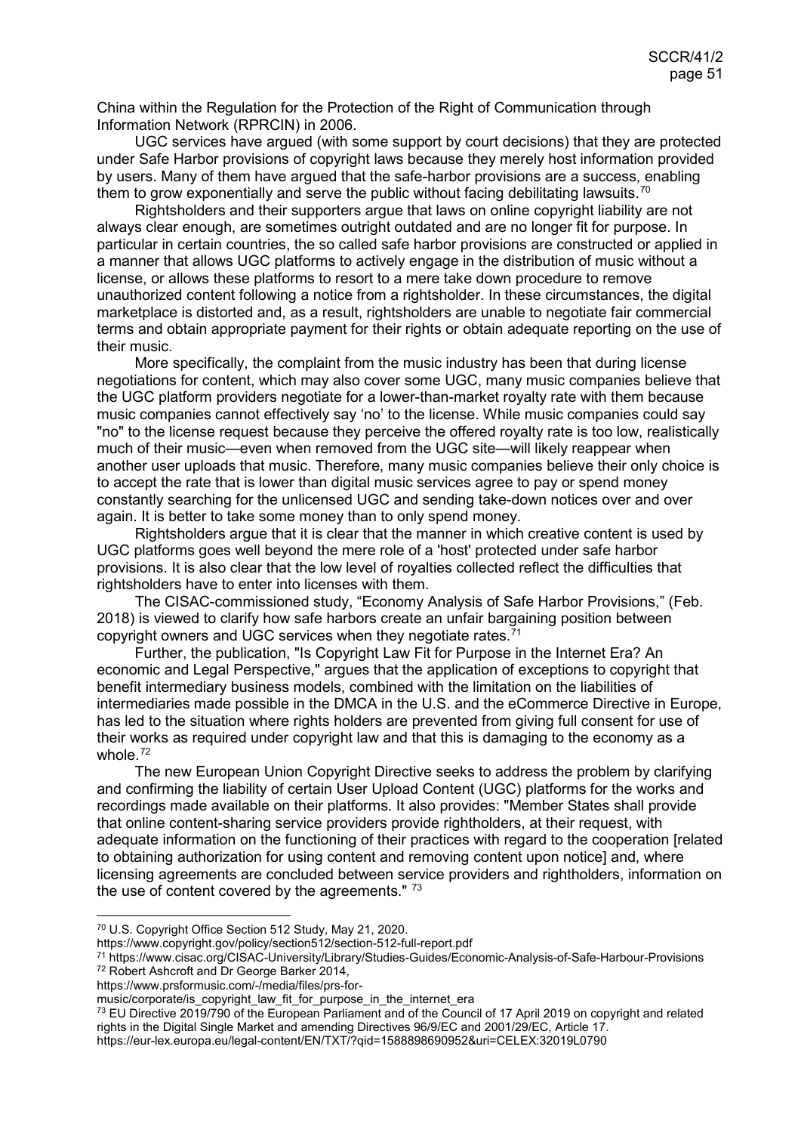China within the Regulation for the Protection of the Right of Communication through Information Network (RPRCIN) in 2006.

UGC services have argued (with some support by court decisions) that they are protected under Safe Harbor provisions of copyright laws because they merely host information provided by users. Many of them have argued that the safe-harbor provisions are a success, enabling them to grow exponentially and serve the public without facing debilitating lawsuits.<sup>[70](#page-50-0)</sup>

Rightsholders and their supporters argue that laws on online copyright liability are not always clear enough, are sometimes outright outdated and are no longer fit for purpose. In particular in certain countries, the so called safe harbor provisions are constructed or applied in a manner that allows UGC platforms to actively engage in the distribution of music without a license, or allows these platforms to resort to a mere take down procedure to remove unauthorized content following a notice from a rightsholder. In these circumstances, the digital marketplace is distorted and, as a result, rightsholders are unable to negotiate fair commercial terms and obtain appropriate payment for their rights or obtain adequate reporting on the use of their music.

More specifically, the complaint from the music industry has been that during license negotiations for content, which may also cover some UGC, many music companies believe that the UGC platform providers negotiate for a lower-than-market royalty rate with them because music companies cannot effectively say 'no' to the license. While music companies could say "no" to the license request because they perceive the offered royalty rate is too low, realistically much of their music—even when removed from the UGC site—will likely reappear when another user uploads that music. Therefore, many music companies believe their only choice is to accept the rate that is lower than digital music services agree to pay or spend money constantly searching for the unlicensed UGC and sending take-down notices over and over again. It is better to take some money than to only spend money.

Rightsholders argue that it is clear that the manner in which creative content is used by UGC platforms goes well beyond the mere role of a 'host' protected under safe harbor provisions. It is also clear that the low level of royalties collected reflect the difficulties that rightsholders have to enter into licenses with them.

The CISAC-commissioned study, "Economy Analysis of Safe Harbor Provisions," (Feb. 2018) is viewed to clarify how safe harbors create an unfair bargaining position between copyright owners and UGC services when they negotiate rates. [71](#page-50-1)

Further, the publication, "Is Copyright Law Fit for Purpose in the Internet Era? An economic and Legal Perspective," argues that the application of exceptions to copyright that benefit intermediary business models, combined with the limitation on the liabilities of intermediaries made possible in the DMCA in the U.S. and the eCommerce Directive in Europe, has led to the situation where rights holders are prevented from giving full consent for use of their works as required under copyright law and that this is damaging to the economy as a whole.<sup>[72](#page-50-2)</sup>

The new European Union Copyright Directive seeks to address the problem by clarifying and confirming the liability of certain User Upload Content (UGC) platforms for the works and recordings made available on their platforms. It also provides: "Member States shall provide that online content-sharing service providers provide rightholders, at their request, with adequate information on the functioning of their practices with regard to the cooperation [related to obtaining authorization for using content and removing content upon notice] and, where licensing agreements are concluded between service providers and rightholders, information on the use of content covered by the agreements." [73](#page-50-3)

<span id="page-50-3"></span><sup>73</sup> EU Directive 2019/790 of the European Parliament and of the Council of 17 April 2019 on copyright and related rights in the Digital Single Market and amending Directives 96/9/EC and 2001/29/EC, Article 17.

https://eur-lex.europa.eu/legal-content/EN/TXT/?qid=1588898690952&uri=CELEX:32019L0790

 <sup>70</sup> U.S. Copyright Office Section 512 Study, May 21, 2020.

<span id="page-50-0"></span>https://www.copyright.gov/policy/section512/section-512-full-report.pdf

<span id="page-50-1"></span><sup>71</sup> https://www.cisac.org/CISAC-University/Library/Studies-Guides/Economic-Analysis-of-Safe-Harbour-Provisions <sup>72</sup> Robert Ashcroft and Dr George Barker 2014,

<span id="page-50-2"></span>https://www.prsformusic.com/-/media/files/prs-for-

music/corporate/is\_copyright\_law\_fit\_for\_purpose\_in\_the\_internet\_era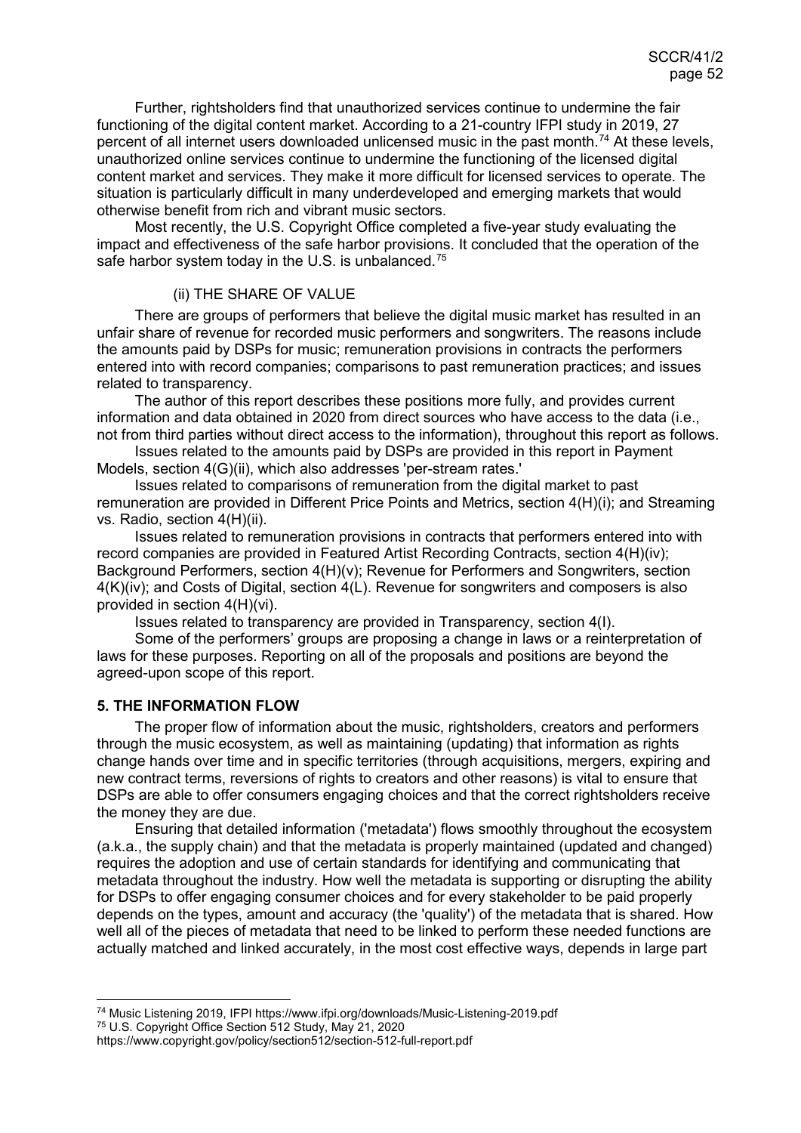Further, rightsholders find that unauthorized services continue to undermine the fair functioning of the digital content market. According to a 21-country IFPI study in 2019, 27 percent of all internet users downloaded unlicensed music in the past month.<sup>[74](#page-51-2)</sup> At these levels, unauthorized online services continue to undermine the functioning of the licensed digital content market and services. They make it more difficult for licensed services to operate. The situation is particularly difficult in many underdeveloped and emerging markets that would otherwise benefit from rich and vibrant music sectors.

Most recently, the U.S. Copyright Office completed a five-year study evaluating the impact and effectiveness of the safe harbor provisions. It concluded that the operation of the safe harbor system today in the U.S. is unbalanced.<sup>[75](#page-51-3)</sup>

#### <span id="page-51-0"></span>(ii) THE SHARE OF VALUE

There are groups of performers that believe the digital music market has resulted in an unfair share of revenue for recorded music performers and songwriters. The reasons include the amounts paid by DSPs for music; remuneration provisions in contracts the performers entered into with record companies; comparisons to past remuneration practices; and issues related to transparency.

The author of this report describes these positions more fully, and provides current information and data obtained in 2020 from direct sources who have access to the data (i.e., not from third parties without direct access to the information), throughout this report as follows.

Issues related to the amounts paid by DSPs are provided in this report in Payment Models, section 4(G)(ii), which also addresses 'per-stream rates.'

Issues related to comparisons of remuneration from the digital market to past remuneration are provided in Different Price Points and Metrics, section 4(H)(i); and Streaming vs. Radio, section 4(H)(ii).

Issues related to remuneration provisions in contracts that performers entered into with record companies are provided in Featured Artist Recording Contracts, section 4(H)(iv); Background Performers, section 4(H)(v); Revenue for Performers and Songwriters, section 4(K)(iv); and Costs of Digital, section 4(L). Revenue for songwriters and composers is also provided in section 4(H)(vi).

Issues related to transparency are provided in Transparency, section 4(I).

Some of the performers' groups are proposing a change in laws or a reinterpretation of laws for these purposes. Reporting on all of the proposals and positions are beyond the agreed-upon scope of this report.

#### <span id="page-51-1"></span>**5. THE INFORMATION FLOW**

The proper flow of information about the music, rightsholders, creators and performers through the music ecosystem, as well as maintaining (updating) that information as rights change hands over time and in specific territories (through acquisitions, mergers, expiring and new contract terms, reversions of rights to creators and other reasons) is vital to ensure that DSPs are able to offer consumers engaging choices and that the correct rightsholders receive the money they are due.

Ensuring that detailed information ('metadata') flows smoothly throughout the ecosystem (a.k.a., the supply chain) and that the metadata is properly maintained (updated and changed) requires the adoption and use of certain standards for identifying and communicating that metadata throughout the industry. How well the metadata is supporting or disrupting the ability for DSPs to offer engaging consumer choices and for every stakeholder to be paid properly depends on the types, amount and accuracy (the 'quality') of the metadata that is shared. How well all of the pieces of metadata that need to be linked to perform these needed functions are actually matched and linked accurately, in the most cost effective ways, depends in large part

<span id="page-51-2"></span> <sup>74</sup> Music Listening 2019, IFPI https://www.ifpi.org/downloads/Music-Listening-2019.pdf

<span id="page-51-3"></span><sup>75</sup> U.S. Copyright Office Section 512 Study, May 21, 2020

https://www.copyright.gov/policy/section512/section-512-full-report.pdf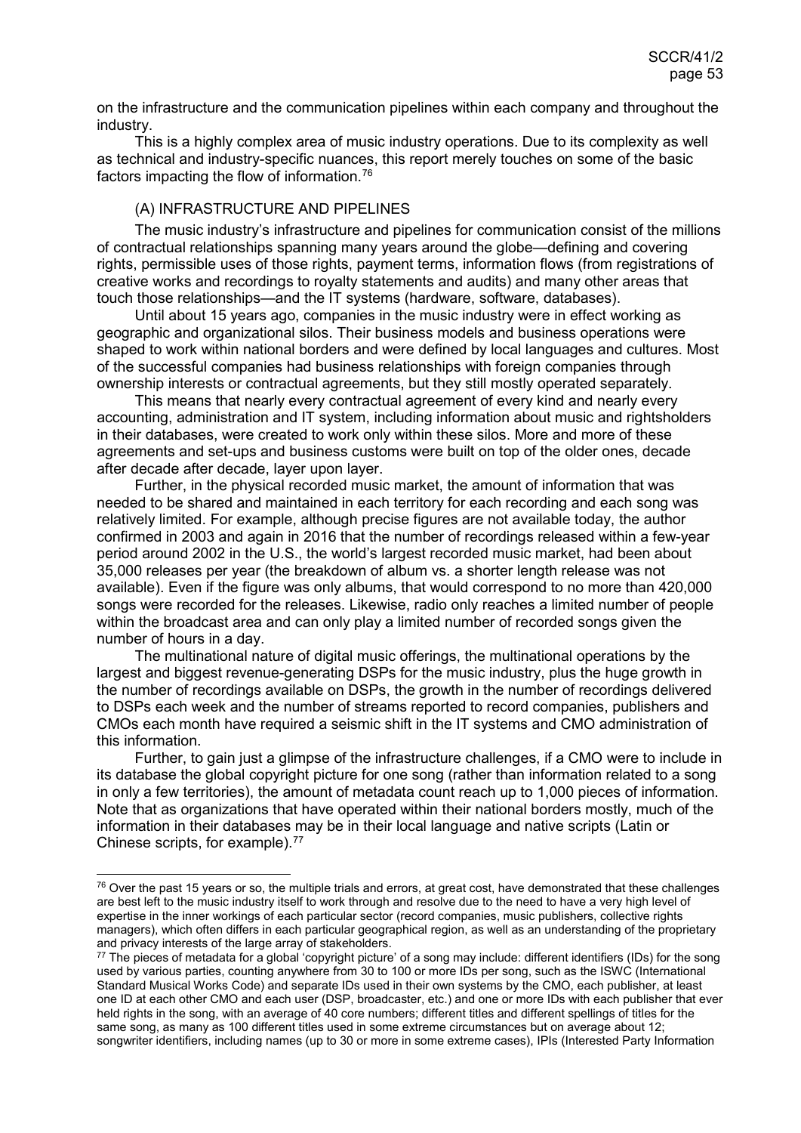on the infrastructure and the communication pipelines within each company and throughout the industry.

This is a highly complex area of music industry operations. Due to its complexity as well as technical and industry-specific nuances, this report merely touches on some of the basic factors impacting the flow of information.[76](#page-52-1)

## <span id="page-52-0"></span>(A) INFRASTRUCTURE AND PIPELINES

The music industry's infrastructure and pipelines for communication consist of the millions of contractual relationships spanning many years around the globe—defining and covering rights, permissible uses of those rights, payment terms, information flows (from registrations of creative works and recordings to royalty statements and audits) and many other areas that touch those relationships—and the IT systems (hardware, software, databases).

Until about 15 years ago, companies in the music industry were in effect working as geographic and organizational silos. Their business models and business operations were shaped to work within national borders and were defined by local languages and cultures. Most of the successful companies had business relationships with foreign companies through ownership interests or contractual agreements, but they still mostly operated separately.

This means that nearly every contractual agreement of every kind and nearly every accounting, administration and IT system, including information about music and rightsholders in their databases, were created to work only within these silos. More and more of these agreements and set-ups and business customs were built on top of the older ones, decade after decade after decade, layer upon layer.

Further, in the physical recorded music market, the amount of information that was needed to be shared and maintained in each territory for each recording and each song was relatively limited. For example, although precise figures are not available today, the author confirmed in 2003 and again in 2016 that the number of recordings released within a few-year period around 2002 in the U.S., the world's largest recorded music market, had been about 35,000 releases per year (the breakdown of album vs. a shorter length release was not available). Even if the figure was only albums, that would correspond to no more than 420,000 songs were recorded for the releases. Likewise, radio only reaches a limited number of people within the broadcast area and can only play a limited number of recorded songs given the number of hours in a day.

The multinational nature of digital music offerings, the multinational operations by the largest and biggest revenue-generating DSPs for the music industry, plus the huge growth in the number of recordings available on DSPs, the growth in the number of recordings delivered to DSPs each week and the number of streams reported to record companies, publishers and CMOs each month have required a seismic shift in the IT systems and CMO administration of this information.

Further, to gain just a glimpse of the infrastructure challenges, if a CMO were to include in its database the global copyright picture for one song (rather than information related to a song in only a few territories), the amount of metadata count reach up to 1,000 pieces of information. Note that as organizations that have operated within their national borders mostly, much of the information in their databases may be in their local language and native scripts (Latin or Chinese scripts, for example).[77](#page-52-2)

<span id="page-52-1"></span> $76$  Over the past 15 years or so, the multiple trials and errors, at great cost, have demonstrated that these challenges are best left to the music industry itself to work through and resolve due to the need to have a very high level of expertise in the inner workings of each particular sector (record companies, music publishers, collective rights managers), which often differs in each particular geographical region, as well as an understanding of the proprietary and privacy interests of the large array of stakeholders.

<span id="page-52-2"></span> $\frac{77}{10}$  The pieces of metadata for a global 'copyright picture' of a song may include: different identifiers (IDs) for the song used by various parties, counting anywhere from 30 to 100 or more IDs per song, such as the ISWC (International Standard Musical Works Code) and separate IDs used in their own systems by the CMO, each publisher, at least one ID at each other CMO and each user (DSP, broadcaster, etc.) and one or more IDs with each publisher that ever held rights in the song, with an average of 40 core numbers; different titles and different spellings of titles for the same song, as many as 100 different titles used in some extreme circumstances but on average about 12; songwriter identifiers, including names (up to 30 or more in some extreme cases), IPIs (Interested Party Information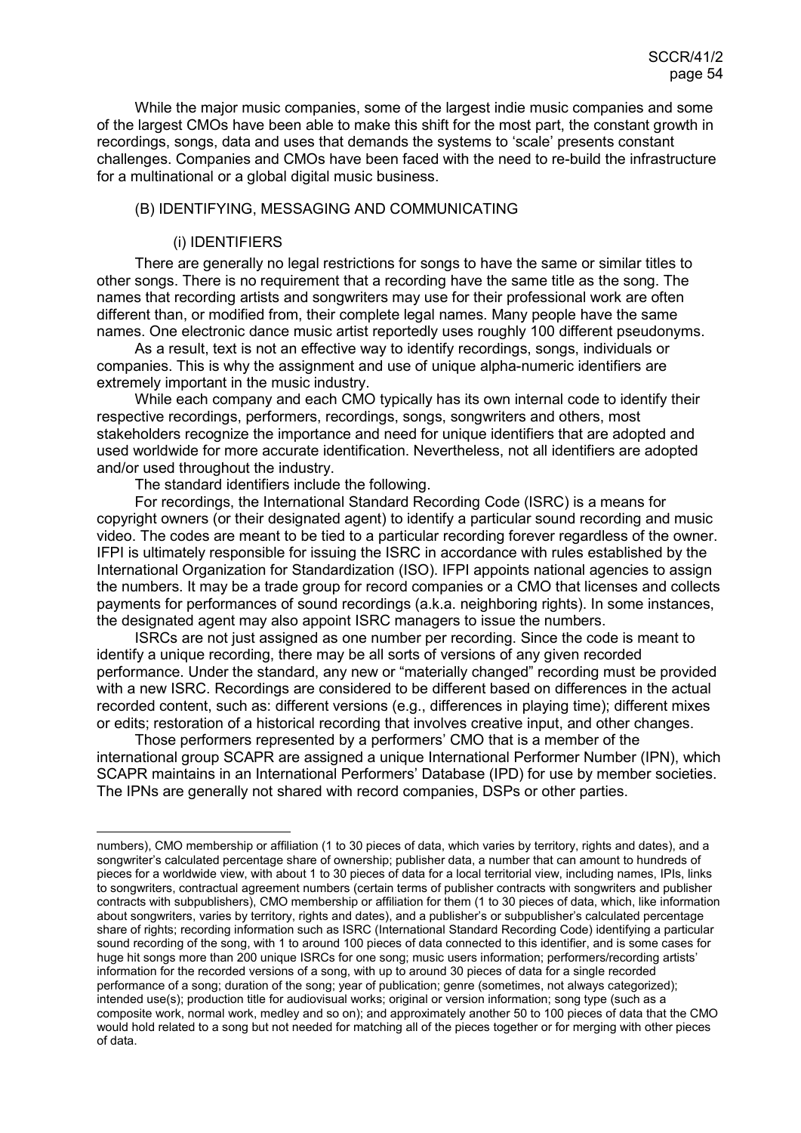While the major music companies, some of the largest indie music companies and some of the largest CMOs have been able to make this shift for the most part, the constant growth in recordings, songs, data and uses that demands the systems to 'scale' presents constant challenges. Companies and CMOs have been faced with the need to re-build the infrastructure for a multinational or a global digital music business.

#### <span id="page-53-0"></span>(B) IDENTIFYING, MESSAGING AND COMMUNICATING

#### <span id="page-53-1"></span>(i) IDENTIFIERS

There are generally no legal restrictions for songs to have the same or similar titles to other songs. There is no requirement that a recording have the same title as the song. The names that recording artists and songwriters may use for their professional work are often different than, or modified from, their complete legal names. Many people have the same names. One electronic dance music artist reportedly uses roughly 100 different pseudonyms.

As a result, text is not an effective way to identify recordings, songs, individuals or companies. This is why the assignment and use of unique alpha-numeric identifiers are extremely important in the music industry.

While each company and each CMO typically has its own internal code to identify their respective recordings, performers, recordings, songs, songwriters and others, most stakeholders recognize the importance and need for unique identifiers that are adopted and used worldwide for more accurate identification. Nevertheless, not all identifiers are adopted and/or used throughout the industry.

The standard identifiers include the following.

For recordings, the International Standard Recording Code (ISRC) is a means for copyright owners (or their designated agent) to identify a particular sound recording and music video. The codes are meant to be tied to a particular recording forever regardless of the owner. IFPI is ultimately responsible for issuing the ISRC in accordance with rules established by the International Organization for Standardization (ISO). IFPI appoints national agencies to assign the numbers. It may be a trade group for record companies or a CMO that licenses and collects payments for performances of sound recordings (a.k.a. neighboring rights). In some instances, the designated agent may also appoint ISRC managers to issue the numbers.

ISRCs are not just assigned as one number per recording. Since the code is meant to identify a unique recording, there may be all sorts of versions of any given recorded performance. Under the standard, any new or "materially changed" recording must be provided with a new ISRC. Recordings are considered to be different based on differences in the actual recorded content, such as: different versions (e.g., differences in playing time); different mixes or edits; restoration of a historical recording that involves creative input, and other changes.

Those performers represented by a performers' CMO that is a member of the international group SCAPR are assigned a unique International Performer Number (IPN), which SCAPR maintains in an International Performers' Database (IPD) for use by member societies. The IPNs are generally not shared with record companies, DSPs or other parties.

numbers), CMO membership or affiliation (1 to 30 pieces of data, which varies by territory, rights and dates), and a songwriter's calculated percentage share of ownership; publisher data, a number that can amount to hundreds of pieces for a worldwide view, with about 1 to 30 pieces of data for a local territorial view, including names, IPIs, links to songwriters, contractual agreement numbers (certain terms of publisher contracts with songwriters and publisher contracts with subpublishers), CMO membership or affiliation for them (1 to 30 pieces of data, which, like information about songwriters, varies by territory, rights and dates), and a publisher's or subpublisher's calculated percentage share of rights; recording information such as ISRC (International Standard Recording Code) identifying a particular sound recording of the song, with 1 to around 100 pieces of data connected to this identifier, and is some cases for huge hit songs more than 200 unique ISRCs for one song; music users information; performers/recording artists' information for the recorded versions of a song, with up to around 30 pieces of data for a single recorded performance of a song; duration of the song; year of publication; genre (sometimes, not always categorized); intended use(s); production title for audiovisual works; original or version information; song type (such as a composite work, normal work, medley and so on); and approximately another 50 to 100 pieces of data that the CMO would hold related to a song but not needed for matching all of the pieces together or for merging with other pieces of data.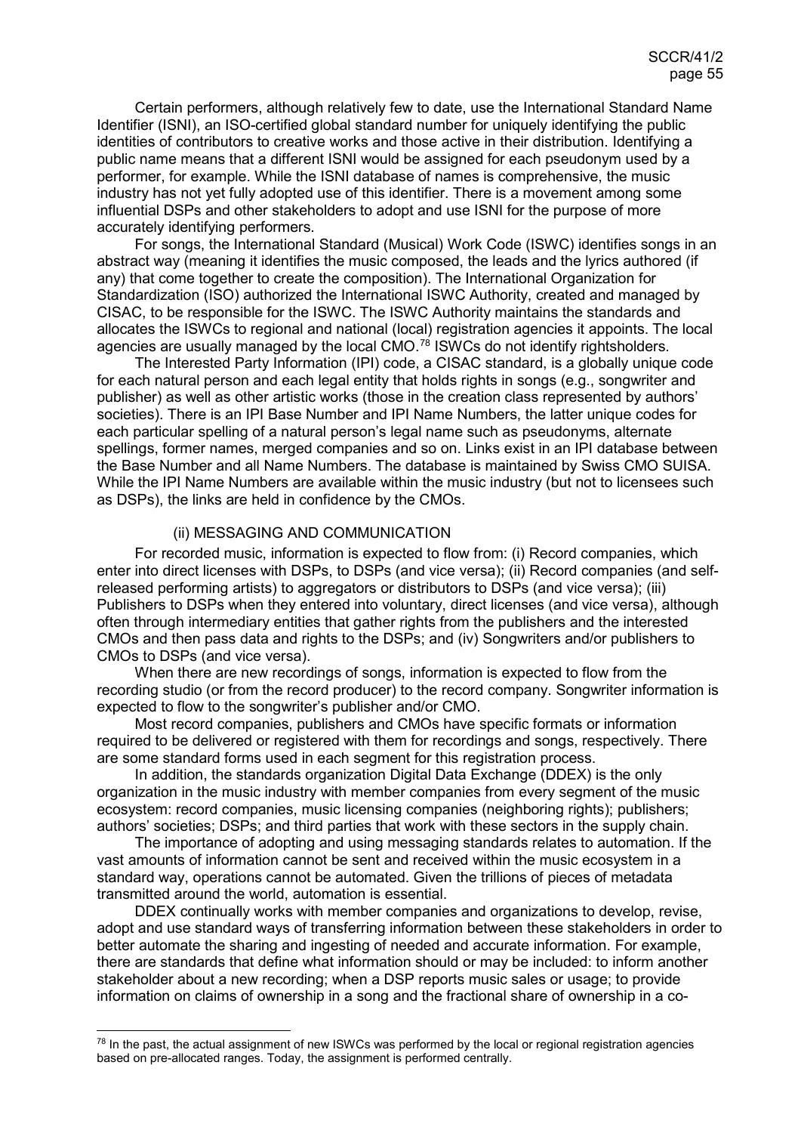Certain performers, although relatively few to date, use the International Standard Name Identifier (ISNI), an ISO-certified global standard number for uniquely identifying the public identities of contributors to creative works and those active in their distribution. Identifying a public name means that a different ISNI would be assigned for each pseudonym used by a performer, for example. While the ISNI database of names is comprehensive, the music industry has not yet fully adopted use of this identifier. There is a movement among some influential DSPs and other stakeholders to adopt and use ISNI for the purpose of more accurately identifying performers.

For songs, the International Standard (Musical) Work Code (ISWC) identifies songs in an abstract way (meaning it identifies the music composed, the leads and the lyrics authored (if any) that come together to create the composition). The International Organization for Standardization (ISO) authorized the International ISWC Authority, created and managed by CISAC, to be responsible for the ISWC. The ISWC Authority maintains the standards and allocates the ISWCs to regional and national (local) registration agencies it appoints. The local agencies are usually managed by the local CMO.<sup>[78](#page-54-1)</sup> ISWCs do not identify rightsholders.

The Interested Party Information (IPI) code, a CISAC standard, is a globally unique code for each natural person and each legal entity that holds rights in songs (e.g., songwriter and publisher) as well as other artistic works (those in the creation class represented by authors' societies). There is an IPI Base Number and IPI Name Numbers, the latter unique codes for each particular spelling of a natural person's legal name such as pseudonyms, alternate spellings, former names, merged companies and so on. Links exist in an IPI database between the Base Number and all Name Numbers. The database is maintained by Swiss CMO SUISA. While the IPI Name Numbers are available within the music industry (but not to licensees such as DSPs), the links are held in confidence by the CMOs.

#### <span id="page-54-0"></span>(ii) MESSAGING AND COMMUNICATION

For recorded music, information is expected to flow from: (i) Record companies, which enter into direct licenses with DSPs, to DSPs (and vice versa); (ii) Record companies (and selfreleased performing artists) to aggregators or distributors to DSPs (and vice versa); (iii) Publishers to DSPs when they entered into voluntary, direct licenses (and vice versa), although often through intermediary entities that gather rights from the publishers and the interested CMOs and then pass data and rights to the DSPs; and (iv) Songwriters and/or publishers to CMOs to DSPs (and vice versa).

When there are new recordings of songs, information is expected to flow from the recording studio (or from the record producer) to the record company. Songwriter information is expected to flow to the songwriter's publisher and/or CMO.

Most record companies, publishers and CMOs have specific formats or information required to be delivered or registered with them for recordings and songs, respectively. There are some standard forms used in each segment for this registration process.

In addition, the standards organization Digital Data Exchange (DDEX) is the only organization in the music industry with member companies from every segment of the music ecosystem: record companies, music licensing companies (neighboring rights); publishers; authors' societies; DSPs; and third parties that work with these sectors in the supply chain.

The importance of adopting and using messaging standards relates to automation. If the vast amounts of information cannot be sent and received within the music ecosystem in a standard way, operations cannot be automated. Given the trillions of pieces of metadata transmitted around the world, automation is essential.

DDEX continually works with member companies and organizations to develop, revise, adopt and use standard ways of transferring information between these stakeholders in order to better automate the sharing and ingesting of needed and accurate information. For example, there are standards that define what information should or may be included: to inform another stakeholder about a new recording; when a DSP reports music sales or usage; to provide information on claims of ownership in a song and the fractional share of ownership in a co-

<span id="page-54-1"></span><sup>&</sup>lt;sup>78</sup> In the past, the actual assignment of new ISWCs was performed by the local or regional registration agencies based on pre-allocated ranges. Today, the assignment is performed centrally.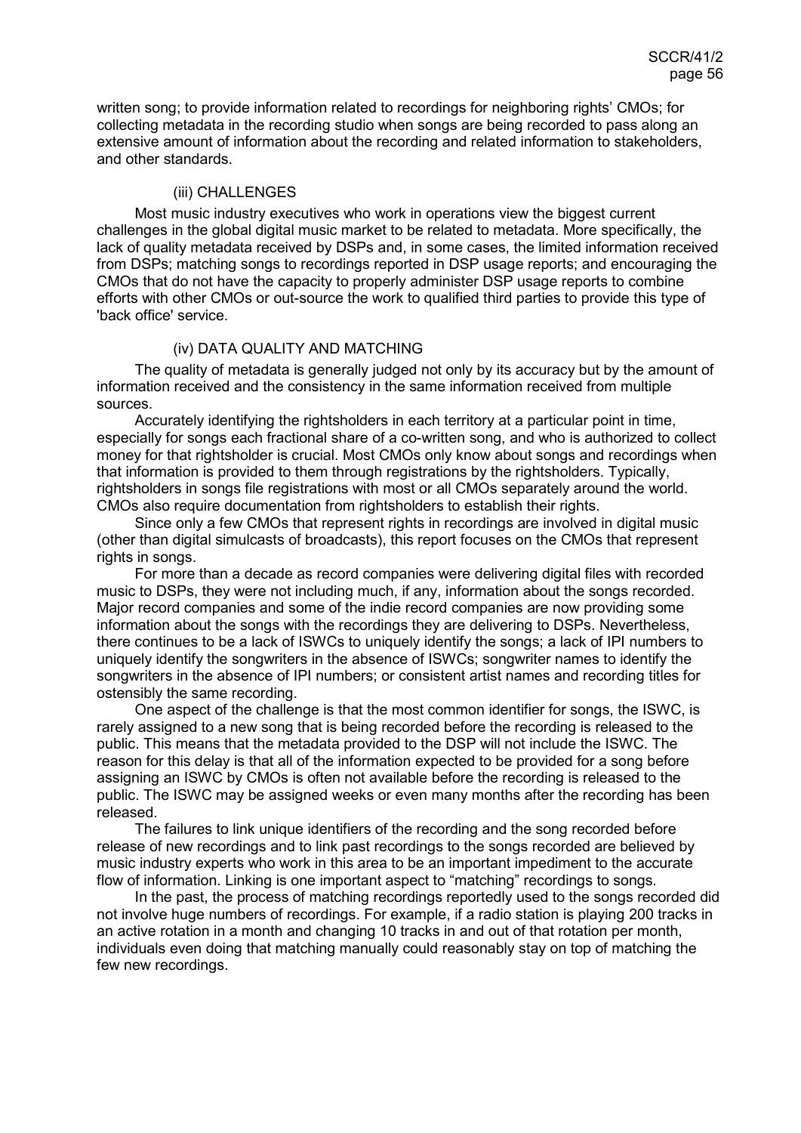written song; to provide information related to recordings for neighboring rights' CMOs; for collecting metadata in the recording studio when songs are being recorded to pass along an extensive amount of information about the recording and related information to stakeholders, and other standards.

#### <span id="page-55-0"></span>(iii) CHALLENGES

Most music industry executives who work in operations view the biggest current challenges in the global digital music market to be related to metadata. More specifically, the lack of quality metadata received by DSPs and, in some cases, the limited information received from DSPs; matching songs to recordings reported in DSP usage reports; and encouraging the CMOs that do not have the capacity to properly administer DSP usage reports to combine efforts with other CMOs or out-source the work to qualified third parties to provide this type of 'back office' service.

## <span id="page-55-1"></span>(iv) DATA QUALITY AND MATCHING

The quality of metadata is generally judged not only by its accuracy but by the amount of information received and the consistency in the same information received from multiple sources.

Accurately identifying the rightsholders in each territory at a particular point in time, especially for songs each fractional share of a co-written song, and who is authorized to collect money for that rightsholder is crucial. Most CMOs only know about songs and recordings when that information is provided to them through registrations by the rightsholders. Typically, rightsholders in songs file registrations with most or all CMOs separately around the world. CMOs also require documentation from rightsholders to establish their rights.

Since only a few CMOs that represent rights in recordings are involved in digital music (other than digital simulcasts of broadcasts), this report focuses on the CMOs that represent rights in songs.

For more than a decade as record companies were delivering digital files with recorded music to DSPs, they were not including much, if any, information about the songs recorded. Major record companies and some of the indie record companies are now providing some information about the songs with the recordings they are delivering to DSPs. Nevertheless, there continues to be a lack of ISWCs to uniquely identify the songs; a lack of IPI numbers to uniquely identify the songwriters in the absence of ISWCs; songwriter names to identify the songwriters in the absence of IPI numbers; or consistent artist names and recording titles for ostensibly the same recording.

One aspect of the challenge is that the most common identifier for songs, the ISWC, is rarely assigned to a new song that is being recorded before the recording is released to the public. This means that the metadata provided to the DSP will not include the ISWC. The reason for this delay is that all of the information expected to be provided for a song before assigning an ISWC by CMOs is often not available before the recording is released to the public. The ISWC may be assigned weeks or even many months after the recording has been released.

The failures to link unique identifiers of the recording and the song recorded before release of new recordings and to link past recordings to the songs recorded are believed by music industry experts who work in this area to be an important impediment to the accurate flow of information. Linking is one important aspect to "matching" recordings to songs.

In the past, the process of matching recordings reportedly used to the songs recorded did not involve huge numbers of recordings. For example, if a radio station is playing 200 tracks in an active rotation in a month and changing 10 tracks in and out of that rotation per month, individuals even doing that matching manually could reasonably stay on top of matching the few new recordings.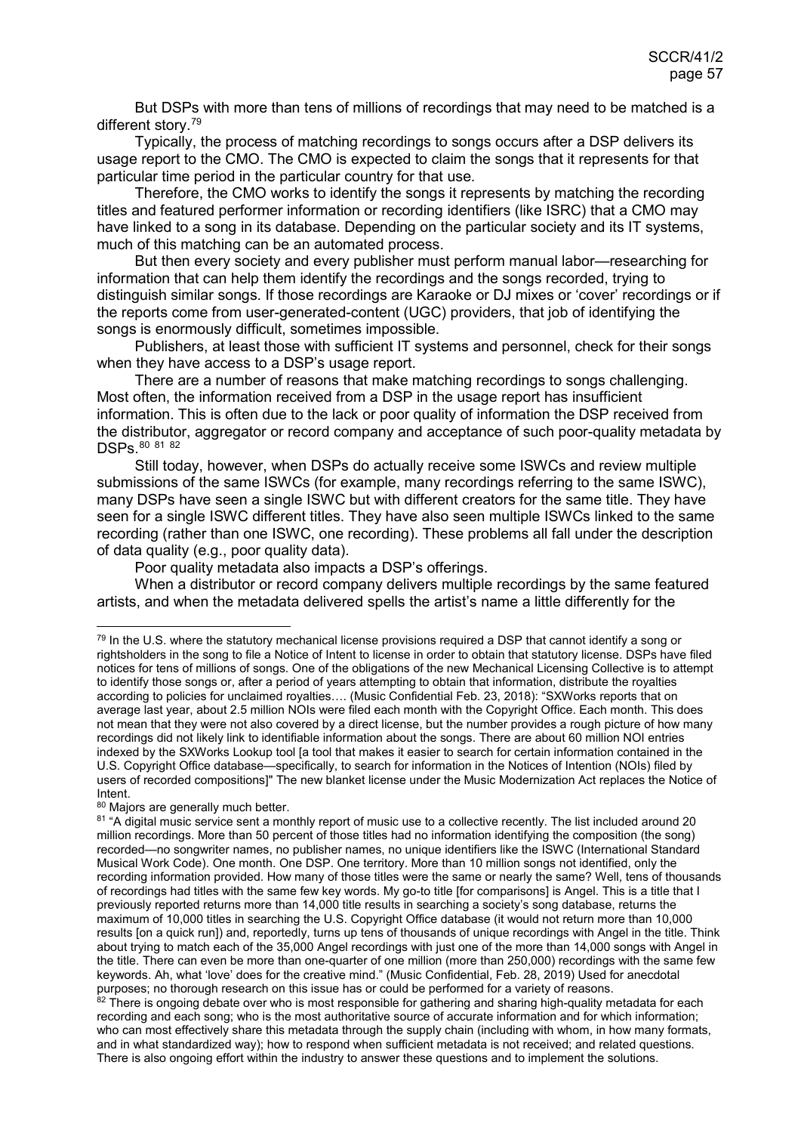But DSPs with more than tens of millions of recordings that may need to be matched is a different story.[79](#page-56-0)

Typically, the process of matching recordings to songs occurs after a DSP delivers its usage report to the CMO. The CMO is expected to claim the songs that it represents for that particular time period in the particular country for that use.

Therefore, the CMO works to identify the songs it represents by matching the recording titles and featured performer information or recording identifiers (like ISRC) that a CMO may have linked to a song in its database. Depending on the particular society and its IT systems, much of this matching can be an automated process.

But then every society and every publisher must perform manual labor—researching for information that can help them identify the recordings and the songs recorded, trying to distinguish similar songs. If those recordings are Karaoke or DJ mixes or 'cover' recordings or if the reports come from user-generated-content (UGC) providers, that job of identifying the songs is enormously difficult, sometimes impossible.

Publishers, at least those with sufficient IT systems and personnel, check for their songs when they have access to a DSP's usage report.

There are a number of reasons that make matching recordings to songs challenging. Most often, the information received from a DSP in the usage report has insufficient information. This is often due to the lack or poor quality of information the DSP received from the distributor, aggregator or record company and acceptance of such poor-quality metadata by DSPs. [80](#page-56-1) [81](#page-56-2) [82](#page-56-3)

Still today, however, when DSPs do actually receive some ISWCs and review multiple submissions of the same ISWCs (for example, many recordings referring to the same ISWC), many DSPs have seen a single ISWC but with different creators for the same title. They have seen for a single ISWC different titles. They have also seen multiple ISWCs linked to the same recording (rather than one ISWC, one recording). These problems all fall under the description of data quality (e.g., poor quality data).

Poor quality metadata also impacts a DSP's offerings.

When a distributor or record company delivers multiple recordings by the same featured artists, and when the metadata delivered spells the artist's name a little differently for the

<span id="page-56-0"></span><sup>&</sup>lt;sup>79</sup> In the U.S. where the statutory mechanical license provisions required a DSP that cannot identify a song or rightsholders in the song to file a Notice of Intent to license in order to obtain that statutory license. DSPs have filed notices for tens of millions of songs. One of the obligations of the new Mechanical Licensing Collective is to attempt to identify those songs or, after a period of years attempting to obtain that information, distribute the royalties according to policies for unclaimed royalties…. (Music Confidential Feb. 23, 2018): "SXWorks reports that on average last year, about 2.5 million NOIs were filed each month with the Copyright Office. Each month. This does not mean that they were not also covered by a direct license, but the number provides a rough picture of how many recordings did not likely link to identifiable information about the songs. There are about 60 million NOI entries indexed by the SXWorks Lookup tool [a tool that makes it easier to search for certain information contained in the U.S. Copyright Office database—specifically, to search for information in the Notices of Intention (NOIs) filed by users of recorded compositions]" The new blanket license under the Music Modernization Act replaces the Notice of Intent.

<span id="page-56-1"></span><sup>80</sup> Majors are generally much better.

<span id="page-56-2"></span><sup>&</sup>lt;sup>81</sup> "A digital music service sent a monthly report of music use to a collective recently. The list included around 20 million recordings. More than 50 percent of those titles had no information identifying the composition (the song) recorded—no songwriter names, no publisher names, no unique identifiers like the ISWC (International Standard Musical Work Code). One month. One DSP. One territory. More than 10 million songs not identified, only the recording information provided. How many of those titles were the same or nearly the same? Well, tens of thousands of recordings had titles with the same few key words. My go-to title [for comparisons] is Angel. This is a title that I previously reported returns more than 14,000 title results in searching a society's song database, returns the maximum of 10,000 titles in searching the U.S. Copyright Office database (it would not return more than 10,000 results [on a quick run]) and, reportedly, turns up tens of thousands of unique recordings with Angel in the title. Think about trying to match each of the 35,000 Angel recordings with just one of the more than 14,000 songs with Angel in the title. There can even be more than one-quarter of one million (more than 250,000) recordings with the same few keywords. Ah, what 'love' does for the creative mind." (Music Confidential, Feb. 28, 2019) Used for anecdotal purposes; no thorough research on this issue has or could be performed for a variety of reasons.

<span id="page-56-3"></span><sup>82</sup> There is ongoing debate over who is most responsible for gathering and sharing high-quality metadata for each recording and each song; who is the most authoritative source of accurate information and for which information; who can most effectively share this metadata through the supply chain (including with whom, in how many formats, and in what standardized way); how to respond when sufficient metadata is not received; and related questions. There is also ongoing effort within the industry to answer these questions and to implement the solutions.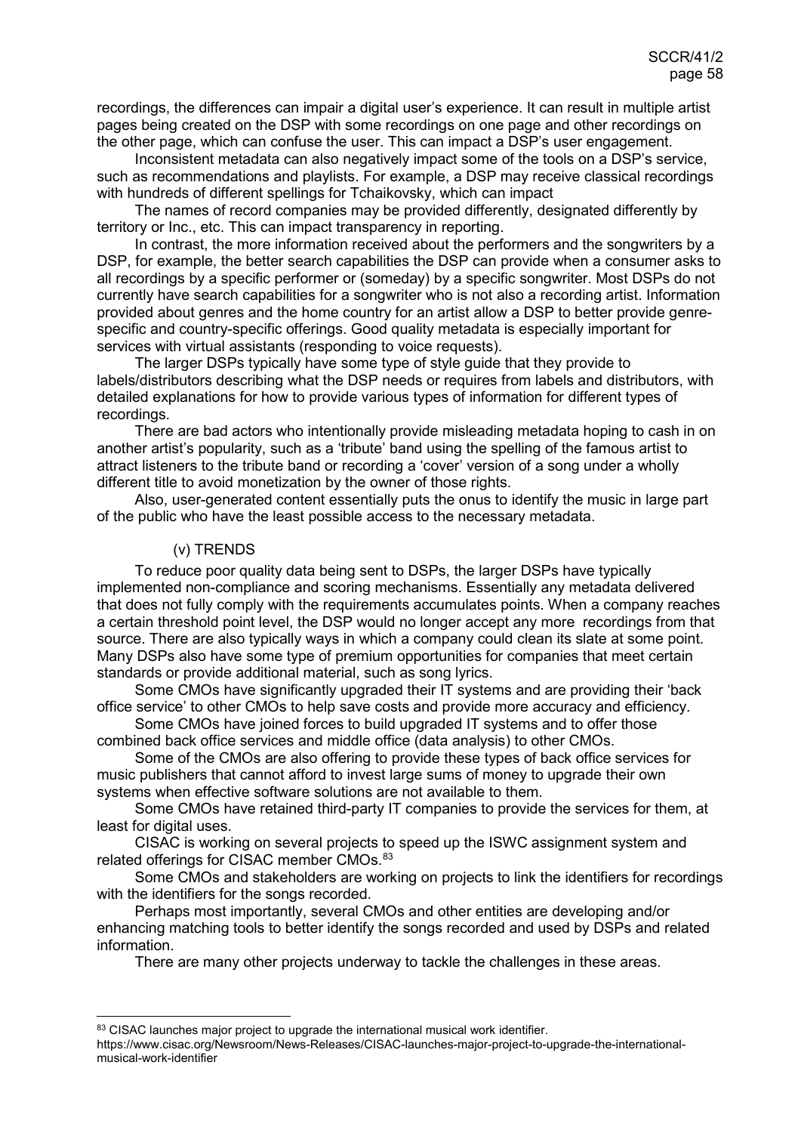recordings, the differences can impair a digital user's experience. It can result in multiple artist pages being created on the DSP with some recordings on one page and other recordings on the other page, which can confuse the user. This can impact a DSP's user engagement.

Inconsistent metadata can also negatively impact some of the tools on a DSP's service, such as recommendations and playlists. For example, a DSP may receive classical recordings with hundreds of different spellings for Tchaikovsky, which can impact

The names of record companies may be provided differently, designated differently by territory or Inc., etc. This can impact transparency in reporting.

In contrast, the more information received about the performers and the songwriters by a DSP, for example, the better search capabilities the DSP can provide when a consumer asks to all recordings by a specific performer or (someday) by a specific songwriter. Most DSPs do not currently have search capabilities for a songwriter who is not also a recording artist. Information provided about genres and the home country for an artist allow a DSP to better provide genrespecific and country-specific offerings. Good quality metadata is especially important for services with virtual assistants (responding to voice requests).

The larger DSPs typically have some type of style guide that they provide to labels/distributors describing what the DSP needs or requires from labels and distributors, with detailed explanations for how to provide various types of information for different types of recordings.

There are bad actors who intentionally provide misleading metadata hoping to cash in on another artist's popularity, such as a 'tribute' band using the spelling of the famous artist to attract listeners to the tribute band or recording a 'cover' version of a song under a wholly different title to avoid monetization by the owner of those rights.

Also, user-generated content essentially puts the onus to identify the music in large part of the public who have the least possible access to the necessary metadata.

## <span id="page-57-0"></span>(v) TRENDS

To reduce poor quality data being sent to DSPs, the larger DSPs have typically implemented non-compliance and scoring mechanisms. Essentially any metadata delivered that does not fully comply with the requirements accumulates points. When a company reaches a certain threshold point level, the DSP would no longer accept any more recordings from that source. There are also typically ways in which a company could clean its slate at some point. Many DSPs also have some type of premium opportunities for companies that meet certain standards or provide additional material, such as song lyrics.

Some CMOs have significantly upgraded their IT systems and are providing their 'back office service' to other CMOs to help save costs and provide more accuracy and efficiency.

Some CMOs have joined forces to build upgraded IT systems and to offer those combined back office services and middle office (data analysis) to other CMOs.

Some of the CMOs are also offering to provide these types of back office services for music publishers that cannot afford to invest large sums of money to upgrade their own systems when effective software solutions are not available to them.

Some CMOs have retained third-party IT companies to provide the services for them, at least for digital uses.

CISAC is working on several projects to speed up the ISWC assignment system and related offerings for CISAC member CMOs. [83](#page-57-1)

Some CMOs and stakeholders are working on projects to link the identifiers for recordings with the identifiers for the songs recorded.

Perhaps most importantly, several CMOs and other entities are developing and/or enhancing matching tools to better identify the songs recorded and used by DSPs and related information.

There are many other projects underway to tackle the challenges in these areas.

<span id="page-57-1"></span><sup>83</sup> CISAC launches major project to upgrade the international musical work identifier.

https://www.cisac.org/Newsroom/News-Releases/CISAC-launches-major-project-to-upgrade-the-internationalmusical-work-identifier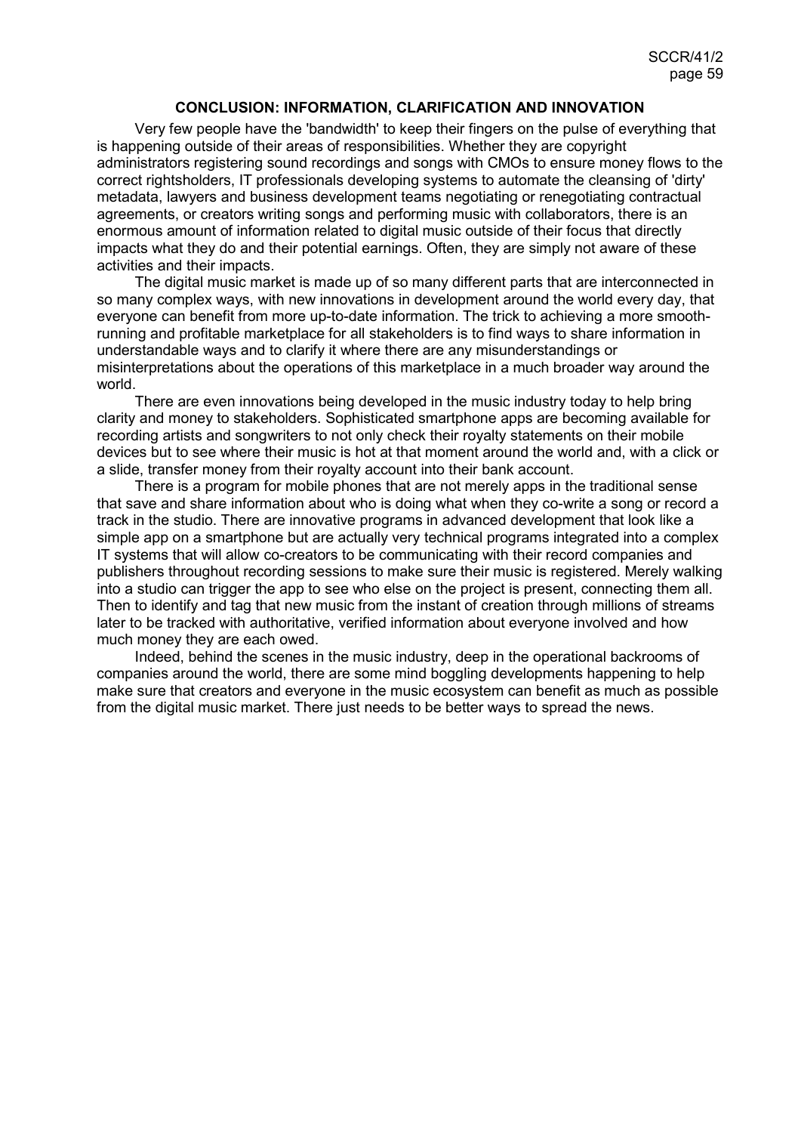#### **CONCLUSION: INFORMATION, CLARIFICATION AND INNOVATION**

<span id="page-58-0"></span>Very few people have the 'bandwidth' to keep their fingers on the pulse of everything that is happening outside of their areas of responsibilities. Whether they are copyright administrators registering sound recordings and songs with CMOs to ensure money flows to the correct rightsholders, IT professionals developing systems to automate the cleansing of 'dirty' metadata, lawyers and business development teams negotiating or renegotiating contractual agreements, or creators writing songs and performing music with collaborators, there is an enormous amount of information related to digital music outside of their focus that directly impacts what they do and their potential earnings. Often, they are simply not aware of these activities and their impacts.

The digital music market is made up of so many different parts that are interconnected in so many complex ways, with new innovations in development around the world every day, that everyone can benefit from more up-to-date information. The trick to achieving a more smoothrunning and profitable marketplace for all stakeholders is to find ways to share information in understandable ways and to clarify it where there are any misunderstandings or misinterpretations about the operations of this marketplace in a much broader way around the world.

There are even innovations being developed in the music industry today to help bring clarity and money to stakeholders. Sophisticated smartphone apps are becoming available for recording artists and songwriters to not only check their royalty statements on their mobile devices but to see where their music is hot at that moment around the world and, with a click or a slide, transfer money from their royalty account into their bank account.

There is a program for mobile phones that are not merely apps in the traditional sense that save and share information about who is doing what when they co-write a song or record a track in the studio. There are innovative programs in advanced development that look like a simple app on a smartphone but are actually very technical programs integrated into a complex IT systems that will allow co-creators to be communicating with their record companies and publishers throughout recording sessions to make sure their music is registered. Merely walking into a studio can trigger the app to see who else on the project is present, connecting them all. Then to identify and tag that new music from the instant of creation through millions of streams later to be tracked with authoritative, verified information about everyone involved and how much money they are each owed.

Indeed, behind the scenes in the music industry, deep in the operational backrooms of companies around the world, there are some mind boggling developments happening to help make sure that creators and everyone in the music ecosystem can benefit as much as possible from the digital music market. There just needs to be better ways to spread the news.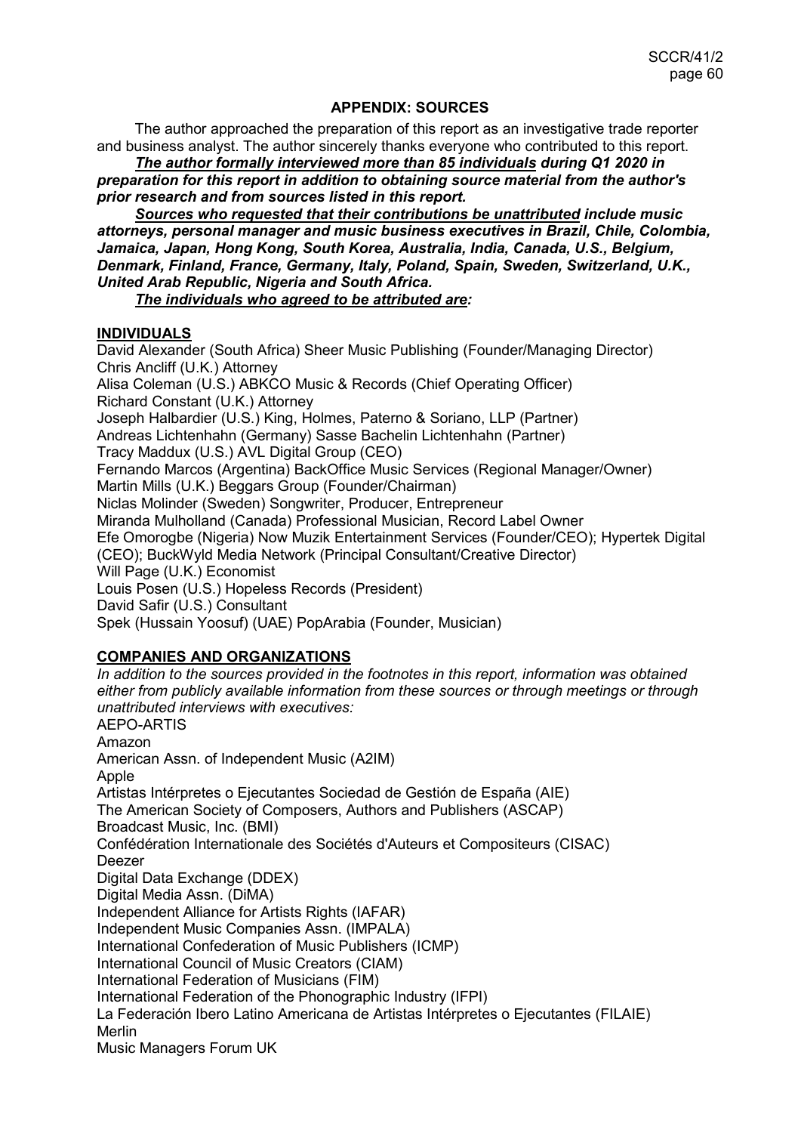## **APPENDIX: SOURCES**

<span id="page-59-0"></span>The author approached the preparation of this report as an investigative trade reporter and business analyst. The author sincerely thanks everyone who contributed to this report.

*The author formally interviewed more than 85 individuals during Q1 2020 in preparation for this report in addition to obtaining source material from the author's prior research and from sources listed in this report.*

*Sources who requested that their contributions be unattributed include music attorneys, personal manager and music business executives in Brazil, Chile, Colombia, Jamaica, Japan, Hong Kong, South Korea, Australia, India, Canada, U.S., Belgium, Denmark, Finland, France, Germany, Italy, Poland, Spain, Sweden, Switzerland, U.K., United Arab Republic, Nigeria and South Africa.* 

*The individuals who agreed to be attributed are:*

## **INDIVIDUALS**

David Alexander (South Africa) Sheer Music Publishing (Founder/Managing Director) Chris Ancliff (U.K.) Attorney Alisa Coleman (U.S.) ABKCO Music & Records (Chief Operating Officer) Richard Constant (U.K.) Attorney Joseph Halbardier (U.S.) King, Holmes, Paterno & Soriano, LLP (Partner) Andreas Lichtenhahn (Germany) Sasse Bachelin Lichtenhahn (Partner) Tracy Maddux (U.S.) AVL Digital Group (CEO) Fernando Marcos (Argentina) BackOffice Music Services (Regional Manager/Owner) Martin Mills (U.K.) Beggars Group (Founder/Chairman) Niclas Molinder (Sweden) Songwriter, Producer, Entrepreneur Miranda Mulholland (Canada) Professional Musician, Record Label Owner Efe Omorogbe (Nigeria) Now Muzik Entertainment Services (Founder/CEO); Hypertek Digital (CEO); BuckWyld Media Network (Principal Consultant/Creative Director) Will Page (U.K.) Economist Louis Posen (U.S.) Hopeless Records (President) David Safir (U.S.) Consultant Spek (Hussain Yoosuf) (UAE) PopArabia (Founder, Musician)

## **COMPANIES AND ORGANIZATIONS**

*In addition to the sources provided in the footnotes in this report, information was obtained either from publicly available information from these sources or through meetings or through unattributed interviews with executives:* AEPO-ARTIS Amazon American Assn. of Independent Music (A2IM) Apple Artistas Intérpretes o Ejecutantes Sociedad de Gestión de España (AIE) The American Society of Composers, Authors and Publishers (ASCAP) Broadcast Music, Inc. (BMI) Confédération Internationale des Sociétés d'Auteurs et Compositeurs (CISAC) Deezer Digital Data Exchange (DDEX) Digital Media Assn. (DiMA) Independent Alliance for Artists Rights (IAFAR) Independent Music Companies Assn. (IMPALA) International Confederation of Music Publishers (ICMP) International Council of Music Creators (CIAM) International Federation of Musicians (FIM) International Federation of the Phonographic Industry (IFPI) La Federación Ibero Latino Americana de Artistas Intérpretes o Ejecutantes (FILAIE) Merlin Music Managers Forum UK